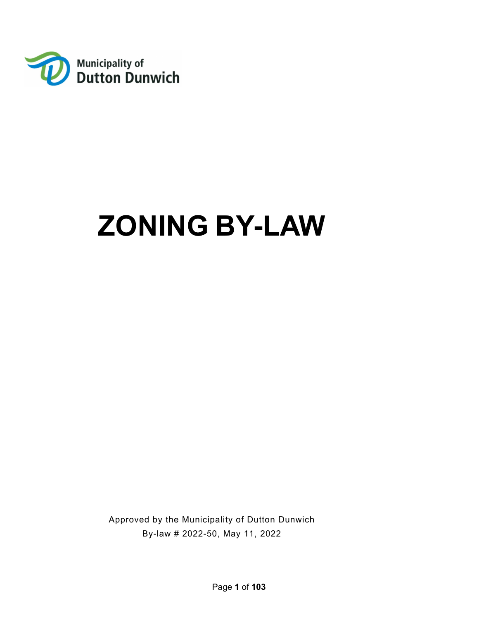

# **ZONING BY-LAW**

Approved by the Municipality of Dutton Dunwich By-law # 2022-50, May 11, 2022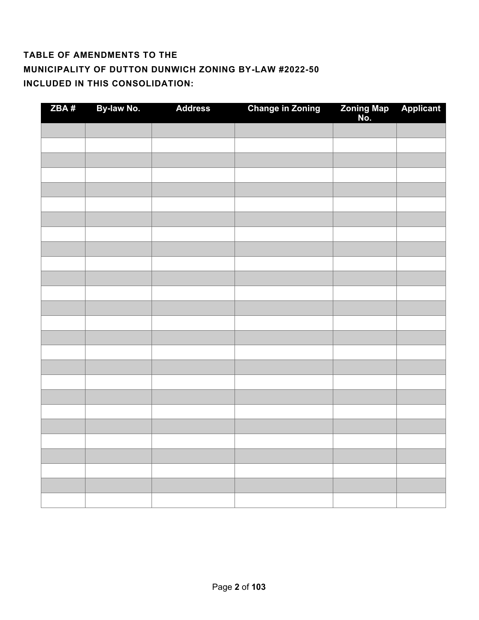## **TABLE OF AMENDMENTS TO THE MUNICIPALITY OF DUTTON DUNWICH ZONING BY-LAW #2022-50 INCLUDED IN THIS CONSOLIDATION:**

| ZBA# | By-law No. | <b>Address</b> | <b>Change in Zoning</b> | Zoning Map<br>No. | <b>Applicant</b> |
|------|------------|----------------|-------------------------|-------------------|------------------|
|      |            |                |                         |                   |                  |
|      |            |                |                         |                   |                  |
|      |            |                |                         |                   |                  |
|      |            |                |                         |                   |                  |
|      |            |                |                         |                   |                  |
|      |            |                |                         |                   |                  |
|      |            |                |                         |                   |                  |
|      |            |                |                         |                   |                  |
|      |            |                |                         |                   |                  |
|      |            |                |                         |                   |                  |
|      |            |                |                         |                   |                  |
|      |            |                |                         |                   |                  |
|      |            |                |                         |                   |                  |
|      |            |                |                         |                   |                  |
|      |            |                |                         |                   |                  |
|      |            |                |                         |                   |                  |
|      |            |                |                         |                   |                  |
|      |            |                |                         |                   |                  |
|      |            |                |                         |                   |                  |
|      |            |                |                         |                   |                  |
|      |            |                |                         |                   |                  |
|      |            |                |                         |                   |                  |
|      |            |                |                         |                   |                  |
|      |            |                |                         |                   |                  |
|      |            |                |                         |                   |                  |
|      |            |                |                         |                   |                  |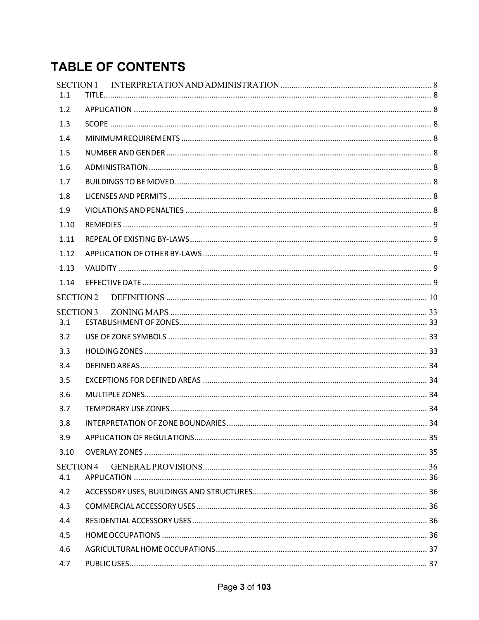## **TABLE OF CONTENTS**

| <b>SECTION 1</b><br>1.1 |  |
|-------------------------|--|
| 1.2                     |  |
| 1.3                     |  |
| 1.4                     |  |
| 1.5                     |  |
| 1.6                     |  |
| 1.7                     |  |
| 1.8                     |  |
| 1.9                     |  |
| 1.10                    |  |
| 1.11                    |  |
| 1.12                    |  |
| 1.13                    |  |
| 1.14                    |  |
| <b>SECTION 2</b>        |  |
| <b>SECTION 3</b><br>3.1 |  |
| 3.2                     |  |
| 3.3                     |  |
| 3.4                     |  |
| 3.5                     |  |
| 3.6                     |  |
| 3.7                     |  |
| 3.8                     |  |
| 3.9                     |  |
| 3.10                    |  |
| <b>SECTION 4</b><br>4.1 |  |
| 4.2                     |  |
| 4.3                     |  |
| 4.4                     |  |
| 4.5                     |  |
| 4.6                     |  |
| 4.7                     |  |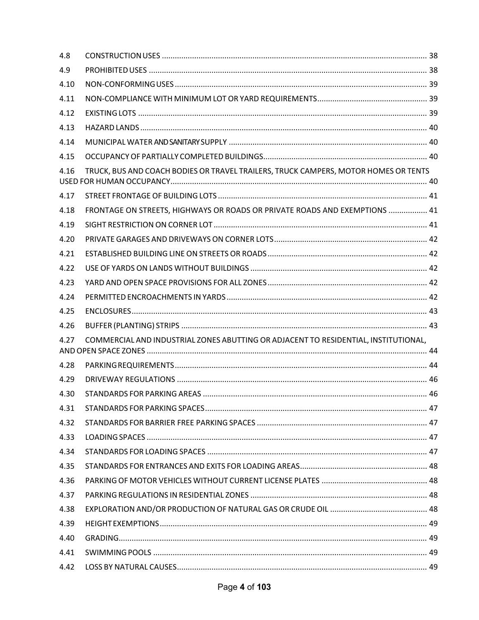| TRUCK, BUS AND COACH BODIES OR TRAVEL TRAILERS, TRUCK CAMPERS, MOTOR HOMES OR TENTS |  |
|-------------------------------------------------------------------------------------|--|
|                                                                                     |  |
| FRONTAGE ON STREETS, HIGHWAYS OR ROADS OR PRIVATE ROADS AND EXEMPTIONS  41          |  |
|                                                                                     |  |
|                                                                                     |  |
|                                                                                     |  |
|                                                                                     |  |
|                                                                                     |  |
|                                                                                     |  |
|                                                                                     |  |
|                                                                                     |  |
| COMMERCIAL AND INDUSTRIAL ZONES ABUTTING OR ADJACENT TO RESIDENTIAL, INSTITUTIONAL, |  |
|                                                                                     |  |
|                                                                                     |  |
|                                                                                     |  |
|                                                                                     |  |
|                                                                                     |  |
|                                                                                     |  |
|                                                                                     |  |
|                                                                                     |  |
|                                                                                     |  |
|                                                                                     |  |
|                                                                                     |  |
|                                                                                     |  |
|                                                                                     |  |
|                                                                                     |  |
|                                                                                     |  |
|                                                                                     |  |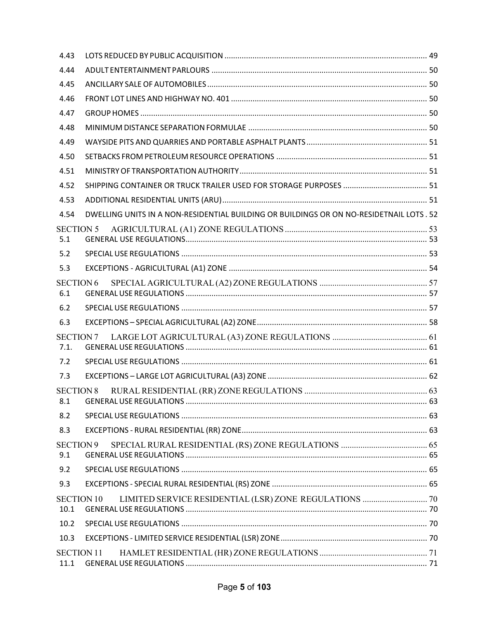| 4.43                      |                                                                                                                                               |  |
|---------------------------|-----------------------------------------------------------------------------------------------------------------------------------------------|--|
| 4.44                      |                                                                                                                                               |  |
| 4.45                      |                                                                                                                                               |  |
| 4.46                      |                                                                                                                                               |  |
| 4.47                      |                                                                                                                                               |  |
| 4.48                      |                                                                                                                                               |  |
| 4.49                      |                                                                                                                                               |  |
| 4.50                      |                                                                                                                                               |  |
| 4.51                      |                                                                                                                                               |  |
| 4.52                      |                                                                                                                                               |  |
| 4.53                      |                                                                                                                                               |  |
| 4.54                      | DWELLING UNITS IN A NON-RESIDENTIAL BUILDING OR BUILDINGS OR ON NO-RESIDETNAIL LOTS . 52                                                      |  |
| <b>SECTION 5</b><br>5.1   |                                                                                                                                               |  |
| 5.2                       |                                                                                                                                               |  |
| 5.3                       |                                                                                                                                               |  |
| <b>SECTION6</b><br>6.1    |                                                                                                                                               |  |
| 6.2                       |                                                                                                                                               |  |
| 6.3                       |                                                                                                                                               |  |
| <b>SECTION 7</b><br>7.1.  | $\textbf{LARGE\textsc{LOT}\textsc{AGRICULTURAL}\textbf{(A3)}\textsc{ZONE}\textbf{REGULATIONS}\textcolor{red}{\textcolor{green}{\textbf{1}}}.$ |  |
| 7.2                       |                                                                                                                                               |  |
| 7.3                       |                                                                                                                                               |  |
| <b>SECTION 8</b>          |                                                                                                                                               |  |
| 8.2                       |                                                                                                                                               |  |
| 8.3                       |                                                                                                                                               |  |
| <b>SECTION9</b><br>9.1    |                                                                                                                                               |  |
| 9.2                       |                                                                                                                                               |  |
| 9.3                       |                                                                                                                                               |  |
| <b>SECTION 10</b><br>10.1 |                                                                                                                                               |  |
| 10.2                      |                                                                                                                                               |  |
| 10.3                      |                                                                                                                                               |  |
| <b>SECTION 11</b><br>11.1 |                                                                                                                                               |  |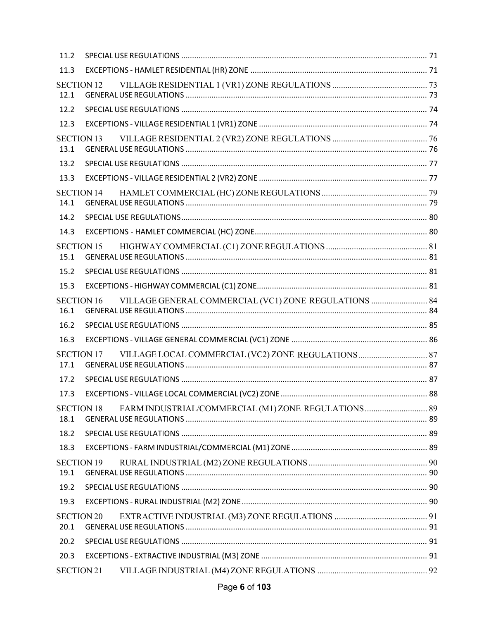| 11.2 |                                                                            |  |
|------|----------------------------------------------------------------------------|--|
| 11.3 |                                                                            |  |
| 12.1 | <b>SECTION 12</b>                                                          |  |
| 12.2 |                                                                            |  |
| 12.3 |                                                                            |  |
| 13.1 | <b>SECTION 13</b>                                                          |  |
| 13.2 |                                                                            |  |
| 13.3 |                                                                            |  |
| 14.1 | <b>SECTION 14</b>                                                          |  |
| 14.2 |                                                                            |  |
| 14.3 |                                                                            |  |
| 15.1 | <b>SECTION 15</b>                                                          |  |
| 15.2 |                                                                            |  |
| 15.3 |                                                                            |  |
| 16.1 | VILLAGE GENERAL COMMERCIAL (VC1) ZONE REGULATIONS  84<br><b>SECTION 16</b> |  |
|      |                                                                            |  |
| 16.2 |                                                                            |  |
| 16.3 |                                                                            |  |
| 17.1 | <b>SECTION 17</b>                                                          |  |
| 17.2 |                                                                            |  |
| 17.3 |                                                                            |  |
| 18.1 | FARM INDUSTRIAL/COMMERCIAL (M1) ZONE REGULATIONS 89<br><b>SECTION 18</b>   |  |
| 18.2 |                                                                            |  |
| 18.3 |                                                                            |  |
| 19.1 | <b>SECTION 19</b>                                                          |  |
| 19.2 |                                                                            |  |
| 19.3 |                                                                            |  |
| 20.1 | <b>SECTION 20</b>                                                          |  |
| 20.2 |                                                                            |  |
| 20.3 |                                                                            |  |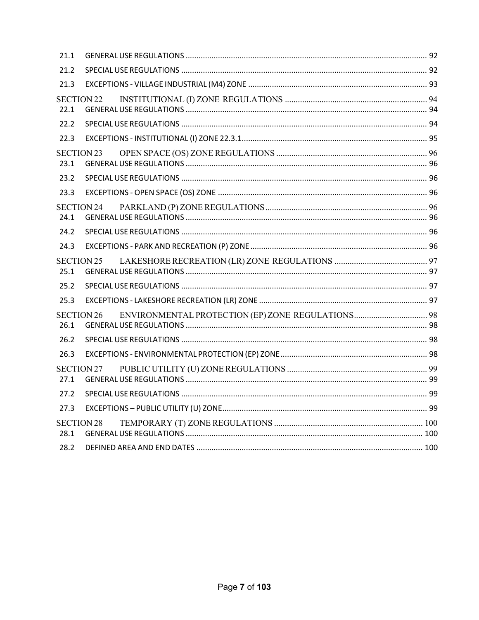| 21.1 |                   |  |
|------|-------------------|--|
| 21.2 |                   |  |
| 21.3 |                   |  |
| 22.1 | <b>SECTION 22</b> |  |
| 22.2 |                   |  |
| 22.3 |                   |  |
| 23.1 | <b>SECTION 23</b> |  |
| 23.2 |                   |  |
| 23.3 |                   |  |
| 24.1 | <b>SECTION 24</b> |  |
| 24.2 |                   |  |
| 24.3 |                   |  |
| 25.1 | <b>SECTION 25</b> |  |
| 25.2 |                   |  |
| 25.3 |                   |  |
| 26.1 | <b>SECTION 26</b> |  |
| 26.2 |                   |  |
| 26.3 |                   |  |
| 27.1 | <b>SECTION 27</b> |  |
| 27.2 |                   |  |
| 27.3 |                   |  |
| 28.1 | <b>SECTION 28</b> |  |
| 28.2 |                   |  |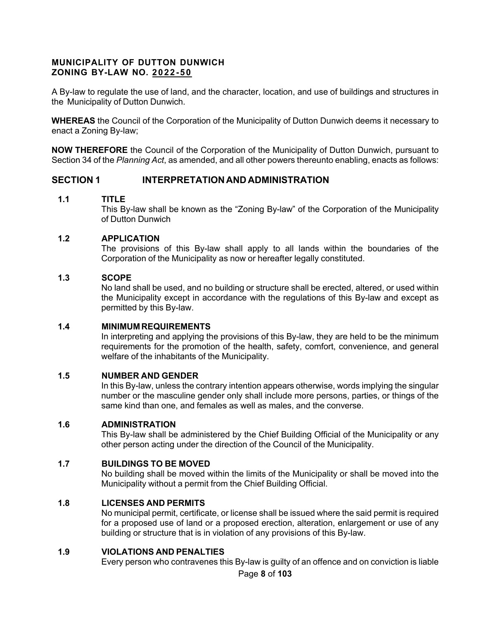## **MUNICIPALITY OF DUTTON DUNWICH ZONING BY-LAW NO. 2022-50**

A By-law to regulate the use of land, and the character, location, and use of buildings and structures in the Municipality of Dutton Dunwich.

**WHEREAS** the Council of the Corporation of the Municipality of Dutton Dunwich deems it necessary to enact a Zoning By-law;

**NOW THEREFORE** the Council of the Corporation of the Municipality of Dutton Dunwich, pursuant to Section 34 of the *Planning Act*, as amended, and all other powers thereunto enabling, enacts as follows:

## <span id="page-7-0"></span>**SECTION 1 INTERPRETATION AND ADMINISTRATION**

## <span id="page-7-1"></span>**1.1 TITLE**

This By-law shall be known as the "Zoning By-law" of the Corporation of the Municipality of Dutton Dunwich

## <span id="page-7-2"></span>**1.2 APPLICATION**

The provisions of this By-law shall apply to all lands within the boundaries of the Corporation of the Municipality as now or hereafter legally constituted.

## <span id="page-7-3"></span>**1.3 SCOPE**

No land shall be used, and no building or structure shall be erected, altered, or used within the Municipality except in accordance with the regulations of this By-law and except as permitted by this By-law.

## <span id="page-7-4"></span>**1.4 MINIMUM REQUIREMENTS**

In interpreting and applying the provisions of this By-law, they are held to be the minimum requirements for the promotion of the health, safety, comfort, convenience, and general welfare of the inhabitants of the Municipality.

## <span id="page-7-5"></span>**1.5 NUMBER AND GENDER**

In this By-law, unless the contrary intention appears otherwise, words implying the singular number or the masculine gender only shall include more persons, parties, or things of the same kind than one, and females as well as males, and the converse.

## <span id="page-7-6"></span>**1.6 ADMINISTRATION**

This By-law shall be administered by the Chief Building Official of the Municipality or any other person acting under the direction of the Council of the Municipality.

## <span id="page-7-7"></span>**1.7 BUILDINGS TO BE MOVED**

No building shall be moved within the limits of the Municipality or shall be moved into the Municipality without a permit from the Chief Building Official.

## <span id="page-7-8"></span>**1.8 LICENSES AND PERMITS**

No municipal permit, certificate, or license shall be issued where the said permit is required for a proposed use of land or a proposed erection, alteration, enlargement or use of any building or structure that is in violation of any provisions of this By-law.

## <span id="page-7-9"></span>**1.9 VIOLATIONS AND PENALTIES**

Every person who contravenes this By-law is guilty of an offence and on conviction is liable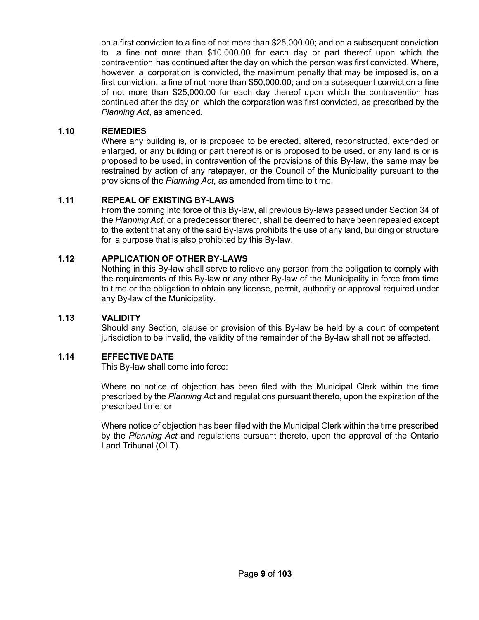on a first conviction to a fine of not more than \$25,000.00; and on a subsequent conviction to a fine not more than \$10,000.00 for each day or part thereof upon which the contravention has continued after the day on which the person was first convicted. Where, however, a corporation is convicted, the maximum penalty that may be imposed is, on a first conviction, a fine of not more than \$50,000.00; and on a subsequent conviction a fine of not more than \$25,000.00 for each day thereof upon which the contravention has continued after the day on which the corporation was first convicted, as prescribed by the *Planning Act*, as amended.

## <span id="page-8-0"></span>**1.10 REMEDIES**

Where any building is, or is proposed to be erected, altered, reconstructed, extended or enlarged, or any building or part thereof is or is proposed to be used, or any land is or is proposed to be used, in contravention of the provisions of this By-law, the same may be restrained by action of any ratepayer, or the Council of the Municipality pursuant to the provisions of the *Planning Act*, as amended from time to time.

## <span id="page-8-1"></span>**1.11 REPEAL OF EXISTING BY-LAWS**

From the coming into force of this By-law, all previous By-laws passed under Section 34 of the *Planning Act*, or a predecessor thereof, shall be deemed to have been repealed except to the extent that any of the said By-laws prohibits the use of any land, building or structure for a purpose that is also prohibited by this By-law.

## <span id="page-8-2"></span>**1.12 APPLICATION OF OTHER BY-LAWS**

Nothing in this By-law shall serve to relieve any person from the obligation to comply with the requirements of this By-law or any other By-law of the Municipality in force from time to time or the obligation to obtain any license, permit, authority or approval required under any By-law of the Municipality.

## <span id="page-8-3"></span>**1.13 VALIDITY**

Should any Section, clause or provision of this By-law be held by a court of competent jurisdiction to be invalid, the validity of the remainder of the By-law shall not be affected.

## <span id="page-8-4"></span>**1.14 EFFECTIVE DATE**

This By-law shall come into force:

Where no notice of objection has been filed with the Municipal Clerk within the time prescribed by the *Planning Ac*t and regulations pursuant thereto, upon the expiration of the prescribed time; or

Where notice of objection has been filed with the Municipal Clerk within the time prescribed by the *Planning Act* and regulations pursuant thereto, upon the approval of the Ontario Land Tribunal (OLT).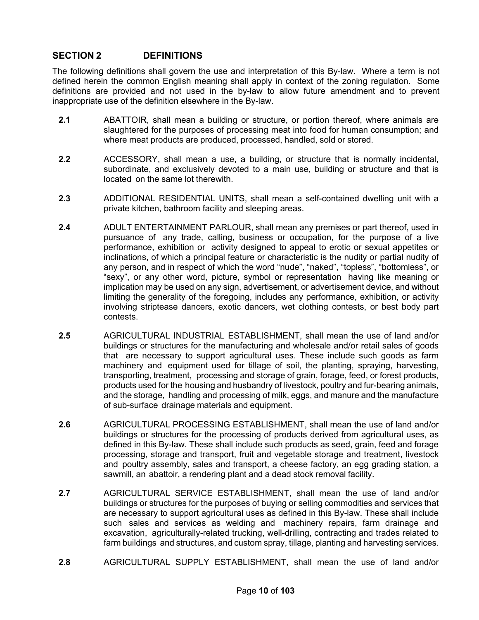## <span id="page-9-0"></span>**SECTION 2 DEFINITIONS**

The following definitions shall govern the use and interpretation of this By-law. Where a term is not defined herein the common English meaning shall apply in context of the zoning regulation. Some definitions are provided and not used in the by-law to allow future amendment and to prevent inappropriate use of the definition elsewhere in the By-law.

- **2.1** ABATTOIR, shall mean a building or structure, or portion thereof, where animals are slaughtered for the purposes of processing meat into food for human consumption; and where meat products are produced, processed, handled, sold or stored.
- **2.2** ACCESSORY, shall mean a use, a building, or structure that is normally incidental, subordinate, and exclusively devoted to a main use, building or structure and that is located on the same lot therewith.
- **2.3** ADDITIONAL RESIDENTIAL UNITS, shall mean a self-contained dwelling unit with a private kitchen, bathroom facility and sleeping areas.
- **2.4** ADULT ENTERTAINMENT PARLOUR, shall mean any premises or part thereof, used in pursuance of any trade, calling, business or occupation, for the purpose of a live performance, exhibition or activity designed to appeal to erotic or sexual appetites or inclinations, of which a principal feature or characteristic is the nudity or partial nudity of any person, and in respect of which the word "nude", "naked", "topless", "bottomless", or "sexy", or any other word, picture, symbol or representation having like meaning or implication may be used on any sign, advertisement, or advertisement device, and without limiting the generality of the foregoing, includes any performance, exhibition, or activity involving striptease dancers, exotic dancers, wet clothing contests, or best body part contests.
- **2.5** AGRICULTURAL INDUSTRIAL ESTABLISHMENT, shall mean the use of land and/or buildings or structures for the manufacturing and wholesale and/or retail sales of goods that are necessary to support agricultural uses. These include such goods as farm machinery and equipment used for tillage of soil, the planting, spraying, harvesting, transporting, treatment, processing and storage of grain, forage, feed, or forest products, products used for the housing and husbandry of livestock, poultry and fur-bearing animals, and the storage, handling and processing of milk, eggs, and manure and the manufacture of sub-surface drainage materials and equipment.
- **2.6** AGRICULTURAL PROCESSING ESTABLISHMENT, shall mean the use of land and/or buildings or structures for the processing of products derived from agricultural uses, as defined in this By-law. These shall include such products as seed, grain, feed and forage processing, storage and transport, fruit and vegetable storage and treatment, livestock and poultry assembly, sales and transport, a cheese factory, an egg grading station, a sawmill, an abattoir, a rendering plant and a dead stock removal facility.
- **2.7** AGRICULTURAL SERVICE ESTABLISHMENT, shall mean the use of land and/or buildings or structures for the purposes of buying or selling commodities and services that are necessary to support agricultural uses as defined in this By-law. These shall include such sales and services as welding and machinery repairs, farm drainage and excavation, agriculturally-related trucking, well-drilling, contracting and trades related to farm buildings and structures, and custom spray, tillage, planting and harvesting services.
- **2.8** AGRICULTURAL SUPPLY ESTABLISHMENT, shall mean the use of land and/or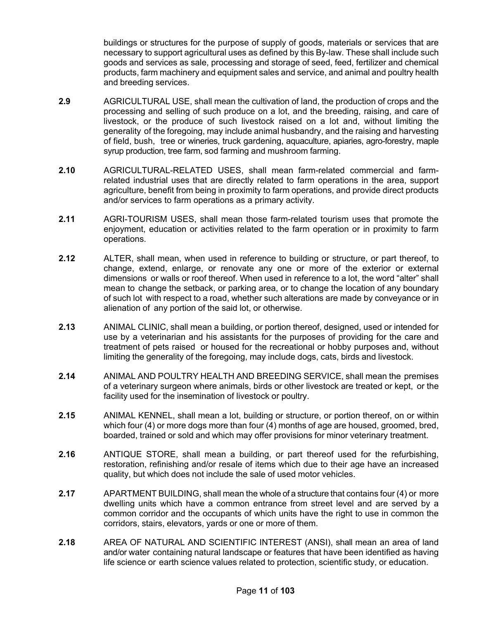buildings or structures for the purpose of supply of goods, materials or services that are necessary to support agricultural uses as defined by this By-law. These shall include such goods and services as sale, processing and storage of seed, feed, fertilizer and chemical products, farm machinery and equipment sales and service, and animal and poultry health and breeding services.

- **2.9** AGRICULTURAL USE, shall mean the cultivation of land, the production of crops and the processing and selling of such produce on a lot, and the breeding, raising, and care of livestock, or the produce of such livestock raised on a lot and, without limiting the generality of the foregoing, may include animal husbandry, and the raising and harvesting of field, bush, tree or wineries, truck gardening, aquaculture, apiaries, agro-forestry, maple syrup production, tree farm, sod farming and mushroom farming.
- **2.10** AGRICULTURAL-RELATED USES, shall mean farm-related commercial and farmrelated industrial uses that are directly related to farm operations in the area, support agriculture, benefit from being in proximity to farm operations, and provide direct products and/or services to farm operations as a primary activity.
- **2.11** AGRI-TOURISM USES, shall mean those farm-related tourism uses that promote the enjoyment, education or activities related to the farm operation or in proximity to farm operations.
- **2.12** ALTER, shall mean, when used in reference to building or structure, or part thereof, to change, extend, enlarge, or renovate any one or more of the exterior or external dimensions or walls or roof thereof. When used in reference to a lot, the word "alter" shall mean to change the setback, or parking area, or to change the location of any boundary of such lot with respect to a road, whether such alterations are made by conveyance or in alienation of any portion of the said lot, or otherwise.
- **2.13** ANIMAL CLINIC, shall mean a building, or portion thereof, designed, used or intended for use by a veterinarian and his assistants for the purposes of providing for the care and treatment of pets raised or housed for the recreational or hobby purposes and, without limiting the generality of the foregoing, may include dogs, cats, birds and livestock.
- **2.14** ANIMAL AND POULTRY HEALTH AND BREEDING SERVICE, shall mean the premises of a veterinary surgeon where animals, birds or other livestock are treated or kept, or the facility used for the insemination of livestock or poultry.
- **2.15** ANIMAL KENNEL, shall mean a lot, building or structure, or portion thereof, on or within which four (4) or more dogs more than four (4) months of age are housed, groomed, bred, boarded, trained or sold and which may offer provisions for minor veterinary treatment.
- **2.16** ANTIQUE STORE, shall mean a building, or part thereof used for the refurbishing, restoration, refinishing and/or resale of items which due to their age have an increased quality, but which does not include the sale of used motor vehicles.
- **2.17** APARTMENT BUILDING, shall mean the whole of a structure that contains four (4) or more dwelling units which have a common entrance from street level and are served by a common corridor and the occupants of which units have the right to use in common the corridors, stairs, elevators, yards or one or more of them.
- **2.18** AREA OF NATURAL AND SCIENTIFIC INTEREST (ANSI), shall mean an area of land and/or water containing natural landscape or features that have been identified as having life science or earth science values related to protection, scientific study, or education.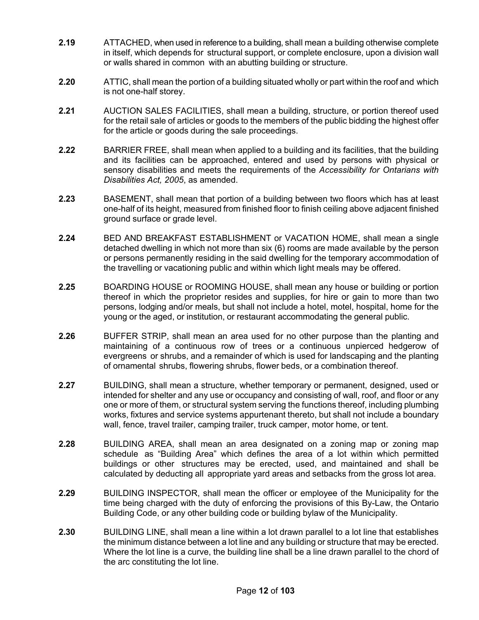- **2.19** ATTACHED, when used in reference to a building, shall mean a building otherwise complete in itself, which depends for structural support, or complete enclosure, upon a division wall or walls shared in common with an abutting building or structure.
- **2.20** ATTIC, shall mean the portion of a building situated wholly or part within the roof and which is not one-half storey.
- **2.21** AUCTION SALES FACILITIES, shall mean a building, structure, or portion thereof used for the retail sale of articles or goods to the members of the public bidding the highest offer for the article or goods during the sale proceedings.
- **2.22** BARRIER FREE, shall mean when applied to a building and its facilities, that the building and its facilities can be approached, entered and used by persons with physical or sensory disabilities and meets the requirements of the *Accessibility for Ontarians with Disabilities Act, 2005*, as amended.
- **2.23** BASEMENT, shall mean that portion of a building between two floors which has at least one-half of its height, measured from finished floor to finish ceiling above adjacent finished ground surface or grade level.
- **2.24** BED AND BREAKFAST ESTABLISHMENT or VACATION HOME, shall mean a single detached dwelling in which not more than six (6) rooms are made available by the person or persons permanently residing in the said dwelling for the temporary accommodation of the travelling or vacationing public and within which light meals may be offered.
- **2.25** BOARDING HOUSE or ROOMING HOUSE, shall mean any house or building or portion thereof in which the proprietor resides and supplies, for hire or gain to more than two persons, lodging and/or meals, but shall not include a hotel, motel, hospital, home for the young or the aged, or institution, or restaurant accommodating the general public.
- **2.26** BUFFER STRIP, shall mean an area used for no other purpose than the planting and maintaining of a continuous row of trees or a continuous unpierced hedgerow of evergreens or shrubs, and a remainder of which is used for landscaping and the planting of ornamental shrubs, flowering shrubs, flower beds, or a combination thereof.
- **2.27** BUILDING, shall mean a structure, whether temporary or permanent, designed, used or intended for shelter and any use or occupancy and consisting of wall, roof, and floor or any one or more of them, or structural system serving the functions thereof, including plumbing works, fixtures and service systems appurtenant thereto, but shall not include a boundary wall, fence, travel trailer, camping trailer, truck camper, motor home, or tent.
- **2.28** BUILDING AREA, shall mean an area designated on a zoning map or zoning map schedule as "Building Area" which defines the area of a lot within which permitted buildings or other structures may be erected, used, and maintained and shall be calculated by deducting all appropriate yard areas and setbacks from the gross lot area.
- **2.29** BUILDING INSPECTOR, shall mean the officer or employee of the Municipality for the time being charged with the duty of enforcing the provisions of this By-Law, the Ontario Building Code, or any other building code or building bylaw of the Municipality.
- **2.30** BUILDING LINE, shall mean a line within a lot drawn parallel to a lot line that establishes the minimum distance between a lot line and any building or structure that may be erected. Where the lot line is a curve, the building line shall be a line drawn parallel to the chord of the arc constituting the lot line.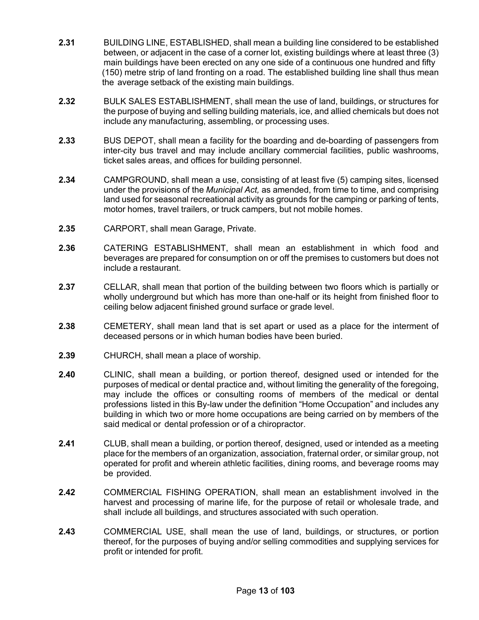- **2.31** BUILDING LINE, ESTABLISHED, shall mean a building line considered to be established between, or adjacent in the case of a corner lot, existing buildings where at least three (3) main buildings have been erected on any one side of a continuous one hundred and fifty (150) metre strip of land fronting on a road. The established building line shall thus mean the average setback of the existing main buildings.
- **2.32** BULK SALES ESTABLISHMENT, shall mean the use of land, buildings, or structures for the purpose of buying and selling building materials, ice, and allied chemicals but does not include any manufacturing, assembling, or processing uses.
- **2.33** BUS DEPOT, shall mean a facility for the boarding and de-boarding of passengers from inter-city bus travel and may include ancillary commercial facilities, public washrooms, ticket sales areas, and offices for building personnel.
- **2.34** CAMPGROUND, shall mean a use, consisting of at least five (5) camping sites, licensed under the provisions of the *Municipal Act,* as amended, from time to time, and comprising land used for seasonal recreational activity as grounds for the camping or parking of tents, motor homes, travel trailers, or truck campers, but not mobile homes.
- **2.35** CARPORT, shall mean Garage, Private.
- **2.36** CATERING ESTABLISHMENT, shall mean an establishment in which food and beverages are prepared for consumption on or off the premises to customers but does not include a restaurant.
- **2.37** CELLAR, shall mean that portion of the building between two floors which is partially or wholly underground but which has more than one-half or its height from finished floor to ceiling below adjacent finished ground surface or grade level.
- **2.38** CEMETERY, shall mean land that is set apart or used as a place for the interment of deceased persons or in which human bodies have been buried.
- **2.39** CHURCH, shall mean a place of worship.
- **2.40** CLINIC, shall mean a building, or portion thereof, designed used or intended for the purposes of medical or dental practice and, without limiting the generality of the foregoing, may include the offices or consulting rooms of members of the medical or dental professions listed in this By-law under the definition "Home Occupation" and includes any building in which two or more home occupations are being carried on by members of the said medical or dental profession or of a chiropractor.
- **2.41** CLUB, shall mean a building, or portion thereof, designed, used or intended as a meeting place for the members of an organization, association, fraternal order, or similar group, not operated for profit and wherein athletic facilities, dining rooms, and beverage rooms may be provided.
- **2.42** COMMERCIAL FISHING OPERATION, shall mean an establishment involved in the harvest and processing of marine life, for the purpose of retail or wholesale trade, and shall include all buildings, and structures associated with such operation.
- **2.43** COMMERCIAL USE, shall mean the use of land, buildings, or structures, or portion thereof, for the purposes of buying and/or selling commodities and supplying services for profit or intended for profit.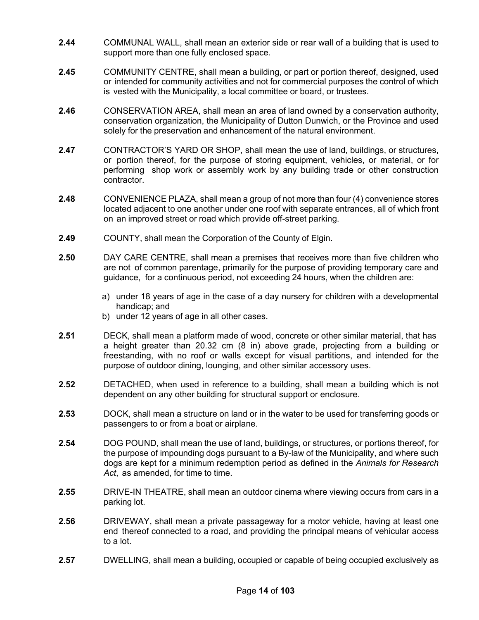- **2.44** COMMUNAL WALL, shall mean an exterior side or rear wall of a building that is used to support more than one fully enclosed space.
- **2.45** COMMUNITY CENTRE, shall mean a building, or part or portion thereof, designed, used or intended for community activities and not for commercial purposes the control of which is vested with the Municipality, a local committee or board, or trustees.
- **2.46** CONSERVATION AREA, shall mean an area of land owned by a conservation authority, conservation organization, the Municipality of Dutton Dunwich, or the Province and used solely for the preservation and enhancement of the natural environment.
- **2.47** CONTRACTOR'S YARD OR SHOP, shall mean the use of land, buildings, or structures, or portion thereof, for the purpose of storing equipment, vehicles, or material, or for performing shop work or assembly work by any building trade or other construction contractor.
- **2.48** CONVENIENCE PLAZA, shall mean a group of not more than four (4) convenience stores located adjacent to one another under one roof with separate entrances, all of which front on an improved street or road which provide off-street parking.
- **2.49** COUNTY, shall mean the Corporation of the County of Elgin.
- **2.50** DAY CARE CENTRE, shall mean a premises that receives more than five children who are not of common parentage, primarily for the purpose of providing temporary care and guidance, for a continuous period, not exceeding 24 hours, when the children are:
	- a) under 18 years of age in the case of a day nursery for children with a developmental handicap; and
	- b) under 12 years of age in all other cases.
- **2.51** DECK, shall mean a platform made of wood, concrete or other similar material, that has a height greater than 20.32 cm (8 in) above grade, projecting from a building or freestanding, with no roof or walls except for visual partitions, and intended for the purpose of outdoor dining, lounging, and other similar accessory uses.
- **2.52** DETACHED, when used in reference to a building, shall mean a building which is not dependent on any other building for structural support or enclosure.
- **2.53** DOCK, shall mean a structure on land or in the water to be used for transferring goods or passengers to or from a boat or airplane.
- **2.54** DOG POUND, shall mean the use of land, buildings, or structures, or portions thereof, for the purpose of impounding dogs pursuant to a By-law of the Municipality, and where such dogs are kept for a minimum redemption period as defined in the *Animals for Research* Act, as amended, for time to time.
- **2.55** DRIVE-IN THEATRE, shall mean an outdoor cinema where viewing occurs from cars in a parking lot.
- **2.56** DRIVEWAY, shall mean a private passageway for a motor vehicle, having at least one end thereof connected to a road, and providing the principal means of vehicular access to a lot.
- **2.57** DWELLING, shall mean a building, occupied or capable of being occupied exclusively as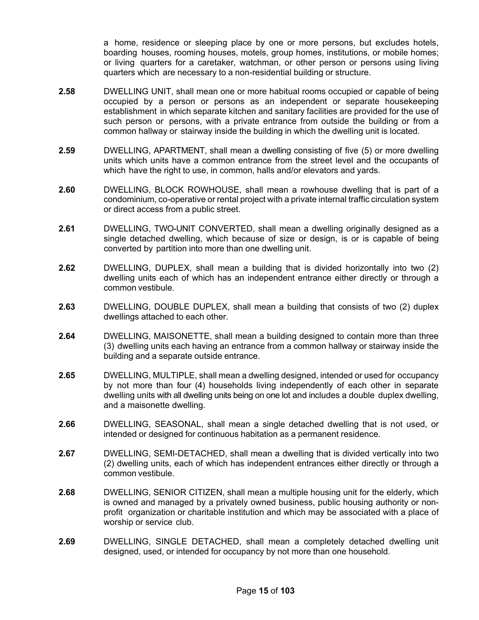a home, residence or sleeping place by one or more persons, but excludes hotels, boarding houses, rooming houses, motels, group homes, institutions, or mobile homes; or living quarters for a caretaker, watchman, or other person or persons using living quarters which are necessary to a non-residential building or structure.

- **2.58** DWELLING UNIT, shall mean one or more habitual rooms occupied or capable of being occupied by a person or persons as an independent or separate housekeeping establishment in which separate kitchen and sanitary facilities are provided for the use of such person or persons, with a private entrance from outside the building or from a common hallway or stairway inside the building in which the dwelling unit is located.
- **2.59** DWELLING, APARTMENT, shall mean a dwelling consisting of five (5) or more dwelling units which units have a common entrance from the street level and the occupants of which have the right to use, in common, halls and/or elevators and yards.
- **2.60** DWELLING, BLOCK ROWHOUSE, shall mean a rowhouse dwelling that is part of a condominium, co-operative or rental project with a private internal traffic circulation system or direct access from a public street.
- **2.61** DWELLING, TWO-UNIT CONVERTED, shall mean a dwelling originally designed as a single detached dwelling, which because of size or design, is or is capable of being converted by partition into more than one dwelling unit.
- **2.62** DWELLING, DUPLEX, shall mean a building that is divided horizontally into two (2) dwelling units each of which has an independent entrance either directly or through a common vestibule.
- **2.63** DWELLING, DOUBLE DUPLEX, shall mean a building that consists of two (2) duplex dwellings attached to each other.
- **2.64** DWELLING, MAISONETTE, shall mean a building designed to contain more than three (3) dwelling units each having an entrance from a common hallway or stairway inside the building and a separate outside entrance.
- **2.65** DWELLING, MULTIPLE, shall mean a dwelling designed, intended or used for occupancy by not more than four (4) households living independently of each other in separate dwelling units with all dwelling units being on one lot and includes a double duplex dwelling, and a maisonette dwelling.
- **2.66** DWELLING, SEASONAL, shall mean a single detached dwelling that is not used, or intended or designed for continuous habitation as a permanent residence.
- **2.67** DWELLING, SEMI-DETACHED, shall mean a dwelling that is divided vertically into two (2) dwelling units, each of which has independent entrances either directly or through a common vestibule.
- **2.68** DWELLING, SENIOR CITIZEN, shall mean a multiple housing unit for the elderly, which is owned and managed by a privately owned business, public housing authority or nonprofit organization or charitable institution and which may be associated with a place of worship or service club.
- **2.69** DWELLING, SINGLE DETACHED, shall mean a completely detached dwelling unit designed, used, or intended for occupancy by not more than one household.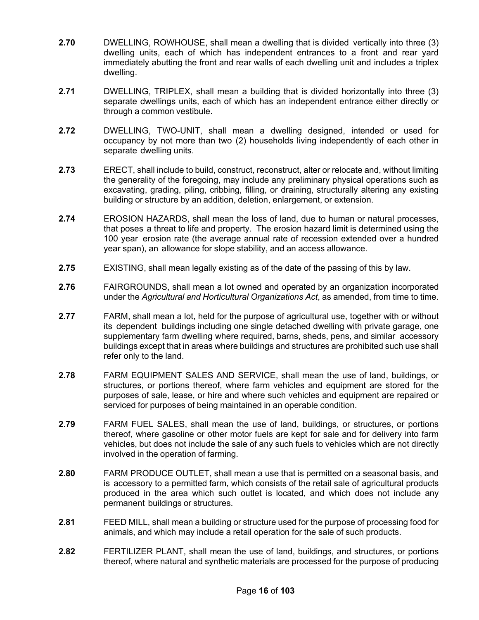- **2.70** DWELLING, ROWHOUSE, shall mean a dwelling that is divided vertically into three (3) dwelling units, each of which has independent entrances to a front and rear yard immediately abutting the front and rear walls of each dwelling unit and includes a triplex dwelling.
- **2.71** DWELLING, TRIPLEX, shall mean a building that is divided horizontally into three (3) separate dwellings units, each of which has an independent entrance either directly or through a common vestibule.
- **2.72** DWELLING, TWO-UNIT, shall mean a dwelling designed, intended or used for occupancy by not more than two (2) households living independently of each other in separate dwelling units.
- **2.73** ERECT, shall include to build, construct, reconstruct, alter or relocate and, without limiting the generality of the foregoing, may include any preliminary physical operations such as excavating, grading, piling, cribbing, filling, or draining, structurally altering any existing building or structure by an addition, deletion, enlargement, or extension.
- **2.74** EROSION HAZARDS, shall mean the loss of land, due to human or natural processes, that poses a threat to life and property. The erosion hazard limit is determined using the 100 year erosion rate (the average annual rate of recession extended over a hundred year span), an allowance for slope stability, and an access allowance.
- **2.75** EXISTING, shall mean legally existing as of the date of the passing of this by law.
- **2.76** FAIRGROUNDS, shall mean a lot owned and operated by an organization incorporated under the *Agricultural and Horticultural Organizations Act*, as amended, from time to time.
- **2.77** FARM, shall mean a lot, held for the purpose of agricultural use, together with or without its dependent buildings including one single detached dwelling with private garage, one supplementary farm dwelling where required, barns, sheds, pens, and similar accessory buildings except that in areas where buildings and structures are prohibited such use shall refer only to the land.
- **2.78** FARM EQUIPMENT SALES AND SERVICE, shall mean the use of land, buildings, or structures, or portions thereof, where farm vehicles and equipment are stored for the purposes of sale, lease, or hire and where such vehicles and equipment are repaired or serviced for purposes of being maintained in an operable condition.
- **2.79** FARM FUEL SALES, shall mean the use of land, buildings, or structures, or portions thereof, where gasoline or other motor fuels are kept for sale and for delivery into farm vehicles, but does not include the sale of any such fuels to vehicles which are not directly involved in the operation of farming.
- **2.80** FARM PRODUCE OUTLET, shall mean a use that is permitted on a seasonal basis, and is accessory to a permitted farm, which consists of the retail sale of agricultural products produced in the area which such outlet is located, and which does not include any permanent buildings or structures.
- **2.81** FEED MILL, shall mean a building or structure used for the purpose of processing food for animals, and which may include a retail operation for the sale of such products.
- **2.82** FERTILIZER PLANT, shall mean the use of land, buildings, and structures, or portions thereof, where natural and synthetic materials are processed for the purpose of producing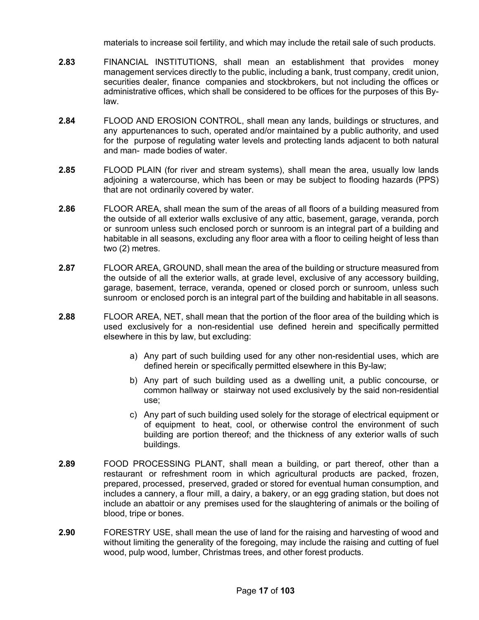materials to increase soil fertility, and which may include the retail sale of such products.

- **2.83** FINANCIAL INSTITUTIONS, shall mean an establishment that provides money management services directly to the public, including a bank, trust company, credit union, securities dealer, finance companies and stockbrokers, but not including the offices or administrative offices, which shall be considered to be offices for the purposes of this Bylaw.
- **2.84** FLOOD AND EROSION CONTROL, shall mean any lands, buildings or structures, and any appurtenances to such, operated and/or maintained by a public authority, and used for the purpose of regulating water levels and protecting lands adjacent to both natural and man- made bodies of water.
- **2.85** FLOOD PLAIN (for river and stream systems), shall mean the area, usually low lands adjoining a watercourse, which has been or may be subject to flooding hazards (PPS) that are not ordinarily covered by water.
- **2.86** FLOOR AREA, shall mean the sum of the areas of all floors of a building measured from the outside of all exterior walls exclusive of any attic, basement, garage, veranda, porch or sunroom unless such enclosed porch or sunroom is an integral part of a building and habitable in all seasons, excluding any floor area with a floor to ceiling height of less than two (2) metres.
- **2.87** FLOOR AREA, GROUND, shall mean the area of the building or structure measured from the outside of all the exterior walls, at grade level, exclusive of any accessory building, garage, basement, terrace, veranda, opened or closed porch or sunroom, unless such sunroom or enclosed porch is an integral part of the building and habitable in all seasons.
- **2.88** FLOOR AREA, NET, shall mean that the portion of the floor area of the building which is used exclusively for a non-residential use defined herein and specifically permitted elsewhere in this by law, but excluding:
	- a) Any part of such building used for any other non-residential uses, which are defined herein or specifically permitted elsewhere in this By-law;
	- b) Any part of such building used as a dwelling unit, a public concourse, or common hallway or stairway not used exclusively by the said non-residential use;
	- c) Any part of such building used solely for the storage of electrical equipment or of equipment to heat, cool, or otherwise control the environment of such building are portion thereof; and the thickness of any exterior walls of such buildings.
- **2.89** FOOD PROCESSING PLANT, shall mean a building, or part thereof, other than a restaurant or refreshment room in which agricultural products are packed, frozen, prepared, processed, preserved, graded or stored for eventual human consumption, and includes a cannery, a flour mill, a dairy, a bakery, or an egg grading station, but does not include an abattoir or any premises used for the slaughtering of animals or the boiling of blood, tripe or bones.
- **2.90** FORESTRY USE, shall mean the use of land for the raising and harvesting of wood and without limiting the generality of the foregoing, may include the raising and cutting of fuel wood, pulp wood, lumber, Christmas trees, and other forest products.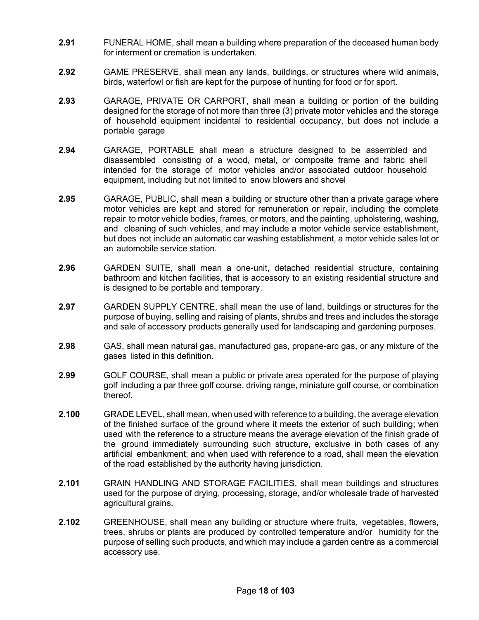- **2.91** FUNERAL HOME, shall mean a building where preparation of the deceased human body for interment or cremation is undertaken.
- **2.92** GAME PRESERVE, shall mean any lands, buildings, or structures where wild animals, birds, waterfowl or fish are kept for the purpose of hunting for food or for sport.
- **2.93** GARAGE, PRIVATE OR CARPORT, shall mean a building or portion of the building designed for the storage of not more than three (3) private motor vehicles and the storage of household equipment incidental to residential occupancy, but does not include a portable garage
- **2.94** GARAGE, PORTABLE shall mean a structure designed to be assembled and disassembled consisting of a wood, metal, or composite frame and fabric shell intended for the storage of motor vehicles and/or associated outdoor household equipment, including but not limited to snow blowers and shovel
- **2.95** GARAGE, PUBLIC, shall mean a building or structure other than a private garage where motor vehicles are kept and stored for remuneration or repair, including the complete repair to motor vehicle bodies, frames, or motors, and the painting, upholstering, washing, and cleaning of such vehicles, and may include a motor vehicle service establishment, but does not include an automatic car washing establishment, a motor vehicle sales lot or an automobile service station.
- **2.96** GARDEN SUITE, shall mean a one-unit, detached residential structure, containing bathroom and kitchen facilities, that is accessory to an existing residential structure and is designed to be portable and temporary.
- **2.97** GARDEN SUPPLY CENTRE, shall mean the use of land, buildings or structures for the purpose of buying, selling and raising of plants, shrubs and trees and includes the storage and sale of accessory products generally used for landscaping and gardening purposes.
- **2.98** GAS, shall mean natural gas, manufactured gas, propane-arc gas, or any mixture of the gases listed in this definition.
- **2.99** GOLF COURSE, shall mean a public or private area operated for the purpose of playing golf including a par three golf course, driving range, miniature golf course, or combination thereof.
- **2.100** GRADE LEVEL, shall mean, when used with reference to a building, the average elevation of the finished surface of the ground where it meets the exterior of such building; when used with the reference to a structure means the average elevation of the finish grade of the ground immediately surrounding such structure, exclusive in both cases of any artificial embankment; and when used with reference to a road, shall mean the elevation of the road established by the authority having jurisdiction.
- **2.101** GRAIN HANDLING AND STORAGE FACILITIES, shall mean buildings and structures used for the purpose of drying, processing, storage, and/or wholesale trade of harvested agricultural grains.
- **2.102** GREENHOUSE, shall mean any building or structure where fruits, vegetables, flowers, trees, shrubs or plants are produced by controlled temperature and/or humidity for the purpose of selling such products, and which may include a garden centre as a commercial accessory use.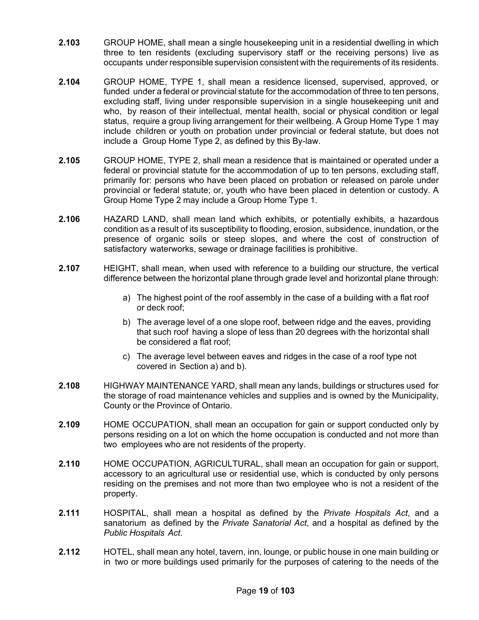- **2.103** GROUP HOME, shall mean a single housekeeping unit in a residential dwelling in which three to ten residents (excluding supervisory staff or the receiving persons) live as occupants under responsible supervision consistent with the requirements of its residents.
- **2.104** GROUP HOME, TYPE 1, shall mean a residence licensed, supervised, approved, or funded under a federal or provincial statute for the accommodation of three to ten persons, excluding staff, living under responsible supervision in a single housekeeping unit and who, by reason of their intellectual, mental health, social or physical condition or legal status, require a group living arrangement for their wellbeing. A Group Home Type 1 may include children or youth on probation under provincial or federal statute, but does not include a Group Home Type 2, as defined by this By-law.
- **2.105** GROUP HOME, TYPE 2, shall mean a residence that is maintained or operated under a federal or provincial statute for the accommodation of up to ten persons, excluding staff, primarily for: persons who have been placed on probation or released on parole under provincial or federal statute; or, youth who have been placed in detention or custody. A Group Home Type 2 may include a Group Home Type 1.
- **2.106** HAZARD LAND, shall mean land which exhibits, or potentially exhibits, a hazardous condition as a result of its susceptibility to flooding, erosion, subsidence, inundation, or the presence of organic soils or steep slopes, and where the cost of construction of satisfactory waterworks, sewage or drainage facilities is prohibitive.
- **2.107** HEIGHT, shall mean, when used with reference to a building our structure, the vertical difference between the horizontal plane through grade level and horizontal plane through:
	- a) The highest point of the roof assembly in the case of a building with a flat roof or deck roof;
	- b) The average level of a one slope roof, between ridge and the eaves, providing that such roof having a slope of less than 20 degrees with the horizontal shall be considered a flat roof;
	- c) The average level between eaves and ridges in the case of a roof type not covered in Section a) and b).
- **2.108** HIGHWAY MAINTENANCE YARD, shall mean any lands, buildings or structures used for the storage of road maintenance vehicles and supplies and is owned by the Municipality, County or the Province of Ontario.
- **2.109** HOME OCCUPATION, shall mean an occupation for gain or support conducted only by persons residing on a lot on which the home occupation is conducted and not more than two employees who are not residents of the property.
- **2.110** HOME OCCUPATION, AGRICULTURAL, shall mean an occupation for gain or support, accessory to an agricultural use or residential use, which is conducted by only persons residing on the premises and not more than two employee who is not a resident of the property.
- **2.111** HOSPITAL, shall mean a hospital as defined by the *Private Hospitals Act*, and a sanatorium as defined by the *Private Sanatorial Act*, and a hospital as defined by the *Public Hospitals Act*.
- **2.112** HOTEL, shall mean any hotel, tavern, inn, lounge, or public house in one main building or in two or more buildings used primarily for the purposes of catering to the needs of the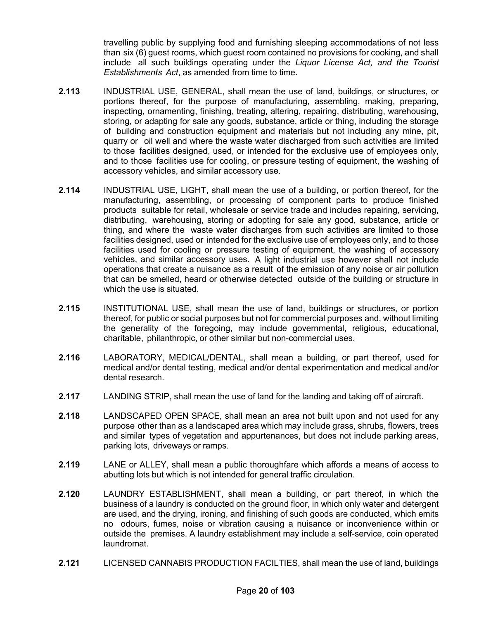travelling public by supplying food and furnishing sleeping accommodations of not less than six (6) guest rooms, which guest room contained no provisions for cooking, and shall include all such buildings operating under the *Liquor License Act, and the Tourist Establishments Act*, as amended from time to time.

- **2.113** INDUSTRIAL USE, GENERAL, shall mean the use of land, buildings, or structures, or portions thereof, for the purpose of manufacturing, assembling, making, preparing, inspecting, ornamenting, finishing, treating, altering, repairing, distributing, warehousing, storing, or adapting for sale any goods, substance, article or thing, including the storage of building and construction equipment and materials but not including any mine, pit, quarry or oil well and where the waste water discharged from such activities are limited to those facilities designed, used, or intended for the exclusive use of employees only, and to those facilities use for cooling, or pressure testing of equipment, the washing of accessory vehicles, and similar accessory use.
- **2.114** INDUSTRIAL USE, LIGHT, shall mean the use of a building, or portion thereof, for the manufacturing, assembling, or processing of component parts to produce finished products suitable for retail, wholesale or service trade and includes repairing, servicing, distributing, warehousing, storing or adopting for sale any good, substance, article or thing, and where the waste water discharges from such activities are limited to those facilities designed, used or intended for the exclusive use of employees only, and to those facilities used for cooling or pressure testing of equipment, the washing of accessory vehicles, and similar accessory uses. A light industrial use however shall not include operations that create a nuisance as a result of the emission of any noise or air pollution that can be smelled, heard or otherwise detected outside of the building or structure in which the use is situated.
- **2.115** INSTITUTIONAL USE, shall mean the use of land, buildings or structures, or portion thereof, for public or social purposes but not for commercial purposes and, without limiting the generality of the foregoing, may include governmental, religious, educational, charitable, philanthropic, or other similar but non-commercial uses.
- **2.116** LABORATORY, MEDICAL/DENTAL, shall mean a building, or part thereof, used for medical and/or dental testing, medical and/or dental experimentation and medical and/or dental research.
- **2.117** LANDING STRIP, shall mean the use of land for the landing and taking off of aircraft.
- **2.118** LANDSCAPED OPEN SPACE, shall mean an area not built upon and not used for any purpose other than as a landscaped area which may include grass, shrubs, flowers, trees and similar types of vegetation and appurtenances, but does not include parking areas, parking lots, driveways or ramps.
- **2.119** LANE or ALLEY, shall mean a public thoroughfare which affords a means of access to abutting lots but which is not intended for general traffic circulation.
- **2.120** LAUNDRY ESTABLISHMENT, shall mean a building, or part thereof, in which the business of a laundry is conducted on the ground floor, in which only water and detergent are used, and the drying, ironing, and finishing of such goods are conducted, which emits no odours, fumes, noise or vibration causing a nuisance or inconvenience within or outside the premises. A laundry establishment may include a self-service, coin operated laundromat.
- **2.121** LICENSED CANNABIS PRODUCTION FACILTIES, shall mean the use of land, buildings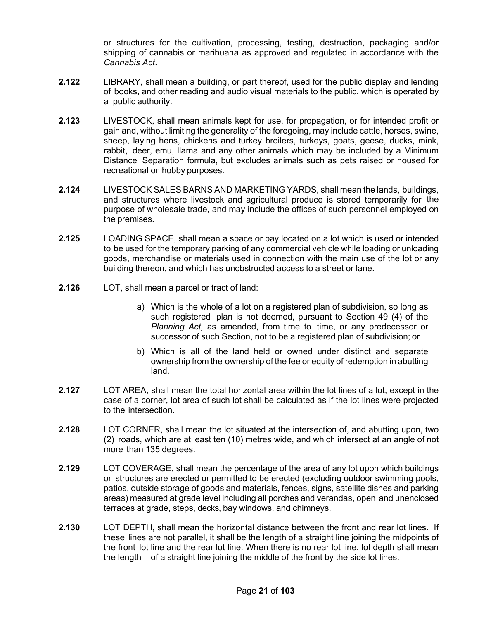or structures for the cultivation, processing, testing, destruction, packaging and/or shipping of cannabis or marihuana as approved and regulated in accordance with the *Cannabis Act*.

- **2.122** LIBRARY, shall mean a building, or part thereof, used for the public display and lending of books, and other reading and audio visual materials to the public, which is operated by a public authority.
- **2.123** LIVESTOCK, shall mean animals kept for use, for propagation, or for intended profit or gain and, without limiting the generality of the foregoing, may include cattle, horses, swine, sheep, laying hens, chickens and turkey broilers, turkeys, goats, geese, ducks, mink, rabbit, deer, emu, llama and any other animals which may be included by a Minimum Distance Separation formula, but excludes animals such as pets raised or housed for recreational or hobby purposes.
- **2.124** LIVESTOCK SALES BARNS AND MARKETING YARDS, shall mean the lands, buildings, and structures where livestock and agricultural produce is stored temporarily for the purpose of wholesale trade, and may include the offices of such personnel employed on the premises.
- **2.125** LOADING SPACE, shall mean a space or bay located on a lot which is used or intended to be used for the temporary parking of any commercial vehicle while loading or unloading goods, merchandise or materials used in connection with the main use of the lot or any building thereon, and which has unobstructed access to a street or lane.
- **2.126** LOT, shall mean a parcel or tract of land:
	- a) Which is the whole of a lot on a registered plan of subdivision, so long as such registered plan is not deemed, pursuant to Section 49 (4) of the *Planning Act,* as amended, from time to time, or any predecessor or successor of such Section, not to be a registered plan of subdivision; or
	- b) Which is all of the land held or owned under distinct and separate ownership from the ownership of the fee or equity of redemption in abutting land.
- **2.127** LOT AREA, shall mean the total horizontal area within the lot lines of a lot, except in the case of a corner, lot area of such lot shall be calculated as if the lot lines were projected to the intersection.
- **2.128** LOT CORNER, shall mean the lot situated at the intersection of, and abutting upon, two (2) roads, which are at least ten (10) metres wide, and which intersect at an angle of not more than 135 degrees.
- **2.129** LOT COVERAGE, shall mean the percentage of the area of any lot upon which buildings or structures are erected or permitted to be erected (excluding outdoor swimming pools, patios, outside storage of goods and materials, fences, signs, satellite dishes and parking areas) measured at grade level including all porches and verandas, open and unenclosed terraces at grade, steps, decks, bay windows, and chimneys.
- **2.130** LOT DEPTH, shall mean the horizontal distance between the front and rear lot lines. If these lines are not parallel, it shall be the length of a straight line joining the midpoints of the front lot line and the rear lot line. When there is no rear lot line, lot depth shall mean the length of a straight line joining the middle of the front by the side lot lines.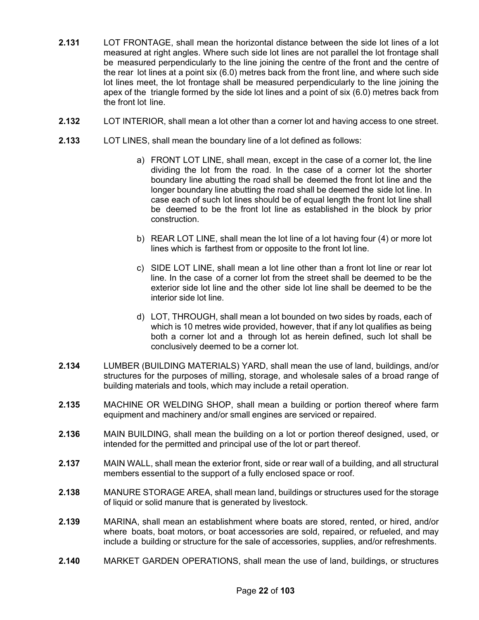- **2.131** LOT FRONTAGE, shall mean the horizontal distance between the side lot lines of a lot measured at right angles. Where such side lot lines are not parallel the lot frontage shall be measured perpendicularly to the line joining the centre of the front and the centre of the rear lot lines at a point six (6.0) metres back from the front line, and where such side lot lines meet, the lot frontage shall be measured perpendicularly to the line joining the apex of the triangle formed by the side lot lines and a point of six (6.0) metres back from the front lot line.
- **2.132** LOT INTERIOR, shall mean a lot other than a corner lot and having access to one street.
- **2.133** LOT LINES, shall mean the boundary line of a lot defined as follows:
	- a) FRONT LOT LINE, shall mean, except in the case of a corner lot, the line dividing the lot from the road. In the case of a corner lot the shorter boundary line abutting the road shall be deemed the front lot line and the longer boundary line abutting the road shall be deemed the side lot line. In case each of such lot lines should be of equal length the front lot line shall be deemed to be the front lot line as established in the block by prior construction.
	- b) REAR LOT LINE, shall mean the lot line of a lot having four (4) or more lot lines which is farthest from or opposite to the front lot line.
	- c) SIDE LOT LINE, shall mean a lot line other than a front lot line or rear lot line. In the case of a corner lot from the street shall be deemed to be the exterior side lot line and the other side lot line shall be deemed to be the interior side lot line.
	- d) LOT, THROUGH, shall mean a lot bounded on two sides by roads, each of which is 10 metres wide provided, however, that if any lot qualifies as being both a corner lot and a through lot as herein defined, such lot shall be conclusively deemed to be a corner lot.
- **2.134** LUMBER (BUILDING MATERIALS) YARD, shall mean the use of land, buildings, and/or structures for the purposes of milling, storage, and wholesale sales of a broad range of building materials and tools, which may include a retail operation.
- **2.135** MACHINE OR WELDING SHOP, shall mean a building or portion thereof where farm equipment and machinery and/or small engines are serviced or repaired.
- **2.136** MAIN BUILDING, shall mean the building on a lot or portion thereof designed, used, or intended for the permitted and principal use of the lot or part thereof.
- **2.137** MAIN WALL, shall mean the exterior front, side or rear wall of a building, and all structural members essential to the support of a fully enclosed space or roof.
- **2.138** MANURE STORAGE AREA, shall mean land, buildings or structures used for the storage of liquid or solid manure that is generated by livestock.
- **2.139** MARINA, shall mean an establishment where boats are stored, rented, or hired, and/or where boats, boat motors, or boat accessories are sold, repaired, or refueled, and may include a building or structure for the sale of accessories, supplies, and/or refreshments.
- **2.140** MARKET GARDEN OPERATIONS, shall mean the use of land, buildings, or structures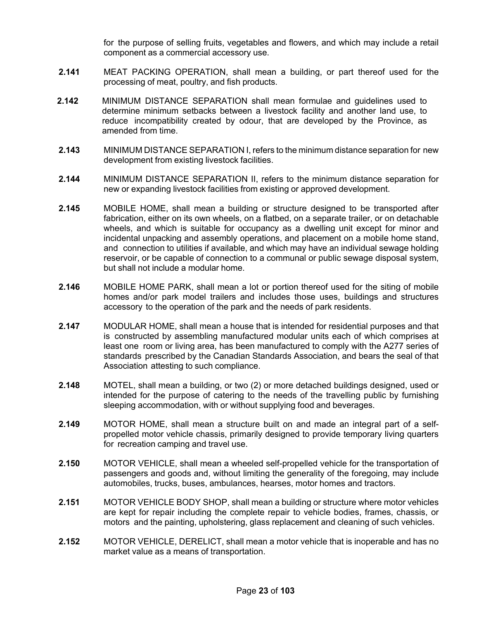for the purpose of selling fruits, vegetables and flowers, and which may include a retail component as a commercial accessory use.

- **2.141** MEAT PACKING OPERATION, shall mean a building, or part thereof used for the processing of meat, poultry, and fish products.
- **2.142** MINIMUM DISTANCE SEPARATION shall mean formulae and guidelines used to determine minimum setbacks between a livestock facility and another land use, to reduce incompatibility created by odour, that are developed by the Province, as amended from time.
- **2.143** MINIMUM DISTANCE SEPARATION I, refers to the minimum distance separation for new development from existing livestock facilities.
- **2.144** MINIMUM DISTANCE SEPARATION II, refers to the minimum distance separation for new or expanding livestock facilities from existing or approved development.
- **2.145** MOBILE HOME, shall mean a building or structure designed to be transported after fabrication, either on its own wheels, on a flatbed, on a separate trailer, or on detachable wheels, and which is suitable for occupancy as a dwelling unit except for minor and incidental unpacking and assembly operations, and placement on a mobile home stand, and connection to utilities if available, and which may have an individual sewage holding reservoir, or be capable of connection to a communal or public sewage disposal system, but shall not include a modular home.
- **2.146** MOBILE HOME PARK, shall mean a lot or portion thereof used for the siting of mobile homes and/or park model trailers and includes those uses, buildings and structures accessory to the operation of the park and the needs of park residents.
- **2.147** MODULAR HOME, shall mean a house that is intended for residential purposes and that is constructed by assembling manufactured modular units each of which comprises at least one room or living area, has been manufactured to comply with the A277 series of standards prescribed by the Canadian Standards Association, and bears the seal of that Association attesting to such compliance.
- **2.148** MOTEL, shall mean a building, or two (2) or more detached buildings designed, used or intended for the purpose of catering to the needs of the travelling public by furnishing sleeping accommodation, with or without supplying food and beverages.
- **2.149** MOTOR HOME, shall mean a structure built on and made an integral part of a selfpropelled motor vehicle chassis, primarily designed to provide temporary living quarters for recreation camping and travel use.
- **2.150** MOTOR VEHICLE, shall mean a wheeled self-propelled vehicle for the transportation of passengers and goods and, without limiting the generality of the foregoing, may include automobiles, trucks, buses, ambulances, hearses, motor homes and tractors.
- **2.151** MOTOR VEHICLE BODY SHOP, shall mean a building or structure where motor vehicles are kept for repair including the complete repair to vehicle bodies, frames, chassis, or motors and the painting, upholstering, glass replacement and cleaning of such vehicles.
- **2.152** MOTOR VEHICLE, DERELICT, shall mean a motor vehicle that is inoperable and has no market value as a means of transportation.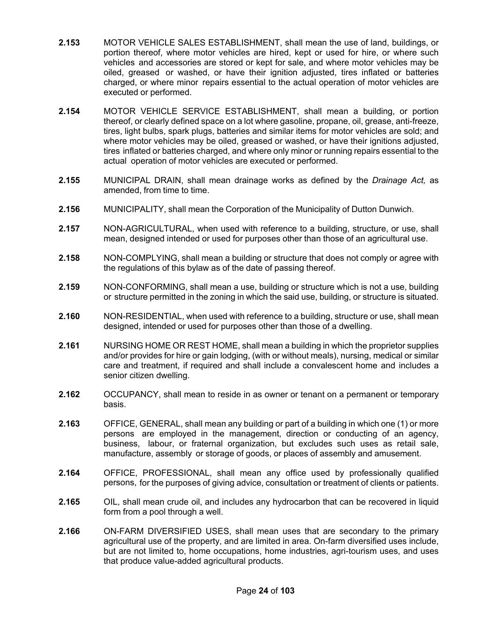- **2.153** MOTOR VEHICLE SALES ESTABLISHMENT, shall mean the use of land, buildings, or portion thereof, where motor vehicles are hired, kept or used for hire, or where such vehicles and accessories are stored or kept for sale, and where motor vehicles may be oiled, greased or washed, or have their ignition adjusted, tires inflated or batteries charged, or where minor repairs essential to the actual operation of motor vehicles are executed or performed.
- **2.154** MOTOR VEHICLE SERVICE ESTABLISHMENT, shall mean a building, or portion thereof, or clearly defined space on a lot where gasoline, propane, oil, grease, anti-freeze, tires, light bulbs, spark plugs, batteries and similar items for motor vehicles are sold; and where motor vehicles may be oiled, greased or washed, or have their ignitions adjusted, tires inflated or batteries charged, and where only minor or running repairs essential to the actual operation of motor vehicles are executed or performed.
- **2.155** MUNICIPAL DRAIN, shall mean drainage works as defined by the *Drainage Act,* as amended, from time to time.
- **2.156** MUNICIPALITY, shall mean the Corporation of the Municipality of Dutton Dunwich.
- **2.157** NON-AGRICULTURAL, when used with reference to a building, structure, or use, shall mean, designed intended or used for purposes other than those of an agricultural use.
- **2.158** NON-COMPLYING, shall mean a building or structure that does not comply or agree with the regulations of this bylaw as of the date of passing thereof.
- **2.159** NON-CONFORMING, shall mean a use, building or structure which is not a use, building or structure permitted in the zoning in which the said use, building, or structure is situated.
- **2.160** NON-RESIDENTIAL, when used with reference to a building, structure or use, shall mean designed, intended or used for purposes other than those of a dwelling.
- **2.161** NURSING HOME OR REST HOME, shall mean a building in which the proprietor supplies and/or provides for hire or gain lodging, (with or without meals), nursing, medical or similar care and treatment, if required and shall include a convalescent home and includes a senior citizen dwelling.
- **2.162** OCCUPANCY, shall mean to reside in as owner or tenant on a permanent or temporary basis.
- **2.163** OFFICE, GENERAL, shall mean any building or part of a building in which one (1) or more persons are employed in the management, direction or conducting of an agency, business, labour, or fraternal organization, but excludes such uses as retail sale, manufacture, assembly or storage of goods, or places of assembly and amusement.
- **2.164** OFFICE, PROFESSIONAL, shall mean any office used by professionally qualified persons, for the purposes of giving advice, consultation or treatment of clients or patients.
- **2.165** OIL, shall mean crude oil, and includes any hydrocarbon that can be recovered in liquid form from a pool through a well.
- **2.166** ON-FARM DIVERSIFIED USES, shall mean uses that are secondary to the primary agricultural use of the property, and are limited in area. On-farm diversified uses include, but are not limited to, home occupations, home industries, agri-tourism uses, and uses that produce value-added agricultural products.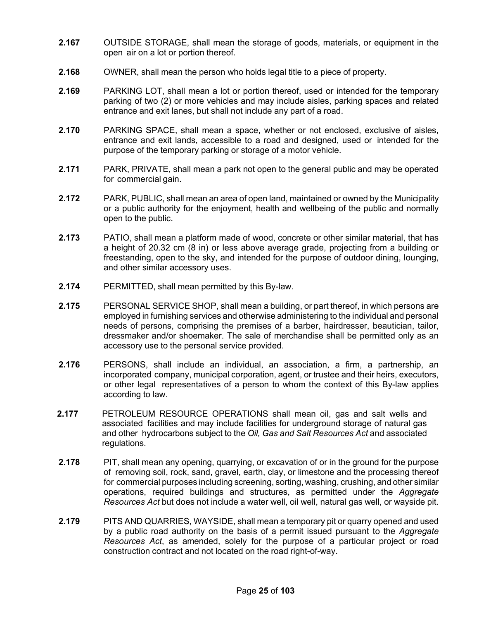- **2.167** OUTSIDE STORAGE, shall mean the storage of goods, materials, or equipment in the open air on a lot or portion thereof.
- **2.168** OWNER, shall mean the person who holds legal title to a piece of property.
- **2.169** PARKING LOT, shall mean a lot or portion thereof, used or intended for the temporary parking of two (2) or more vehicles and may include aisles, parking spaces and related entrance and exit lanes, but shall not include any part of a road.
- **2.170** PARKING SPACE, shall mean a space, whether or not enclosed, exclusive of aisles, entrance and exit lands, accessible to a road and designed, used or intended for the purpose of the temporary parking or storage of a motor vehicle.
- **2.171** PARK, PRIVATE, shall mean a park not open to the general public and may be operated for commercial gain.
- **2.172** PARK, PUBLIC, shall mean an area of open land, maintained or owned by the Municipality or a public authority for the enjoyment, health and wellbeing of the public and normally open to the public.
- **2.173** PATIO, shall mean a platform made of wood, concrete or other similar material, that has a height of 20.32 cm (8 in) or less above average grade, projecting from a building or freestanding, open to the sky, and intended for the purpose of outdoor dining, lounging, and other similar accessory uses.
- **2.174** PERMITTED, shall mean permitted by this By-law.
- **2.175** PERSONAL SERVICE SHOP, shall mean a building, or part thereof, in which persons are employed in furnishing services and otherwise administering to the individual and personal needs of persons, comprising the premises of a barber, hairdresser, beautician, tailor, dressmaker and/or shoemaker. The sale of merchandise shall be permitted only as an accessory use to the personal service provided.
- **2.176** PERSONS, shall include an individual, an association, a firm, a partnership, an incorporated company, municipal corporation, agent, or trustee and their heirs, executors, or other legal representatives of a person to whom the context of this By-law applies according to law.
- **2.177** PETROLEUM RESOURCE OPERATIONS shall mean oil, gas and salt wells and associated facilities and may include facilities for underground storage of natural gas and other hydrocarbons subject to the *Oil, Gas and Salt Resources Act* and associated regulations.
- **2.178** PIT, shall mean any opening, quarrying, or excavation of or in the ground for the purpose of removing soil, rock, sand, gravel, earth, clay, or limestone and the processing thereof for commercial purposes including screening, sorting, washing, crushing, and other similar operations, required buildings and structures, as permitted under the *Aggregate Resources Act* but does not include a water well, oil well, natural gas well, or wayside pit.
- **2.179** PITS AND QUARRIES, WAYSIDE, shall mean a temporary pit or quarry opened and used by a public road authority on the basis of a permit issued pursuant to the *Aggregate Resources Act*, as amended, solely for the purpose of a particular project or road construction contract and not located on the road right-of-way.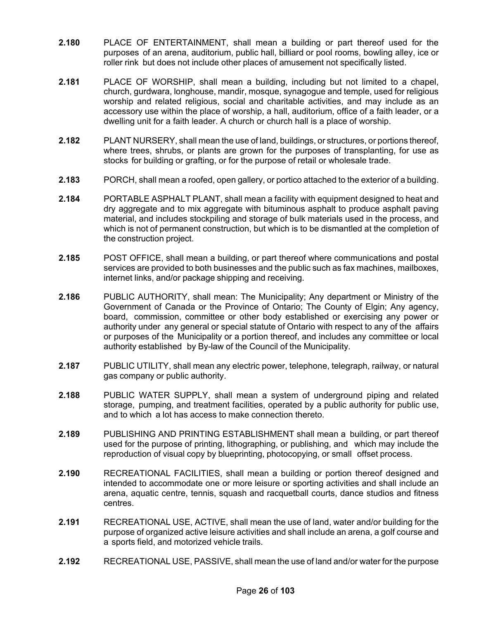- **2.180** PLACE OF ENTERTAINMENT, shall mean a building or part thereof used for the purposes of an arena, auditorium, public hall, billiard or pool rooms, bowling alley, ice or roller rink but does not include other places of amusement not specifically listed.
- **2.181** PLACE OF WORSHIP, shall mean a building, including but not limited to a chapel, church, gurdwara, longhouse, mandir, mosque, synagogue and temple, used for religious worship and related religious, social and charitable activities, and may include as an accessory use within the place of worship, a hall, auditorium, office of a faith leader, or a dwelling unit for a faith leader. A church or church hall is a place of worship.
- **2.182** PLANT NURSERY, shall mean the use of land, buildings, or structures, or portions thereof, where trees, shrubs, or plants are grown for the purposes of transplanting, for use as stocks for building or grafting, or for the purpose of retail or wholesale trade.
- **2.183** PORCH, shall mean a roofed, open gallery, or portico attached to the exterior of a building.
- **2.184** PORTABLE ASPHALT PLANT, shall mean a facility with equipment designed to heat and dry aggregate and to mix aggregate with bituminous asphalt to produce asphalt paving material, and includes stockpiling and storage of bulk materials used in the process, and which is not of permanent construction, but which is to be dismantled at the completion of the construction project.
- **2.185** POST OFFICE, shall mean a building, or part thereof where communications and postal services are provided to both businesses and the public such as fax machines, mailboxes, internet links, and/or package shipping and receiving.
- **2.186** PUBLIC AUTHORITY, shall mean: The Municipality; Any department or Ministry of the Government of Canada or the Province of Ontario; The County of Elgin; Any agency, board, commission, committee or other body established or exercising any power or authority under any general or special statute of Ontario with respect to any of the affairs or purposes of the Municipality or a portion thereof, and includes any committee or local authority established by By-law of the Council of the Municipality.
- **2.187** PUBLIC UTILITY, shall mean any electric power, telephone, telegraph, railway, or natural gas company or public authority.
- **2.188** PUBLIC WATER SUPPLY, shall mean a system of underground piping and related storage, pumping, and treatment facilities, operated by a public authority for public use, and to which a lot has access to make connection thereto.
- **2.189** PUBLISHING AND PRINTING ESTABLISHMENT shall mean a building, or part thereof used for the purpose of printing, lithographing, or publishing, and which may include the reproduction of visual copy by blueprinting, photocopying, or small offset process.
- **2.190** RECREATIONAL FACILITIES, shall mean a building or portion thereof designed and intended to accommodate one or more leisure or sporting activities and shall include an arena, aquatic centre, tennis, squash and racquetball courts, dance studios and fitness centres.
- **2.191** RECREATIONAL USE, ACTIVE, shall mean the use of land, water and/or building for the purpose of organized active leisure activities and shall include an arena, a golf course and a sports field, and motorized vehicle trails.
- **2.192** RECREATIONAL USE, PASSIVE, shall mean the use of land and/or water for the purpose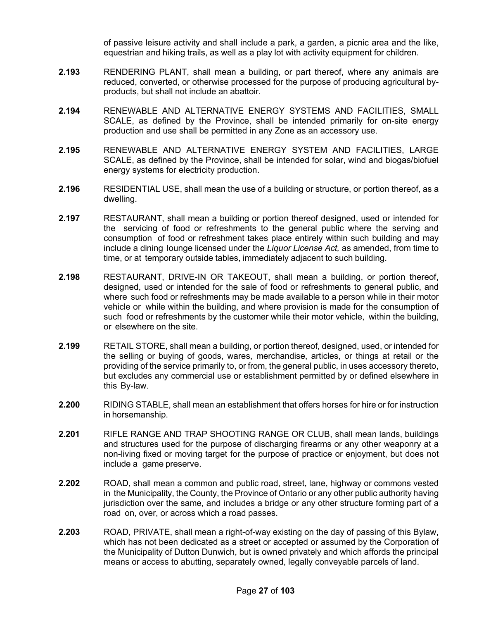of passive leisure activity and shall include a park, a garden, a picnic area and the like, equestrian and hiking trails, as well as a play lot with activity equipment for children.

- **2.193** RENDERING PLANT, shall mean a building, or part thereof, where any animals are reduced, converted, or otherwise processed for the purpose of producing agricultural byproducts, but shall not include an abattoir.
- **2.194** RENEWABLE AND ALTERNATIVE ENERGY SYSTEMS AND FACILITIES, SMALL SCALE, as defined by the Province, shall be intended primarily for on-site energy production and use shall be permitted in any Zone as an accessory use.
- **2.195** RENEWABLE AND ALTERNATIVE ENERGY SYSTEM AND FACILITIES, LARGE SCALE, as defined by the Province, shall be intended for solar, wind and biogas/biofuel energy systems for electricity production.
- **2.196** RESIDENTIAL USE, shall mean the use of a building or structure, or portion thereof, as a dwelling.
- **2.197** RESTAURANT, shall mean a building or portion thereof designed, used or intended for the servicing of food or refreshments to the general public where the serving and consumption of food or refreshment takes place entirely within such building and may include a dining lounge licensed under the *Liquor License Act,* as amended, from time to time, or at temporary outside tables, immediately adjacent to such building.
- **2.198** RESTAURANT, DRIVE-IN OR TAKEOUT, shall mean a building, or portion thereof, designed, used or intended for the sale of food or refreshments to general public, and where such food or refreshments may be made available to a person while in their motor vehicle or while within the building, and where provision is made for the consumption of such food or refreshments by the customer while their motor vehicle, within the building, or elsewhere on the site.
- **2.199** RETAIL STORE, shall mean a building, or portion thereof, designed, used, or intended for the selling or buying of goods, wares, merchandise, articles, or things at retail or the providing of the service primarily to, or from, the general public, in uses accessory thereto, but excludes any commercial use or establishment permitted by or defined elsewhere in this By-law.
- **2.200** RIDING STABLE, shall mean an establishment that offers horses for hire or for instruction in horsemanship.
- **2.201** RIFLE RANGE AND TRAP SHOOTING RANGE OR CLUB, shall mean lands, buildings and structures used for the purpose of discharging firearms or any other weaponry at a non-living fixed or moving target for the purpose of practice or enjoyment, but does not include a game preserve.
- **2.202** ROAD, shall mean a common and public road, street, lane, highway or commons vested in the Municipality, the County, the Province of Ontario or any other public authority having jurisdiction over the same, and includes a bridge or any other structure forming part of a road on, over, or across which a road passes.
- **2.203** ROAD, PRIVATE, shall mean a right-of-way existing on the day of passing of this Bylaw, which has not been dedicated as a street or accepted or assumed by the Corporation of the Municipality of Dutton Dunwich, but is owned privately and which affords the principal means or access to abutting, separately owned, legally conveyable parcels of land.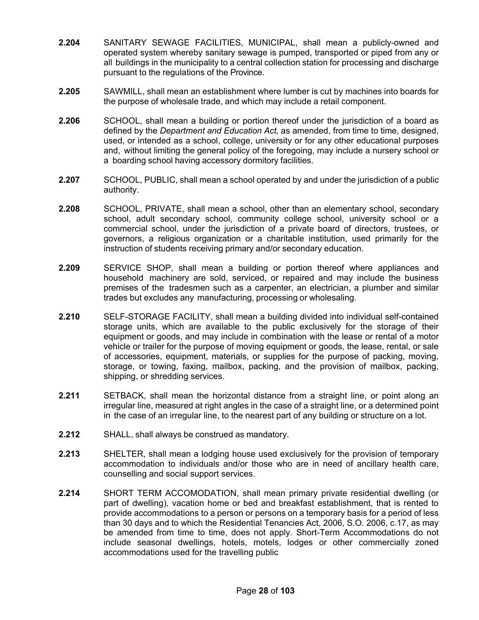- **2.204** SANITARY SEWAGE FACILITIES, MUNICIPAL, shall mean a publicly-owned and operated system whereby sanitary sewage is pumped, transported or piped from any or all buildings in the municipality to a central collection station for processing and discharge pursuant to the regulations of the Province.
- **2.205** SAWMILL, shall mean an establishment where lumber is cut by machines into boards for the purpose of wholesale trade, and which may include a retail component.
- **2.206** SCHOOL, shall mean a building or portion thereof under the jurisdiction of a board as defined by the *Department and Education Act,* as amended, from time to time, designed, used, or intended as a school, college, university or for any other educational purposes and, without limiting the general policy of the foregoing, may include a nursery school or a boarding school having accessory dormitory facilities.
- **2.207** SCHOOL, PUBLIC, shall mean a school operated by and under the jurisdiction of a public authority.
- **2.208** SCHOOL, PRIVATE, shall mean a school, other than an elementary school, secondary school, adult secondary school, community college school, university school or a commercial school, under the jurisdiction of a private board of directors, trustees, or governors, a religious organization or a charitable institution, used primarily for the instruction of students receiving primary and/or secondary education.
- **2.209** SERVICE SHOP, shall mean a building or portion thereof where appliances and household machinery are sold, serviced, or repaired and may include the business premises of the tradesmen such as a carpenter, an electrician, a plumber and similar trades but excludes any manufacturing, processing or wholesaling.
- **2.210** SELF-STORAGE FACILITY, shall mean a building divided into individual self-contained storage units, which are available to the public exclusively for the storage of their equipment or goods, and may include in combination with the lease or rental of a motor vehicle or trailer for the purpose of moving equipment or goods, the lease, rental, or sale of accessories, equipment, materials, or supplies for the purpose of packing, moving, storage, or towing, faxing, mailbox, packing, and the provision of mailbox, packing, shipping, or shredding services.
- **2.211** SETBACK, shall mean the horizontal distance from a straight line, or point along an irregular line, measured at right angles in the case of a straight line, or a determined point in the case of an irregular line, to the nearest part of any building or structure on a lot.
- **2.212** SHALL, shall always be construed as mandatory.
- **2.213** SHELTER, shall mean a lodging house used exclusively for the provision of temporary accommodation to individuals and/or those who are in need of ancillary health care, counselling and social support services.
- **2.214** SHORT TERM ACCOMODATION, shall mean primary private residential dwelling (or part of dwelling), vacation home or bed and breakfast establishment, that is rented to provide accommodations to a person or persons on a temporary basis for a period of less than 30 days and to which the Residential Tenancies Act, 2006, S.O. 2006, c.17, as may be amended from time to time, does not apply. Short-Term Accommodations do not include seasonal dwellings, hotels, motels, lodges or other commercially zoned accommodations used for the travelling public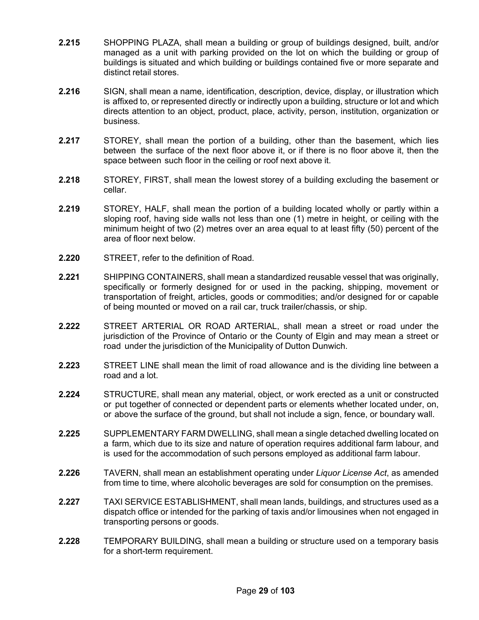- **2.215** SHOPPING PLAZA, shall mean a building or group of buildings designed, built, and/or managed as a unit with parking provided on the lot on which the building or group of buildings is situated and which building or buildings contained five or more separate and distinct retail stores.
- **2.216** SIGN, shall mean a name, identification, description, device, display, or illustration which is affixed to, or represented directly or indirectly upon a building, structure or lot and which directs attention to an object, product, place, activity, person, institution, organization or business.
- **2.217** STOREY, shall mean the portion of a building, other than the basement, which lies between the surface of the next floor above it, or if there is no floor above it, then the space between such floor in the ceiling or roof next above it.
- **2.218** STOREY, FIRST, shall mean the lowest storey of a building excluding the basement or cellar.
- **2.219** STOREY, HALF, shall mean the portion of a building located wholly or partly within a sloping roof, having side walls not less than one (1) metre in height, or ceiling with the minimum height of two (2) metres over an area equal to at least fifty (50) percent of the area of floor next below.
- **2.220** STREET, refer to the definition of Road.
- **2.221** SHIPPING CONTAINERS, shall mean a standardized reusable vessel that was originally, specifically or formerly designed for or used in the packing, shipping, movement or transportation of freight, articles, goods or commodities; and/or designed for or capable of being mounted or moved on a rail car, truck trailer/chassis, or ship.
- **2.222** STREET ARTERIAL OR ROAD ARTERIAL, shall mean a street or road under the jurisdiction of the Province of Ontario or the County of Elgin and may mean a street or road under the jurisdiction of the Municipality of Dutton Dunwich.
- **2.223** STREET LINE shall mean the limit of road allowance and is the dividing line between a road and a lot.
- **2.224** STRUCTURE, shall mean any material, object, or work erected as a unit or constructed or put together of connected or dependent parts or elements whether located under, on, or above the surface of the ground, but shall not include a sign, fence, or boundary wall.
- **2.225** SUPPLEMENTARY FARM DWELLING, shall mean a single detached dwelling located on a farm, which due to its size and nature of operation requires additional farm labour, and is used for the accommodation of such persons employed as additional farm labour.
- **2.226** TAVERN, shall mean an establishment operating under *Liquor License Act*, as amended from time to time, where alcoholic beverages are sold for consumption on the premises.
- **2.227** TAXI SERVICE ESTABLISHMENT, shall mean lands, buildings, and structures used as a dispatch office or intended for the parking of taxis and/or limousines when not engaged in transporting persons or goods.
- **2.228** TEMPORARY BUILDING, shall mean a building or structure used on a temporary basis for a short-term requirement.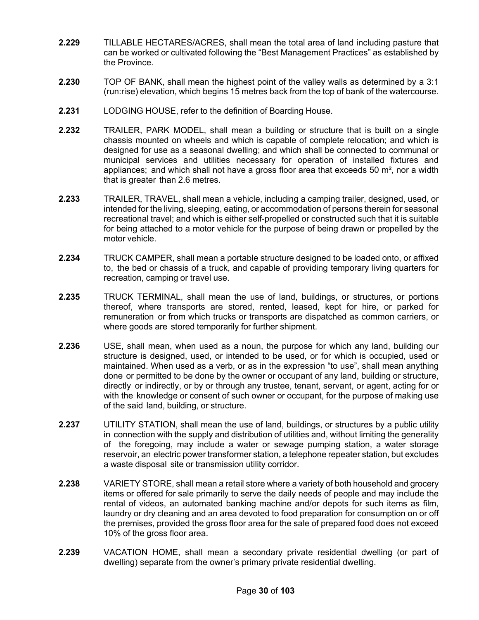- **2.229** TILLABLE HECTARES/ACRES, shall mean the total area of land including pasture that can be worked or cultivated following the "Best Management Practices" as established by the Province.
- **2.230** TOP OF BANK, shall mean the highest point of the valley walls as determined by a 3:1 (run:rise) elevation, which begins 15 metres back from the top of bank of the watercourse.
- **2.231** LODGING HOUSE, refer to the definition of Boarding House.
- **2.232** TRAILER, PARK MODEL, shall mean a building or structure that is built on a single chassis mounted on wheels and which is capable of complete relocation; and which is designed for use as a seasonal dwelling; and which shall be connected to communal or municipal services and utilities necessary for operation of installed fixtures and appliances; and which shall not have a gross floor area that exceeds 50  $m^2$ , nor a width that is greater than 2.6 metres.
- **2.233** TRAILER, TRAVEL, shall mean a vehicle, including a camping trailer, designed, used, or intended for the living, sleeping, eating, or accommodation of persons therein for seasonal recreational travel; and which is either self-propelled or constructed such that it is suitable for being attached to a motor vehicle for the purpose of being drawn or propelled by the motor vehicle.
- **2.234** TRUCK CAMPER, shall mean a portable structure designed to be loaded onto, or affixed to, the bed or chassis of a truck, and capable of providing temporary living quarters for recreation, camping or travel use.
- **2.235** TRUCK TERMINAL, shall mean the use of land, buildings, or structures, or portions thereof, where transports are stored, rented, leased, kept for hire, or parked for remuneration or from which trucks or transports are dispatched as common carriers, or where goods are stored temporarily for further shipment.
- **2.236** USE, shall mean, when used as a noun, the purpose for which any land, building our structure is designed, used, or intended to be used, or for which is occupied, used or maintained. When used as a verb, or as in the expression "to use", shall mean anything done or permitted to be done by the owner or occupant of any land, building or structure, directly or indirectly, or by or through any trustee, tenant, servant, or agent, acting for or with the knowledge or consent of such owner or occupant, for the purpose of making use of the said land, building, or structure.
- **2.237** UTILITY STATION, shall mean the use of land, buildings, or structures by a public utility in connection with the supply and distribution of utilities and, without limiting the generality of the foregoing, may include a water or sewage pumping station, a water storage reservoir, an electric power transformer station, a telephone repeater station, but excludes a waste disposal site or transmission utility corridor.
- **2.238** VARIETY STORE, shall mean a retail store where a variety of both household and grocery items or offered for sale primarily to serve the daily needs of people and may include the rental of videos, an automated banking machine and/or depots for such items as film, laundry or dry cleaning and an area devoted to food preparation for consumption on or off the premises, provided the gross floor area for the sale of prepared food does not exceed 10% of the gross floor area.
- **2.239** VACATION HOME, shall mean a secondary private residential dwelling (or part of dwelling) separate from the owner's primary private residential dwelling.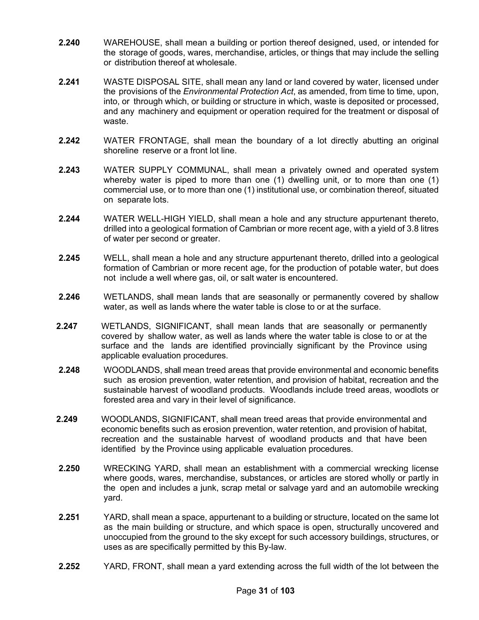- **2.240** WAREHOUSE, shall mean a building or portion thereof designed, used, or intended for the storage of goods, wares, merchandise, articles, or things that may include the selling or distribution thereof at wholesale.
- **2.241** WASTE DISPOSAL SITE, shall mean any land or land covered by water, licensed under the provisions of the *Environmental Protection Act*, as amended, from time to time, upon, into, or through which, or building or structure in which, waste is deposited or processed, and any machinery and equipment or operation required for the treatment or disposal of waste.
- **2.242** WATER FRONTAGE, shall mean the boundary of a lot directly abutting an original shoreline reserve or a front lot line.
- **2.243** WATER SUPPLY COMMUNAL, shall mean a privately owned and operated system whereby water is piped to more than one (1) dwelling unit, or to more than one (1) commercial use, or to more than one (1) institutional use, or combination thereof, situated on separate lots.
- **2.244** WATER WELL-HIGH YIELD, shall mean a hole and any structure appurtenant thereto, drilled into a geological formation of Cambrian or more recent age, with a yield of 3.8 litres of water per second or greater.
- **2.245** WELL, shall mean a hole and any structure appurtenant thereto, drilled into a geological formation of Cambrian or more recent age, for the production of potable water, but does not include a well where gas, oil, or salt water is encountered.
- **2.246** WETLANDS, shall mean lands that are seasonally or permanently covered by shallow water, as well as lands where the water table is close to or at the surface.
- **2.247** WETLANDS, SIGNIFICANT, shall mean lands that are seasonally or permanently covered by shallow water, as well as lands where the water table is close to or at the surface and the lands are identified provincially significant by the Province using applicable evaluation procedures.
- **2.248** WOODLANDS, shall mean treed areas that provide environmental and economic benefits such as erosion prevention, water retention, and provision of habitat, recreation and the sustainable harvest of woodland products. Woodlands include treed areas, woodlots or forested area and vary in their level of significance.
- **2.249** WOODLANDS, SIGNIFICANT, shall mean treed areas that provide environmental and economic benefits such as erosion prevention, water retention, and provision of habitat, recreation and the sustainable harvest of woodland products and that have been identified by the Province using applicable evaluation procedures.
- **2.250** WRECKING YARD, shall mean an establishment with a commercial wrecking license where goods, wares, merchandise, substances, or articles are stored wholly or partly in the open and includes a junk, scrap metal or salvage yard and an automobile wrecking yard.
- **2.251** YARD, shall mean a space, appurtenant to a building or structure, located on the same lot as the main building or structure, and which space is open, structurally uncovered and unoccupied from the ground to the sky except for such accessory buildings, structures, or uses as are specifically permitted by this By-law.
- **2.252** YARD, FRONT, shall mean a yard extending across the full width of the lot between the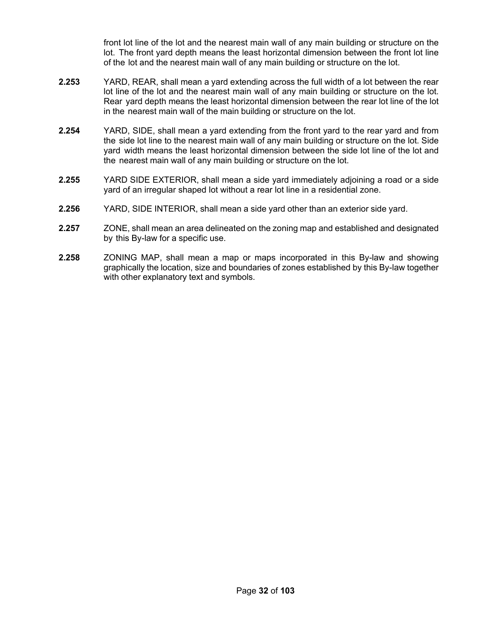front lot line of the lot and the nearest main wall of any main building or structure on the lot. The front yard depth means the least horizontal dimension between the front lot line of the lot and the nearest main wall of any main building or structure on the lot.

- **2.253** YARD, REAR, shall mean a yard extending across the full width of a lot between the rear lot line of the lot and the nearest main wall of any main building or structure on the lot. Rear yard depth means the least horizontal dimension between the rear lot line of the lot in the nearest main wall of the main building or structure on the lot.
- **2.254** YARD, SIDE, shall mean a yard extending from the front yard to the rear yard and from the side lot line to the nearest main wall of any main building or structure on the lot. Side yard width means the least horizontal dimension between the side lot line of the lot and the nearest main wall of any main building or structure on the lot.
- **2.255** YARD SIDE EXTERIOR, shall mean a side yard immediately adjoining a road or a side yard of an irregular shaped lot without a rear lot line in a residential zone.
- **2.256** YARD, SIDE INTERIOR, shall mean a side yard other than an exterior side yard.
- **2.257** ZONE, shall mean an area delineated on the zoning map and established and designated by this By-law for a specific use.
- **2.258** ZONING MAP, shall mean a map or maps incorporated in this By-law and showing graphically the location, size and boundaries of zones established by this By-law together with other explanatory text and symbols.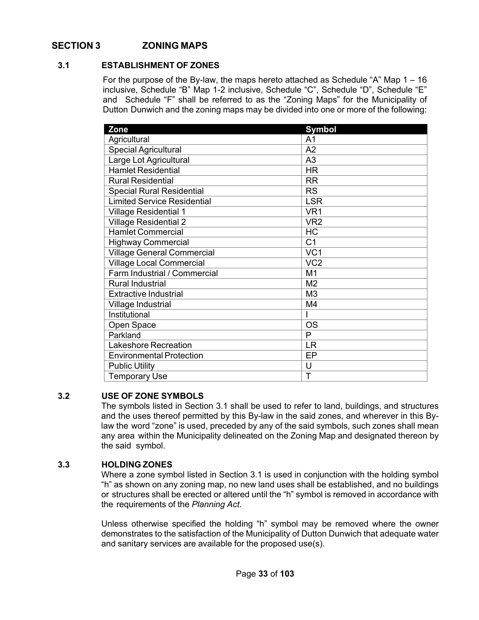## <span id="page-32-0"></span>**SECTION 3 ZONING MAPS**

## <span id="page-32-1"></span>**3.1 ESTABLISHMENT OF ZONES**

For the purpose of the By-law, the maps hereto attached as Schedule "A" Map 1 – 16 inclusive, Schedule "B" Map 1-2 inclusive, Schedule "C", Schedule "D", Schedule "E" and Schedule "F" shall be referred to as the "Zoning Maps" for the Municipality of Dutton Dunwich and the zoning maps may be divided into one or more of the following:

| Zone                               | <b>Symbol</b>   |
|------------------------------------|-----------------|
| Agricultural                       | A <sub>1</sub>  |
| <b>Special Agricultural</b>        | A2              |
| Large Lot Agricultural             | A <sub>3</sub>  |
| <b>Hamlet Residential</b>          | <b>HR</b>       |
| <b>Rural Residential</b>           | <b>RR</b>       |
| <b>Special Rural Residential</b>   | <b>RS</b>       |
| <b>Limited Service Residential</b> | <b>LSR</b>      |
| <b>Village Residential 1</b>       | VR <sub>1</sub> |
| <b>Village Residential 2</b>       | VR <sub>2</sub> |
| <b>Hamlet Commercial</b>           | HC              |
| <b>Highway Commercial</b>          | C <sub>1</sub>  |
| <b>Village General Commercial</b>  | VC <sub>1</sub> |
| <b>Village Local Commercial</b>    | VC <sub>2</sub> |
| Farm Industrial / Commercial       | M <sub>1</sub>  |
| <b>Rural Industrial</b>            | M <sub>2</sub>  |
| <b>Extractive Industrial</b>       | M <sub>3</sub>  |
| Village Industrial                 | M4              |
| Institutional                      |                 |
| Open Space                         | <b>OS</b>       |
| Parkland                           | P               |
| Lakeshore Recreation               | <b>LR</b>       |
| <b>Environmental Protection</b>    | EP              |
| <b>Public Utility</b>              | U               |
| <b>Temporary Use</b>               | Т               |

## <span id="page-32-2"></span>**3.2 USE OF ZONE SYMBOLS**

The symbols listed in Section 3.1 shall be used to refer to land, buildings, and structures and the uses thereof permitted by this By-law in the said zones, and wherever in this Bylaw the word "zone" is used, preceded by any of the said symbols, such zones shall mean any area within the Municipality delineated on the Zoning Map and designated thereon by the said symbol.

## <span id="page-32-3"></span>**3.3 HOLDING ZONES**

Where a zone symbol listed in Section 3.1 is used in conjunction with the holding symbol "h" as shown on any zoning map, no new land uses shall be established, and no buildings or structures shall be erected or altered until the "h" symbol is removed in accordance with the requirements of the *Planning Act.*

Unless otherwise specified the holding "h" symbol may be removed where the owner demonstrates to the satisfaction of the Municipality of Dutton Dunwich that adequate water and sanitary services are available for the proposed use(s).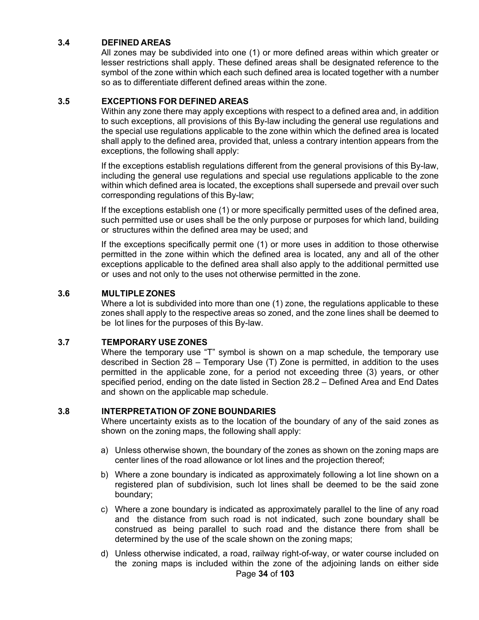## <span id="page-33-0"></span>**3.4 DEFINED AREAS**

All zones may be subdivided into one (1) or more defined areas within which greater or lesser restrictions shall apply. These defined areas shall be designated reference to the symbol of the zone within which each such defined area is located together with a number so as to differentiate different defined areas within the zone.

## <span id="page-33-1"></span>**3.5 EXCEPTIONS FOR DEFINED AREAS**

Within any zone there may apply exceptions with respect to a defined area and, in addition to such exceptions, all provisions of this By-law including the general use regulations and the special use regulations applicable to the zone within which the defined area is located shall apply to the defined area, provided that, unless a contrary intention appears from the exceptions, the following shall apply:

If the exceptions establish regulations different from the general provisions of this By-law, including the general use regulations and special use regulations applicable to the zone within which defined area is located, the exceptions shall supersede and prevail over such corresponding regulations of this By-law;

If the exceptions establish one (1) or more specifically permitted uses of the defined area, such permitted use or uses shall be the only purpose or purposes for which land, building or structures within the defined area may be used; and

If the exceptions specifically permit one (1) or more uses in addition to those otherwise permitted in the zone within which the defined area is located, any and all of the other exceptions applicable to the defined area shall also apply to the additional permitted use or uses and not only to the uses not otherwise permitted in the zone.

## <span id="page-33-2"></span>**3.6 MULTIPLE ZONES**

Where a lot is subdivided into more than one (1) zone, the regulations applicable to these zones shall apply to the respective areas so zoned, and the zone lines shall be deemed to be lot lines for the purposes of this By-law.

## <span id="page-33-3"></span>**3.7 TEMPORARY USE ZONES**

Where the temporary use "T" symbol is shown on a map schedule, the temporary use described in Section 28 – Temporary Use (T) Zone is permitted, in addition to the uses permitted in the applicable zone, for a period not exceeding three (3) years, or other specified period, ending on the date listed in Section 28.2 – Defined Area and End Dates and shown on the applicable map schedule.

## <span id="page-33-4"></span>**3.8 INTERPRETATION OF ZONE BOUNDARIES**

Where uncertainty exists as to the location of the boundary of any of the said zones as shown on the zoning maps, the following shall apply:

- a) Unless otherwise shown, the boundary of the zones as shown on the zoning maps are center lines of the road allowance or lot lines and the projection thereof;
- b) Where a zone boundary is indicated as approximately following a lot line shown on a registered plan of subdivision, such lot lines shall be deemed to be the said zone boundary;
- c) Where a zone boundary is indicated as approximately parallel to the line of any road and the distance from such road is not indicated, such zone boundary shall be construed as being parallel to such road and the distance there from shall be determined by the use of the scale shown on the zoning maps;
- d) Unless otherwise indicated, a road, railway right-of-way, or water course included on the zoning maps is included within the zone of the adjoining lands on either side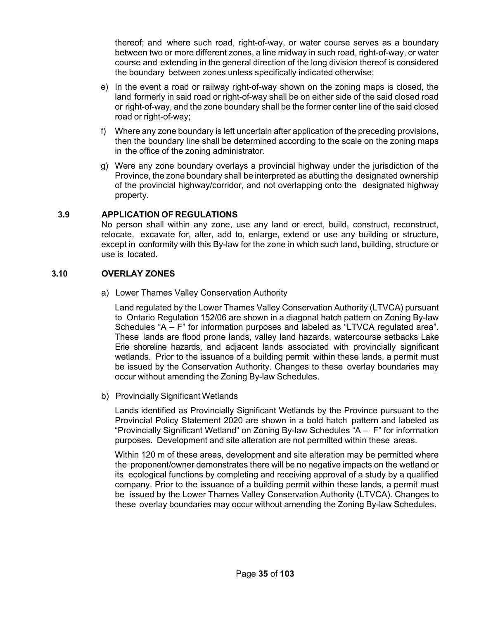thereof; and where such road, right-of-way, or water course serves as a boundary between two or more different zones, a line midway in such road, right-of-way, or water course and extending in the general direction of the long division thereof is considered the boundary between zones unless specifically indicated otherwise;

- e) In the event a road or railway right-of-way shown on the zoning maps is closed, the land formerly in said road or right-of-way shall be on either side of the said closed road or right-of-way, and the zone boundary shall be the former center line of the said closed road or right-of-way;
- f) Where any zone boundary is left uncertain after application of the preceding provisions, then the boundary line shall be determined according to the scale on the zoning maps in the office of the zoning administrator.
- g) Were any zone boundary overlays a provincial highway under the jurisdiction of the Province, the zone boundary shall be interpreted as abutting the designated ownership of the provincial highway/corridor, and not overlapping onto the designated highway property.

## <span id="page-34-0"></span>**3.9 APPLICATION OF REGULATIONS**

No person shall within any zone, use any land or erect, build, construct, reconstruct, relocate, excavate for, alter, add to, enlarge, extend or use any building or structure, except in conformity with this By-law for the zone in which such land, building, structure or use is located.

## <span id="page-34-1"></span>**3.10 OVERLAY ZONES**

a) Lower Thames Valley Conservation Authority

Land regulated by the Lower Thames Valley Conservation Authority (LTVCA) pursuant to Ontario Regulation 152/06 are shown in a diagonal hatch pattern on Zoning By-law Schedules "A – F" for information purposes and labeled as "LTVCA regulated area". These lands are flood prone lands, valley land hazards, watercourse setbacks Lake Erie shoreline hazards, and adjacent lands associated with provincially significant wetlands. Prior to the issuance of a building permit within these lands, a permit must be issued by the Conservation Authority. Changes to these overlay boundaries may occur without amending the Zoning By-law Schedules.

b) Provincially Significant Wetlands

Lands identified as Provincially Significant Wetlands by the Province pursuant to the Provincial Policy Statement 2020 are shown in a bold hatch pattern and labeled as "Provincially Significant Wetland" on Zoning By-law Schedules "A – F" for information purposes. Development and site alteration are not permitted within these areas.

Within 120 m of these areas, development and site alteration may be permitted where the proponent/owner demonstrates there will be no negative impacts on the wetland or its ecological functions by completing and receiving approval of a study by a qualified company. Prior to the issuance of a building permit within these lands, a permit must be issued by the Lower Thames Valley Conservation Authority (LTVCA). Changes to these overlay boundaries may occur without amending the Zoning By-law Schedules.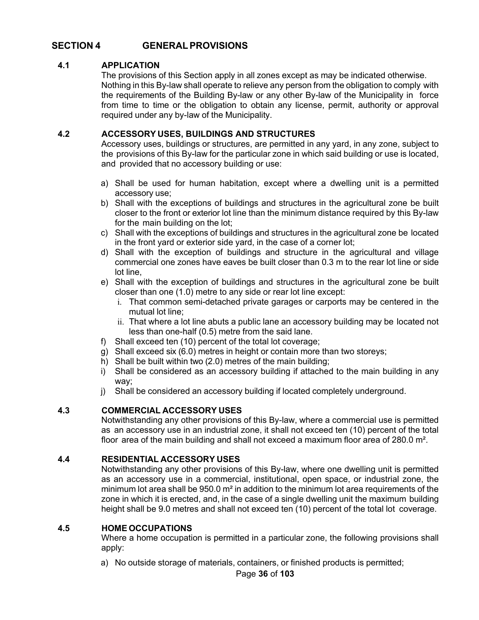## <span id="page-35-0"></span>**SECTION 4 GENERALPROVISIONS**

## <span id="page-35-1"></span>**4.1 APPLICATION**

The provisions of this Section apply in all zones except as may be indicated otherwise. Nothing in this By-law shall operate to relieve any person from the obligation to comply with the requirements of the Building By-law or any other By-law of the Municipality in force from time to time or the obligation to obtain any license, permit, authority or approval required under any by-law of the Municipality.

## <span id="page-35-2"></span>**4.2 ACCESSORY USES, BUILDINGS AND STRUCTURES**

Accessory uses, buildings or structures, are permitted in any yard, in any zone, subject to the provisions of this By-law for the particular zone in which said building or use is located, and provided that no accessory building or use:

- a) Shall be used for human habitation, except where a dwelling unit is a permitted accessory use;
- b) Shall with the exceptions of buildings and structures in the agricultural zone be built closer to the front or exterior lot line than the minimum distance required by this By-law for the main building on the lot;
- c) Shall with the exceptions of buildings and structures in the agricultural zone be located in the front yard or exterior side yard, in the case of a corner lot;
- d) Shall with the exception of buildings and structure in the agricultural and village commercial one zones have eaves be built closer than 0.3 m to the rear lot line or side lot line,
- e) Shall with the exception of buildings and structures in the agricultural zone be built closer than one (1.0) metre to any side or rear lot line except:
	- i. That common semi-detached private garages or carports may be centered in the mutual lot line;
	- ii. That where a lot line abuts a public lane an accessory building may be located not less than one-half (0.5) metre from the said lane.
- f) Shall exceed ten (10) percent of the total lot coverage;
- g) Shall exceed six (6.0) metres in height or contain more than two storeys;
- h) Shall be built within two (2.0) metres of the main building;
- i) Shall be considered as an accessory building if attached to the main building in any way;
- j) Shall be considered an accessory building if located completely underground.

## <span id="page-35-3"></span>**4.3 COMMERCIAL ACCESSORY USES**

Notwithstanding any other provisions of this By-law, where a commercial use is permitted as an accessory use in an industrial zone, it shall not exceed ten (10) percent of the total floor area of the main building and shall not exceed a maximum floor area of 280.0 m².

## <span id="page-35-4"></span>**4.4 RESIDENTIAL ACCESSORY USES**

Notwithstanding any other provisions of this By-law, where one dwelling unit is permitted as an accessory use in a commercial, institutional, open space, or industrial zone, the minimum lot area shall be  $950.0 \text{ m}^2$  in addition to the minimum lot area requirements of the zone in which it is erected, and, in the case of a single dwelling unit the maximum building height shall be 9.0 metres and shall not exceed ten (10) percent of the total lot coverage.

## <span id="page-35-5"></span>**4.5 HOME OCCUPATIONS**

Where a home occupation is permitted in a particular zone, the following provisions shall apply:

a) No outside storage of materials, containers, or finished products is permitted;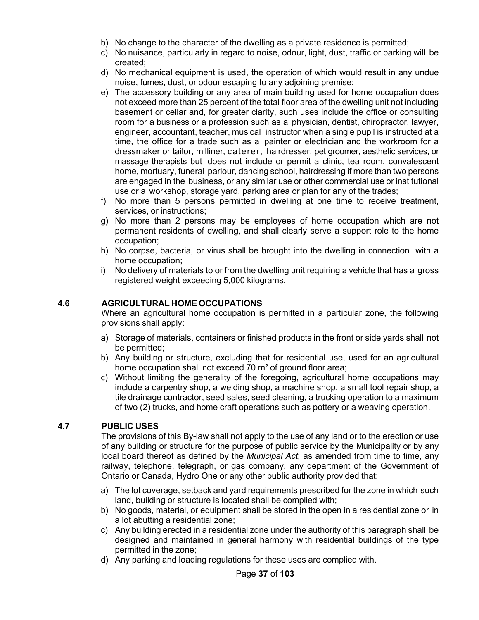- b) No change to the character of the dwelling as a private residence is permitted;
- c) No nuisance, particularly in regard to noise, odour, light, dust, traffic or parking will be created;
- d) No mechanical equipment is used, the operation of which would result in any undue noise, fumes, dust, or odour escaping to any adjoining premise;
- e) The accessory building or any area of main building used for home occupation does not exceed more than 25 percent of the total floor area of the dwelling unit not including basement or cellar and, for greater clarity, such uses include the office or consulting room for a business or a profession such as a physician, dentist, chiropractor, lawyer, engineer, accountant, teacher, musical instructor when a single pupil is instructed at a time, the office for a trade such as a painter or electrician and the workroom for a dressmaker or tailor, milliner, caterer, hairdresser, pet groomer, aesthetic services, or massage therapists but does not include or permit a clinic, tea room, convalescent home, mortuary, funeral parlour, dancing school, hairdressing if more than two persons are engaged in the business, or any similar use or other commercial use or institutional use or a workshop, storage yard, parking area or plan for any of the trades;
- f) No more than 5 persons permitted in dwelling at one time to receive treatment, services, or instructions;
- g) No more than 2 persons may be employees of home occupation which are not permanent residents of dwelling, and shall clearly serve a support role to the home occupation;
- h) No corpse, bacteria, or virus shall be brought into the dwelling in connection with a home occupation;
- i) No delivery of materials to or from the dwelling unit requiring a vehicle that has a gross registered weight exceeding 5,000 kilograms.

### **4.6 AGRICULTURAL HOME OCCUPATIONS**

Where an agricultural home occupation is permitted in a particular zone, the following provisions shall apply:

- a) Storage of materials, containers or finished products in the front or side yards shall not be permitted;
- b) Any building or structure, excluding that for residential use, used for an agricultural home occupation shall not exceed 70 m<sup>2</sup> of ground floor area;
- c) Without limiting the generality of the foregoing, agricultural home occupations may include a carpentry shop, a welding shop, a machine shop, a small tool repair shop, a tile drainage contractor, seed sales, seed cleaning, a trucking operation to a maximum of two (2) trucks, and home craft operations such as pottery or a weaving operation.

### **4.7 PUBLIC USES**

The provisions of this By-law shall not apply to the use of any land or to the erection or use of any building or structure for the purpose of public service by the Municipality or by any local board thereof as defined by the *Municipal Act,* as amended from time to time, any railway, telephone, telegraph, or gas company, any department of the Government of Ontario or Canada, Hydro One or any other public authority provided that:

- a) The lot coverage, setback and yard requirements prescribed for the zone in which such land, building or structure is located shall be complied with;
- b) No goods, material, or equipment shall be stored in the open in a residential zone or in a lot abutting a residential zone;
- c) Any building erected in a residential zone under the authority of this paragraph shall be designed and maintained in general harmony with residential buildings of the type permitted in the zone;
- d) Any parking and loading regulations for these uses are complied with.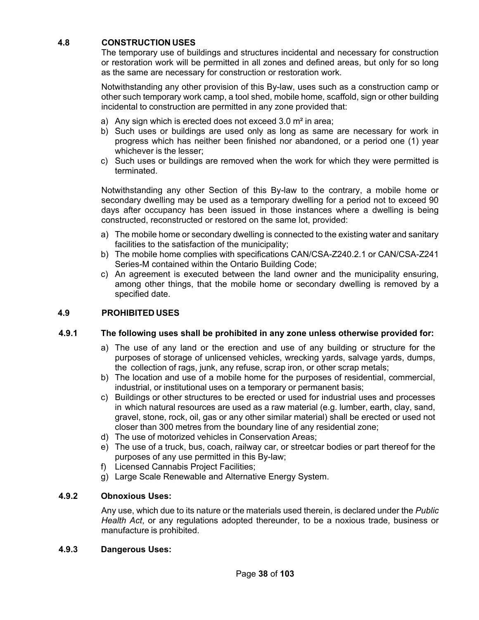## **4.8 CONSTRUCTION USES**

The temporary use of buildings and structures incidental and necessary for construction or restoration work will be permitted in all zones and defined areas, but only for so long as the same are necessary for construction or restoration work.

Notwithstanding any other provision of this By-law, uses such as a construction camp or other such temporary work camp, a tool shed, mobile home, scaffold, sign or other building incidental to construction are permitted in any zone provided that:

- a) Any sign which is erected does not exceed 3.0 m² in area;
- b) Such uses or buildings are used only as long as same are necessary for work in progress which has neither been finished nor abandoned, or a period one (1) year whichever is the lesser;
- c) Such uses or buildings are removed when the work for which they were permitted is terminated.

Notwithstanding any other Section of this By-law to the contrary, a mobile home or secondary dwelling may be used as a temporary dwelling for a period not to exceed 90 days after occupancy has been issued in those instances where a dwelling is being constructed, reconstructed or restored on the same lot, provided:

- a) The mobile home or secondary dwelling is connected to the existing water and sanitary facilities to the satisfaction of the municipality;
- b) The mobile home complies with specifications CAN/CSA-Z240.2.1 or CAN/CSA-Z241 Series-M contained within the Ontario Building Code;
- c) An agreement is executed between the land owner and the municipality ensuring, among other things, that the mobile home or secondary dwelling is removed by a specified date.

### **4.9 PROHIBITED USES**

### **4.9.1 The following uses shall be prohibited in any zone unless otherwise provided for:**

- a) The use of any land or the erection and use of any building or structure for the purposes of storage of unlicensed vehicles, wrecking yards, salvage yards, dumps, the collection of rags, junk, any refuse, scrap iron, or other scrap metals;
- b) The location and use of a mobile home for the purposes of residential, commercial, industrial, or institutional uses on a temporary or permanent basis;
- c) Buildings or other structures to be erected or used for industrial uses and processes in which natural resources are used as a raw material (e.g. lumber, earth, clay, sand, gravel, stone, rock, oil, gas or any other similar material) shall be erected or used not closer than 300 metres from the boundary line of any residential zone;
- d) The use of motorized vehicles in Conservation Areas;
- e) The use of a truck, bus, coach, railway car, or streetcar bodies or part thereof for the purposes of any use permitted in this By-law;
- f) Licensed Cannabis Project Facilities;
- g) Large Scale Renewable and Alternative Energy System.

### **4.9.2 Obnoxious Uses:**

Any use, which due to its nature or the materials used therein, is declared under the *Public Health Act*, or any regulations adopted thereunder, to be a noxious trade, business or manufacture is prohibited.

### **4.9.3 Dangerous Uses:**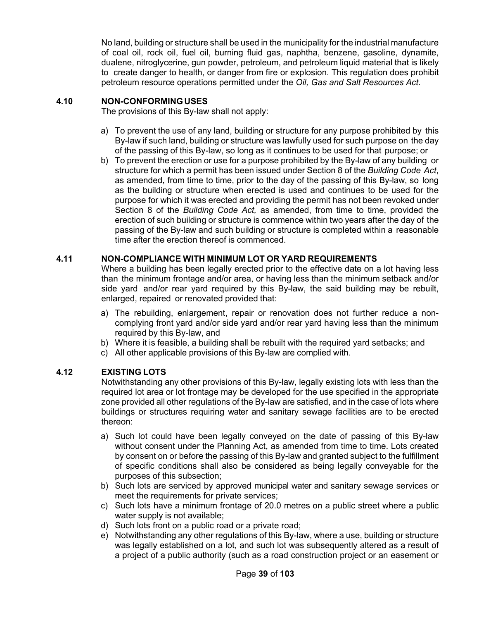No land, building or structure shall be used in the municipality for the industrial manufacture of coal oil, rock oil, fuel oil, burning fluid gas, naphtha, benzene, gasoline, dynamite, dualene, nitroglycerine, gun powder, petroleum, and petroleum liquid material that is likely to create danger to health, or danger from fire or explosion. This regulation does prohibit petroleum resource operations permitted under the *Oil, Gas and Salt Resources Act.*

### **4.10 NON-CONFORMINGUSES**

The provisions of this By-law shall not apply:

- a) To prevent the use of any land, building or structure for any purpose prohibited by this By-law if such land, building or structure was lawfully used for such purpose on the day of the passing of this By-law, so long as it continues to be used for that purpose; or
- b) To prevent the erection or use for a purpose prohibited by the By-law of any building or structure for which a permit has been issued under Section 8 of the *Building Code Act*, as amended, from time to time, prior to the day of the passing of this By-law, so long as the building or structure when erected is used and continues to be used for the purpose for which it was erected and providing the permit has not been revoked under Section 8 of the *Building Code Act,* as amended, from time to time, provided the erection of such building or structure is commence within two years after the day of the passing of the By-law and such building or structure is completed within a reasonable time after the erection thereof is commenced.

### **4.11 NON-COMPLIANCE WITH MINIMUM LOT OR YARD REQUIREMENTS**

Where a building has been legally erected prior to the effective date on a lot having less than the minimum frontage and/or area, or having less than the minimum setback and/or side yard and/or rear yard required by this By-law, the said building may be rebuilt, enlarged, repaired or renovated provided that:

- a) The rebuilding, enlargement, repair or renovation does not further reduce a noncomplying front yard and/or side yard and/or rear yard having less than the minimum required by this By-law, and
- b) Where it is feasible, a building shall be rebuilt with the required yard setbacks; and
- c) All other applicable provisions of this By-law are complied with.

### **4.12 EXISTING LOTS**

Notwithstanding any other provisions of this By-law, legally existing lots with less than the required lot area or lot frontage may be developed for the use specified in the appropriate zone provided all other regulations of the By-law are satisfied, and in the case of lots where buildings or structures requiring water and sanitary sewage facilities are to be erected thereon:

- a) Such lot could have been legally conveyed on the date of passing of this By-law without consent under the Planning Act, as amended from time to time. Lots created by consent on or before the passing of this By-law and granted subject to the fulfillment of specific conditions shall also be considered as being legally conveyable for the purposes of this subsection;
- b) Such lots are serviced by approved municipal water and sanitary sewage services or meet the requirements for private services;
- c) Such lots have a minimum frontage of 20.0 metres on a public street where a public water supply is not available;
- d) Such lots front on a public road or a private road;
- e) Notwithstanding any other regulations of this By-law, where a use, building or structure was legally established on a lot, and such lot was subsequently altered as a result of a project of a public authority (such as a road construction project or an easement or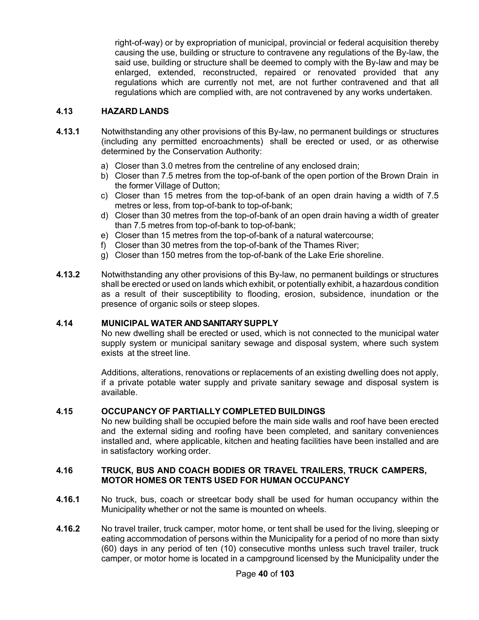right-of-way) or by expropriation of municipal, provincial or federal acquisition thereby causing the use, building or structure to contravene any regulations of the By-law, the said use, building or structure shall be deemed to comply with the By-law and may be enlarged, extended, reconstructed, repaired or renovated provided that any regulations which are currently not met, are not further contravened and that all regulations which are complied with, are not contravened by any works undertaken.

### **4.13 HAZARD LANDS**

- **4.13.1** Notwithstanding any other provisions of this By-law, no permanent buildings or structures (including any permitted encroachments) shall be erected or used, or as otherwise determined by the Conservation Authority:
	- a) Closer than 3.0 metres from the centreline of any enclosed drain;
	- b) Closer than 7.5 metres from the top-of-bank of the open portion of the Brown Drain in the former Village of Dutton;
	- c) Closer than 15 metres from the top-of-bank of an open drain having a width of 7.5 metres or less, from top-of-bank to top-of-bank;
	- d) Closer than 30 metres from the top-of-bank of an open drain having a width of greater than 7.5 metres from top-of-bank to top-of-bank;
	- e) Closer than 15 metres from the top-of-bank of a natural watercourse;
	- f) Closer than 30 metres from the top-of-bank of the Thames River;
	- g) Closer than 150 metres from the top-of-bank of the Lake Erie shoreline.
- **4.13.2** Notwithstanding any other provisions of this By-law, no permanent buildings or structures shall be erected or used on lands which exhibit, or potentially exhibit, a hazardous condition as a result of their susceptibility to flooding, erosion, subsidence, inundation or the presence of organic soils or steep slopes.

#### **4.14 MUNICIPAL WATER AND SANITARY SUPPLY**

No new dwelling shall be erected or used, which is not connected to the municipal water supply system or municipal sanitary sewage and disposal system, where such system exists at the street line.

Additions, alterations, renovations or replacements of an existing dwelling does not apply, if a private potable water supply and private sanitary sewage and disposal system is available.

#### **4.15 OCCUPANCY OF PARTIALLY COMPLETED BUILDINGS**

No new building shall be occupied before the main side walls and roof have been erected and the external siding and roofing have been completed, and sanitary conveniences installed and, where applicable, kitchen and heating facilities have been installed and are in satisfactory working order.

#### **4.16 TRUCK, BUS AND COACH BODIES OR TRAVEL TRAILERS, TRUCK CAMPERS, MOTOR HOMES OR TENTS USED FOR HUMAN OCCUPANCY**

- **4.16.1** No truck, bus, coach or streetcar body shall be used for human occupancy within the Municipality whether or not the same is mounted on wheels.
- **4.16.2** No travel trailer, truck camper, motor home, or tent shall be used for the living, sleeping or eating accommodation of persons within the Municipality for a period of no more than sixty (60) days in any period of ten (10) consecutive months unless such travel trailer, truck camper, or motor home is located in a campground licensed by the Municipality under the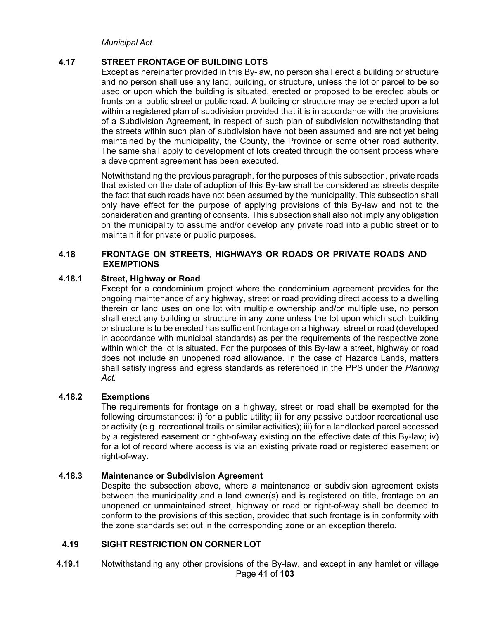*Municipal Act.*

### **4.17 STREET FRONTAGE OF BUILDING LOTS**

Except as hereinafter provided in this By-law, no person shall erect a building or structure and no person shall use any land, building, or structure, unless the lot or parcel to be so used or upon which the building is situated, erected or proposed to be erected abuts or fronts on a public street or public road. A building or structure may be erected upon a lot within a registered plan of subdivision provided that it is in accordance with the provisions of a Subdivision Agreement, in respect of such plan of subdivision notwithstanding that the streets within such plan of subdivision have not been assumed and are not yet being maintained by the municipality, the County, the Province or some other road authority. The same shall apply to development of lots created through the consent process where a development agreement has been executed.

Notwithstanding the previous paragraph, for the purposes of this subsection, private roads that existed on the date of adoption of this By-law shall be considered as streets despite the fact that such roads have not been assumed by the municipality. This subsection shall only have effect for the purpose of applying provisions of this By-law and not to the consideration and granting of consents. This subsection shall also not imply any obligation on the municipality to assume and/or develop any private road into a public street or to maintain it for private or public purposes.

### **4.18 FRONTAGE ON STREETS, HIGHWAYS OR ROADS OR PRIVATE ROADS AND EXEMPTIONS**

### **4.18.1 Street, Highway or Road**

Except for a condominium project where the condominium agreement provides for the ongoing maintenance of any highway, street or road providing direct access to a dwelling therein or land uses on one lot with multiple ownership and/or multiple use, no person shall erect any building or structure in any zone unless the lot upon which such building or structure is to be erected has sufficient frontage on a highway, street or road (developed in accordance with municipal standards) as per the requirements of the respective zone within which the lot is situated. For the purposes of this By-law a street, highway or road does not include an unopened road allowance. In the case of Hazards Lands, matters shall satisfy ingress and egress standards as referenced in the PPS under the *Planning Act.* 

#### **4.18.2 Exemptions**

The requirements for frontage on a highway, street or road shall be exempted for the following circumstances: i) for a public utility; ii) for any passive outdoor recreational use or activity (e.g. recreational trails or similar activities); iii) for a landlocked parcel accessed by a registered easement or right-of-way existing on the effective date of this By-law; iv) for a lot of record where access is via an existing private road or registered easement or right-of-way.

#### **4.18.3 Maintenance or Subdivision Agreement**

Despite the subsection above, where a maintenance or subdivision agreement exists between the municipality and a land owner(s) and is registered on title, frontage on an unopened or unmaintained street, highway or road or right-of-way shall be deemed to conform to the provisions of this section, provided that such frontage is in conformity with the zone standards set out in the corresponding zone or an exception thereto.

### **4.19 SIGHT RESTRICTION ON CORNER LOT**

Page **41** of **103 4.19.1** Notwithstanding any other provisions of the By-law, and except in any hamlet or village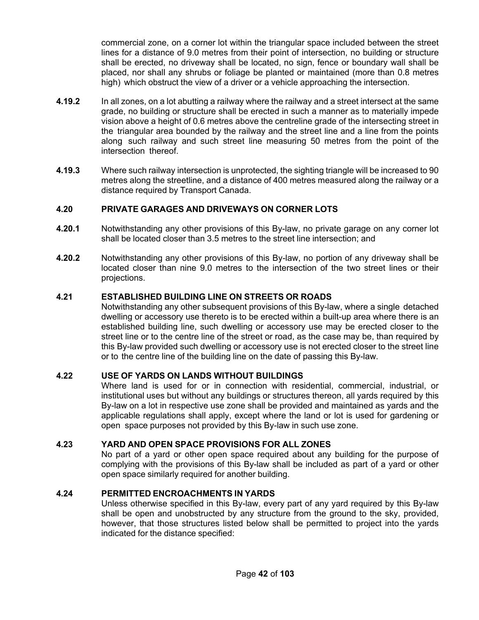commercial zone, on a corner lot within the triangular space included between the street lines for a distance of 9.0 metres from their point of intersection, no building or structure shall be erected, no driveway shall be located, no sign, fence or boundary wall shall be placed, nor shall any shrubs or foliage be planted or maintained (more than 0.8 metres high) which obstruct the view of a driver or a vehicle approaching the intersection.

- **4.19.2** In all zones, on a lot abutting a railway where the railway and a street intersect at the same grade, no building or structure shall be erected in such a manner as to materially impede vision above a height of 0.6 metres above the centreline grade of the intersecting street in the triangular area bounded by the railway and the street line and a line from the points along such railway and such street line measuring 50 metres from the point of the intersection thereof.
- **4.19.3** Where such railway intersection is unprotected, the sighting triangle will be increased to 90 metres along the streetline, and a distance of 400 metres measured along the railway or a distance required by Transport Canada.

### **4.20 PRIVATE GARAGES AND DRIVEWAYS ON CORNER LOTS**

- **4.20.1** Notwithstanding any other provisions of this By-law, no private garage on any corner lot shall be located closer than 3.5 metres to the street line intersection; and
- **4.20.2** Notwithstanding any other provisions of this By-law, no portion of any driveway shall be located closer than nine 9.0 metres to the intersection of the two street lines or their projections.

### **4.21 ESTABLISHED BUILDING LINE ON STREETS OR ROADS**

Notwithstanding any other subsequent provisions of this By-law, where a single detached dwelling or accessory use thereto is to be erected within a built-up area where there is an established building line, such dwelling or accessory use may be erected closer to the street line or to the centre line of the street or road, as the case may be, than required by this By-law provided such dwelling or accessory use is not erected closer to the street line or to the centre line of the building line on the date of passing this By-law.

### **4.22 USE OF YARDS ON LANDS WITHOUT BUILDINGS**

Where land is used for or in connection with residential, commercial, industrial, or institutional uses but without any buildings or structures thereon, all yards required by this By-law on a lot in respective use zone shall be provided and maintained as yards and the applicable regulations shall apply, except where the land or lot is used for gardening or open space purposes not provided by this By-law in such use zone.

### **4.23 YARD AND OPEN SPACE PROVISIONS FOR ALL ZONES**

No part of a yard or other open space required about any building for the purpose of complying with the provisions of this By-law shall be included as part of a yard or other open space similarly required for another building.

### **4.24 PERMITTED ENCROACHMENTS IN YARDS**

Unless otherwise specified in this By-law, every part of any yard required by this By-law shall be open and unobstructed by any structure from the ground to the sky, provided, however, that those structures listed below shall be permitted to project into the yards indicated for the distance specified: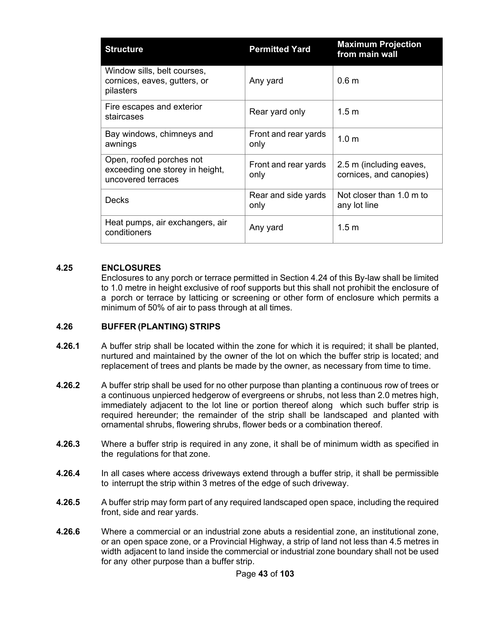| <b>Structure</b>                                                                  | <b>Permitted Yard</b>        | <b>Maximum Projection</b><br>from main wall        |
|-----------------------------------------------------------------------------------|------------------------------|----------------------------------------------------|
| Window sills, belt courses,<br>cornices, eaves, gutters, or<br>pilasters          | Any yard                     | 0.6 <sub>m</sub>                                   |
| Fire escapes and exterior<br>staircases                                           | Rear yard only               | 1.5 m                                              |
| Bay windows, chimneys and<br>awnings                                              | Front and rear yards<br>only | 1.0 <sub>m</sub>                                   |
| Open, roofed porches not<br>exceeding one storey in height,<br>uncovered terraces | Front and rear yards<br>only | 2.5 m (including eaves,<br>cornices, and canopies) |
| Decks                                                                             | Rear and side yards<br>only  | Not closer than 1.0 m to<br>any lot line           |
| Heat pumps, air exchangers, air<br>conditioners                                   | Any yard                     | 1.5 <sub>m</sub>                                   |

### **4.25 ENCLOSURES**

Enclosures to any porch or terrace permitted in Section 4.24 of this By-law shall be limited to 1.0 metre in height exclusive of roof supports but this shall not prohibit the enclosure of a porch or terrace by latticing or screening or other form of enclosure which permits a minimum of 50% of air to pass through at all times.

### **4.26 BUFFER (PLANTING) STRIPS**

- **4.26.1** A buffer strip shall be located within the zone for which it is required; it shall be planted, nurtured and maintained by the owner of the lot on which the buffer strip is located; and replacement of trees and plants be made by the owner, as necessary from time to time.
- **4.26.2** A buffer strip shall be used for no other purpose than planting a continuous row of trees or a continuous unpierced hedgerow of evergreens or shrubs, not less than 2.0 metres high, immediately adjacent to the lot line or portion thereof along which such buffer strip is required hereunder; the remainder of the strip shall be landscaped and planted with ornamental shrubs, flowering shrubs, flower beds or a combination thereof.
- **4.26.3** Where a buffer strip is required in any zone, it shall be of minimum width as specified in the regulations for that zone.
- **4.26.4** In all cases where access driveways extend through a buffer strip, it shall be permissible to interrupt the strip within 3 metres of the edge of such driveway.
- **4.26.5** A buffer strip may form part of any required landscaped open space, including the required front, side and rear yards.
- **4.26.6** Where a commercial or an industrial zone abuts a residential zone, an institutional zone, or an open space zone, or a Provincial Highway, a strip of land not less than 4.5 metres in width adjacent to land inside the commercial or industrial zone boundary shall not be used for any other purpose than a buffer strip.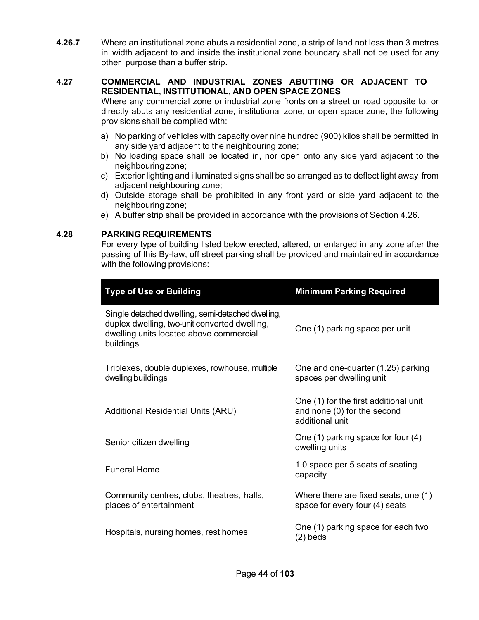**4.26.7** Where an institutional zone abuts a residential zone, a strip of land not less than 3 metres in width adjacent to and inside the institutional zone boundary shall not be used for any other purpose than a buffer strip.

### **4.27 COMMERCIAL AND INDUSTRIAL ZONES ABUTTING OR ADJACENT TO RESIDENTIAL, INSTITUTIONAL, AND OPEN SPACE ZONES**

Where any commercial zone or industrial zone fronts on a street or road opposite to, or directly abuts any residential zone, institutional zone, or open space zone, the following provisions shall be complied with:

- a) No parking of vehicles with capacity over nine hundred (900) kilos shall be permitted in any side yard adjacent to the neighbouring zone;
- b) No loading space shall be located in, nor open onto any side yard adjacent to the neighbouring zone;
- c) Exterior lighting and illuminated signs shall be so arranged as to deflect light away from adjacent neighbouring zone;
- d) Outside storage shall be prohibited in any front yard or side yard adjacent to the neighbouring zone;
- e) A buffer strip shall be provided in accordance with the provisions of Section 4.26.

### **4.28 PARKINGREQUIREMENTS**

For every type of building listed below erected, altered, or enlarged in any zone after the passing of this By-law, off street parking shall be provided and maintained in accordance with the following provisions:

| <b>Type of Use or Building</b>                                                                                                                             | <b>Minimum Parking Required</b>                                                         |
|------------------------------------------------------------------------------------------------------------------------------------------------------------|-----------------------------------------------------------------------------------------|
| Single detached dwelling, semi-detached dwelling,<br>duplex dwelling, two-unit converted dwelling,<br>dwelling units located above commercial<br>buildings | One (1) parking space per unit                                                          |
| Triplexes, double duplexes, rowhouse, multiple<br>dwelling buildings                                                                                       | One and one-quarter (1.25) parking<br>spaces per dwelling unit                          |
| <b>Additional Residential Units (ARU)</b>                                                                                                                  | One (1) for the first additional unit<br>and none (0) for the second<br>additional unit |
| Senior citizen dwelling                                                                                                                                    | One (1) parking space for four (4)<br>dwelling units                                    |
| <b>Funeral Home</b>                                                                                                                                        | 1.0 space per 5 seats of seating<br>capacity                                            |
| Community centres, clubs, theatres, halls,<br>places of entertainment                                                                                      | Where there are fixed seats, one (1)<br>space for every four (4) seats                  |
| Hospitals, nursing homes, rest homes                                                                                                                       | One (1) parking space for each two<br>(2) beds                                          |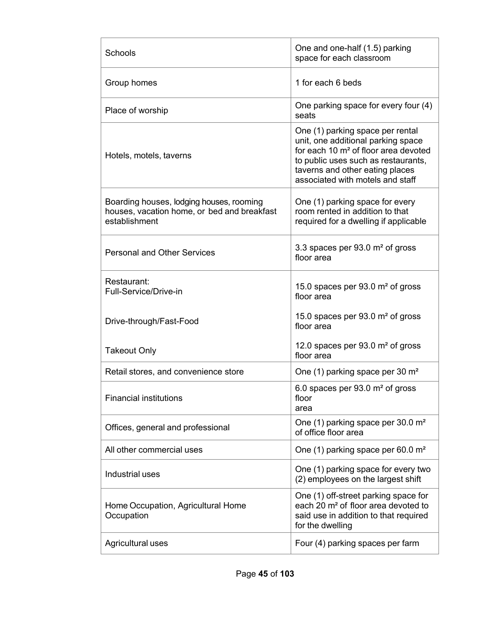| Schools                                                                                                  | One and one-half (1.5) parking<br>space for each classroom                                                                                                                                                                               |
|----------------------------------------------------------------------------------------------------------|------------------------------------------------------------------------------------------------------------------------------------------------------------------------------------------------------------------------------------------|
| Group homes                                                                                              | 1 for each 6 beds                                                                                                                                                                                                                        |
| Place of worship                                                                                         | One parking space for every four (4)<br>seats                                                                                                                                                                                            |
| Hotels, motels, taverns                                                                                  | One (1) parking space per rental<br>unit, one additional parking space<br>for each 10 m <sup>2</sup> of floor area devoted<br>to public uses such as restaurants,<br>taverns and other eating places<br>associated with motels and staff |
| Boarding houses, lodging houses, rooming<br>houses, vacation home, or bed and breakfast<br>establishment | One (1) parking space for every<br>room rented in addition to that<br>required for a dwelling if applicable                                                                                                                              |
| <b>Personal and Other Services</b>                                                                       | 3.3 spaces per $93.0 \text{ m}^2$ of gross<br>floor area                                                                                                                                                                                 |
| Restaurant:<br>Full-Service/Drive-in                                                                     | 15.0 spaces per $93.0$ m <sup>2</sup> of gross<br>floor area                                                                                                                                                                             |
| Drive-through/Fast-Food                                                                                  | 15.0 spaces per $93.0$ m <sup>2</sup> of gross<br>floor area                                                                                                                                                                             |
| <b>Takeout Only</b>                                                                                      | 12.0 spaces per $93.0 \text{ m}^2$ of gross<br>floor area                                                                                                                                                                                |
| Retail stores, and convenience store                                                                     | One (1) parking space per 30 m <sup>2</sup>                                                                                                                                                                                              |
| <b>Financial institutions</b>                                                                            | 6.0 spaces per 93.0 m <sup>2</sup> of gross<br>floor<br>area                                                                                                                                                                             |
| Offices, general and professional                                                                        | One (1) parking space per 30.0 m <sup>2</sup><br>of office floor area                                                                                                                                                                    |
| All other commercial uses                                                                                | One (1) parking space per 60.0 m <sup>2</sup>                                                                                                                                                                                            |
| Industrial uses                                                                                          | One (1) parking space for every two<br>(2) employees on the largest shift                                                                                                                                                                |
| Home Occupation, Agricultural Home<br>Occupation                                                         | One (1) off-street parking space for<br>each 20 m <sup>2</sup> of floor area devoted to<br>said use in addition to that required<br>for the dwelling                                                                                     |
| Agricultural uses                                                                                        | Four (4) parking spaces per farm                                                                                                                                                                                                         |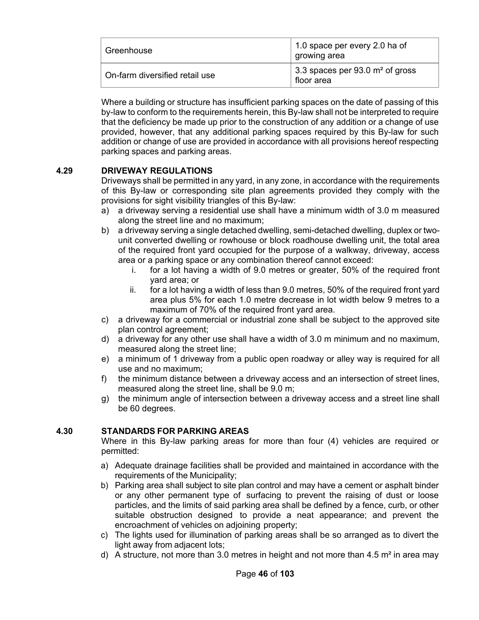| Greenhouse                     | 1.0 space per every 2.0 ha of<br>growing area   |
|--------------------------------|-------------------------------------------------|
| On-farm diversified retail use | 3.3 spaces per 93.0 $m2$ of gross<br>floor area |

Where a building or structure has insufficient parking spaces on the date of passing of this by-law to conform to the requirements herein, this By-law shall not be interpreted to require that the deficiency be made up prior to the construction of any addition or a change of use provided, however, that any additional parking spaces required by this By-law for such addition or change of use are provided in accordance with all provisions hereof respecting parking spaces and parking areas.

### **4.29 DRIVEWAY REGULATIONS**

Driveways shall be permitted in any yard, in any zone, in accordance with the requirements of this By-law or corresponding site plan agreements provided they comply with the provisions for sight visibility triangles of this By-law:

- a) a driveway serving a residential use shall have a minimum width of 3.0 m measured along the street line and no maximum;
- b) a driveway serving a single detached dwelling, semi-detached dwelling, duplex or twounit converted dwelling or rowhouse or block roadhouse dwelling unit, the total area of the required front yard occupied for the purpose of a walkway, driveway, access area or a parking space or any combination thereof cannot exceed:
	- i. for a lot having a width of 9.0 metres or greater, 50% of the required front yard area; or
	- ii. for a lot having a width of less than 9.0 metres, 50% of the required front yard area plus 5% for each 1.0 metre decrease in lot width below 9 metres to a maximum of 70% of the required front yard area.
- c) a driveway for a commercial or industrial zone shall be subject to the approved site plan control agreement;
- d) a driveway for any other use shall have a width of 3.0 m minimum and no maximum, measured along the street line;
- e) a minimum of 1 driveway from a public open roadway or alley way is required for all use and no maximum;
- f) the minimum distance between a driveway access and an intersection of street lines, measured along the street line, shall be 9.0 m;
- g) the minimum angle of intersection between a driveway access and a street line shall be 60 degrees.

### **4.30 STANDARDS FOR PARKING AREAS**

Where in this By-law parking areas for more than four (4) vehicles are required or permitted:

- a) Adequate drainage facilities shall be provided and maintained in accordance with the requirements of the Municipality;
- b) Parking area shall subject to site plan control and may have a cement or asphalt binder or any other permanent type of surfacing to prevent the raising of dust or loose particles, and the limits of said parking area shall be defined by a fence, curb, or other suitable obstruction designed to provide a neat appearance; and prevent the encroachment of vehicles on adjoining property;
- c) The lights used for illumination of parking areas shall be so arranged as to divert the light away from adjacent lots;
- d) A structure, not more than 3.0 metres in height and not more than 4.5  $m<sup>2</sup>$  in area may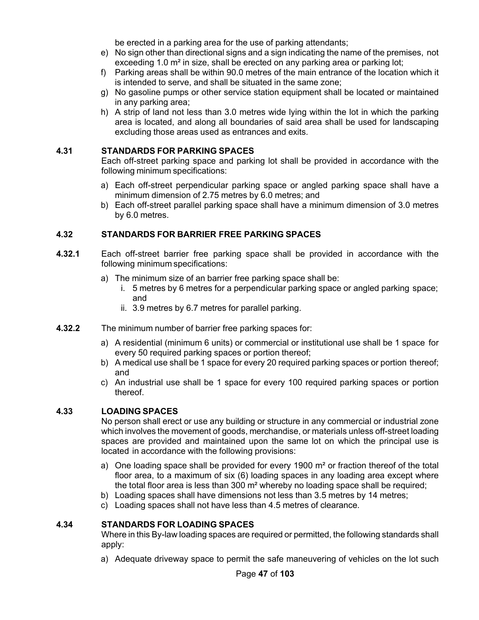be erected in a parking area for the use of parking attendants;

- e) No sign other than directional signs and a sign indicating the name of the premises, not exceeding 1.0 m<sup>2</sup> in size, shall be erected on any parking area or parking lot;
- f) Parking areas shall be within 90.0 metres of the main entrance of the location which it is intended to serve, and shall be situated in the same zone;
- g) No gasoline pumps or other service station equipment shall be located or maintained in any parking area;
- h) A strip of land not less than 3.0 metres wide lying within the lot in which the parking area is located, and along all boundaries of said area shall be used for landscaping excluding those areas used as entrances and exits.

### **4.31 STANDARDS FOR PARKING SPACES**

Each off-street parking space and parking lot shall be provided in accordance with the following minimum specifications:

- a) Each off-street perpendicular parking space or angled parking space shall have a minimum dimension of 2.75 metres by 6.0 metres; and
- b) Each off-street parallel parking space shall have a minimum dimension of 3.0 metres by 6.0 metres.

### **4.32 STANDARDS FOR BARRIER FREE PARKING SPACES**

- **4.32.1** Each off-street barrier free parking space shall be provided in accordance with the following minimum specifications:
	- a) The minimum size of an barrier free parking space shall be:
		- i. 5 metres by 6 metres for a perpendicular parking space or angled parking space; and
		- ii. 3.9 metres by 6.7 metres for parallel parking.
- **4.32.2** The minimum number of barrier free parking spaces for:
	- a) A residential (minimum 6 units) or commercial or institutional use shall be 1 space for every 50 required parking spaces or portion thereof;
	- b) A medical use shall be 1 space for every 20 required parking spaces or portion thereof; and
	- c) An industrial use shall be 1 space for every 100 required parking spaces or portion thereof.

### **4.33 LOADING SPACES**

No person shall erect or use any building or structure in any commercial or industrial zone which involves the movement of goods, merchandise, or materials unless off-street loading spaces are provided and maintained upon the same lot on which the principal use is located in accordance with the following provisions:

- a) One loading space shall be provided for every 1900  $m<sup>2</sup>$  or fraction thereof of the total floor area, to a maximum of six (6) loading spaces in any loading area except where the total floor area is less than 300 m² whereby no loading space shall be required;
- b) Loading spaces shall have dimensions not less than 3.5 metres by 14 metres;
- c) Loading spaces shall not have less than 4.5 metres of clearance.

### **4.34 STANDARDS FOR LOADING SPACES**

Where in this By-law loading spaces are required or permitted, the following standards shall apply:

a) Adequate driveway space to permit the safe maneuvering of vehicles on the lot such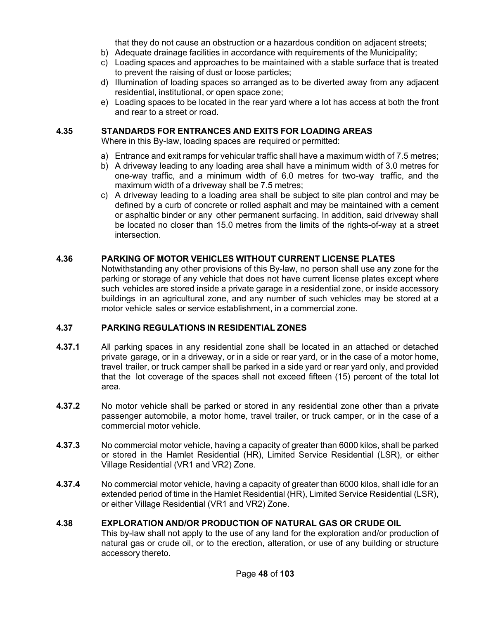that they do not cause an obstruction or a hazardous condition on adjacent streets;

- b) Adequate drainage facilities in accordance with requirements of the Municipality;
- c) Loading spaces and approaches to be maintained with a stable surface that is treated to prevent the raising of dust or loose particles;
- d) Illumination of loading spaces so arranged as to be diverted away from any adjacent residential, institutional, or open space zone;
- e) Loading spaces to be located in the rear yard where a lot has access at both the front and rear to a street or road.

### **4.35 STANDARDS FOR ENTRANCES AND EXITS FOR LOADING AREAS**

Where in this By-law, loading spaces are required or permitted:

- a) Entrance and exit ramps for vehicular traffic shall have a maximum width of 7.5 metres;
- b) A driveway leading to any loading area shall have a minimum width of 3.0 metres for one-way traffic, and a minimum width of 6.0 metres for two-way traffic, and the maximum width of a driveway shall be 7.5 metres;
- c) A driveway leading to a loading area shall be subject to site plan control and may be defined by a curb of concrete or rolled asphalt and may be maintained with a cement or asphaltic binder or any other permanent surfacing. In addition, said driveway shall be located no closer than 15.0 metres from the limits of the rights-of-way at a street intersection.

### **4.36 PARKING OF MOTOR VEHICLES WITHOUT CURRENT LICENSE PLATES**

Notwithstanding any other provisions of this By-law, no person shall use any zone for the parking or storage of any vehicle that does not have current license plates except where such vehicles are stored inside a private garage in a residential zone, or inside accessory buildings in an agricultural zone, and any number of such vehicles may be stored at a motor vehicle sales or service establishment, in a commercial zone.

#### **4.37 PARKING REGULATIONS IN RESIDENTIAL ZONES**

- **4.37.1** All parking spaces in any residential zone shall be located in an attached or detached private garage, or in a driveway, or in a side or rear yard, or in the case of a motor home, travel trailer, or truck camper shall be parked in a side yard or rear yard only, and provided that the lot coverage of the spaces shall not exceed fifteen (15) percent of the total lot area.
- **4.37.2** No motor vehicle shall be parked or stored in any residential zone other than a private passenger automobile, a motor home, travel trailer, or truck camper, or in the case of a commercial motor vehicle.
- **4.37.3** No commercial motor vehicle, having a capacity of greater than 6000 kilos, shall be parked or stored in the Hamlet Residential (HR), Limited Service Residential (LSR), or either Village Residential (VR1 and VR2) Zone.
- **4.37.4** No commercial motor vehicle, having a capacity of greater than 6000 kilos, shall idle for an extended period of time in the Hamlet Residential (HR), Limited Service Residential (LSR), or either Village Residential (VR1 and VR2) Zone.

### **4.38 EXPLORATION AND/OR PRODUCTION OF NATURAL GAS OR CRUDE OIL**

This by-law shall not apply to the use of any land for the exploration and/or production of natural gas or crude oil, or to the erection, alteration, or use of any building or structure accessory thereto.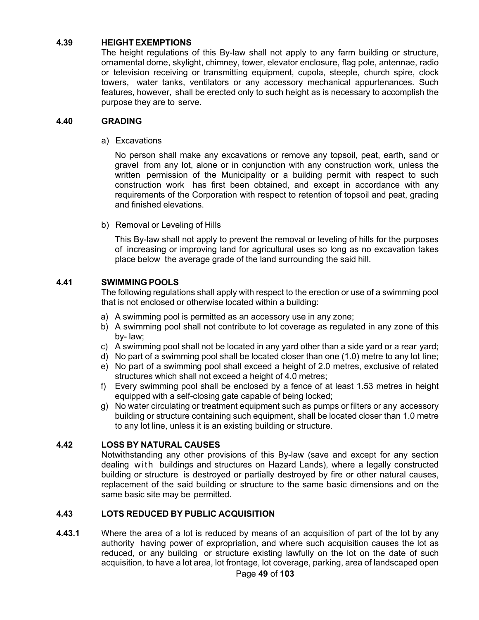### **4.39 HEIGHT EXEMPTIONS**

The height regulations of this By-law shall not apply to any farm building or structure, ornamental dome, skylight, chimney, tower, elevator enclosure, flag pole, antennae, radio or television receiving or transmitting equipment, cupola, steeple, church spire, clock towers, water tanks, ventilators or any accessory mechanical appurtenances. Such features, however, shall be erected only to such height as is necessary to accomplish the purpose they are to serve.

#### **4.40 GRADING**

a) Excavations

No person shall make any excavations or remove any topsoil, peat, earth, sand or gravel from any lot, alone or in conjunction with any construction work, unless the written permission of the Municipality or a building permit with respect to such construction work has first been obtained, and except in accordance with any requirements of the Corporation with respect to retention of topsoil and peat, grading and finished elevations.

b) Removal or Leveling of Hills

This By-law shall not apply to prevent the removal or leveling of hills for the purposes of increasing or improving land for agricultural uses so long as no excavation takes place below the average grade of the land surrounding the said hill.

### **4.41 SWIMMING POOLS**

The following regulations shall apply with respect to the erection or use of a swimming pool that is not enclosed or otherwise located within a building:

- a) A swimming pool is permitted as an accessory use in any zone;
- b) A swimming pool shall not contribute to lot coverage as regulated in any zone of this by- law;
- c) A swimming pool shall not be located in any yard other than a side yard or a rear yard;
- d) No part of a swimming pool shall be located closer than one (1.0) metre to any lot line;
- e) No part of a swimming pool shall exceed a height of 2.0 metres, exclusive of related structures which shall not exceed a height of 4.0 metres;
- f) Every swimming pool shall be enclosed by a fence of at least 1.53 metres in height equipped with a self-closing gate capable of being locked;
- g) No water circulating or treatment equipment such as pumps or filters or any accessory building or structure containing such equipment, shall be located closer than 1.0 metre to any lot line, unless it is an existing building or structure.

### **4.42 LOSS BY NATURAL CAUSES**

Notwithstanding any other provisions of this By-law (save and except for any section dealing with buildings and structures on Hazard Lands), where a legally constructed building or structure is destroyed or partially destroyed by fire or other natural causes, replacement of the said building or structure to the same basic dimensions and on the same basic site may be permitted.

### **4.43 LOTS REDUCED BY PUBLIC ACQUISITION**

**4.43.1** Where the area of a lot is reduced by means of an acquisition of part of the lot by any authority having power of expropriation, and where such acquisition causes the lot as reduced, or any building or structure existing lawfully on the lot on the date of such acquisition, to have a lot area, lot frontage, lot coverage, parking, area of landscaped open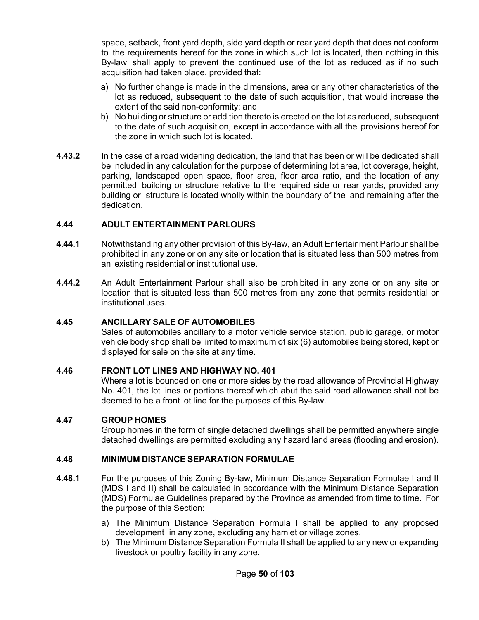space, setback, front yard depth, side yard depth or rear yard depth that does not conform to the requirements hereof for the zone in which such lot is located, then nothing in this By-law shall apply to prevent the continued use of the lot as reduced as if no such acquisition had taken place, provided that:

- a) No further change is made in the dimensions, area or any other characteristics of the lot as reduced, subsequent to the date of such acquisition, that would increase the extent of the said non-conformity; and
- b) No building or structure or addition thereto is erected on the lot as reduced, subsequent to the date of such acquisition, except in accordance with all the provisions hereof for the zone in which such lot is located.
- **4.43.2** In the case of a road widening dedication, the land that has been or will be dedicated shall be included in any calculation for the purpose of determining lot area, lot coverage, height, parking, landscaped open space, floor area, floor area ratio, and the location of any permitted building or structure relative to the required side or rear yards, provided any building or structure is located wholly within the boundary of the land remaining after the dedication.

### **4.44 ADULT ENTERTAINMENT PARLOURS**

- **4.44.1** Notwithstanding any other provision of this By-law, an Adult Entertainment Parlour shall be prohibited in any zone or on any site or location that is situated less than 500 metres from an existing residential or institutional use.
- **4.44.2** An Adult Entertainment Parlour shall also be prohibited in any zone or on any site or location that is situated less than 500 metres from any zone that permits residential or institutional uses.

#### **4.45 ANCILLARY SALE OF AUTOMOBILES**

Sales of automobiles ancillary to a motor vehicle service station, public garage, or motor vehicle body shop shall be limited to maximum of six (6) automobiles being stored, kept or displayed for sale on the site at any time.

#### **4.46 FRONT LOT LINES AND HIGHWAY NO. 401**

Where a lot is bounded on one or more sides by the road allowance of Provincial Highway No. 401, the lot lines or portions thereof which abut the said road allowance shall not be deemed to be a front lot line for the purposes of this By-law.

#### **4.47 GROUP HOMES**

Group homes in the form of single detached dwellings shall be permitted anywhere single detached dwellings are permitted excluding any hazard land areas (flooding and erosion).

### **4.48 MINIMUM DISTANCE SEPARATION FORMULAE**

- **4.48.1** For the purposes of this Zoning By-law, Minimum Distance Separation Formulae I and II (MDS I and II) shall be calculated in accordance with the Minimum Distance Separation (MDS) Formulae Guidelines prepared by the Province as amended from time to time. For the purpose of this Section:
	- a) The Minimum Distance Separation Formula I shall be applied to any proposed development in any zone, excluding any hamlet or village zones.
	- b) The Minimum Distance Separation Formula II shall be applied to any new or expanding livestock or poultry facility in any zone.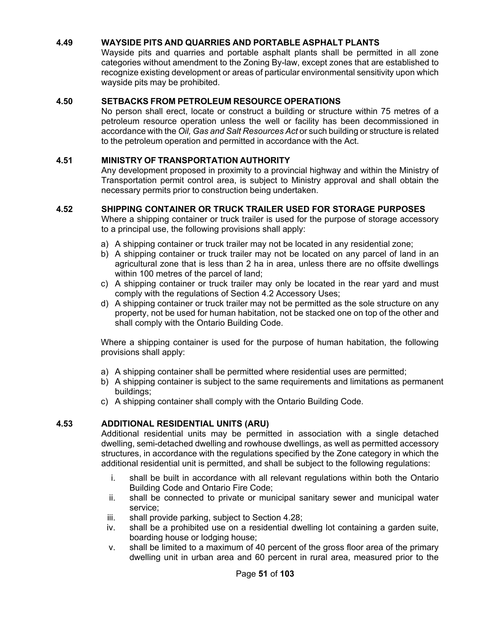### **4.49 WAYSIDE PITS AND QUARRIES AND PORTABLE ASPHALT PLANTS**

Wayside pits and quarries and portable asphalt plants shall be permitted in all zone categories without amendment to the Zoning By-law, except zones that are established to recognize existing development or areas of particular environmental sensitivity upon which wayside pits may be prohibited.

#### **4.50 SETBACKS FROM PETROLEUM RESOURCE OPERATIONS**

No person shall erect, locate or construct a building or structure within 75 metres of a petroleum resource operation unless the well or facility has been decommissioned in accordance with the *Oil, Gas and Salt Resources Act* or such building or structure is related to the petroleum operation and permitted in accordance with the Act.

#### **4.51 MINISTRY OF TRANSPORTATION AUTHORITY**

Any development proposed in proximity to a provincial highway and within the Ministry of Transportation permit control area, is subject to Ministry approval and shall obtain the necessary permits prior to construction being undertaken.

#### **4.52 SHIPPING CONTAINER OR TRUCK TRAILER USED FOR STORAGE PURPOSES**

Where a shipping container or truck trailer is used for the purpose of storage accessory to a principal use, the following provisions shall apply:

- a) A shipping container or truck trailer may not be located in any residential zone;
- b) A shipping container or truck trailer may not be located on any parcel of land in an agricultural zone that is less than 2 ha in area, unless there are no offsite dwellings within 100 metres of the parcel of land;
- c) A shipping container or truck trailer may only be located in the rear yard and must comply with the regulations of Section 4.2 Accessory Uses;
- d) A shipping container or truck trailer may not be permitted as the sole structure on any property, not be used for human habitation, not be stacked one on top of the other and shall comply with the Ontario Building Code.

Where a shipping container is used for the purpose of human habitation, the following provisions shall apply:

- a) A shipping container shall be permitted where residential uses are permitted;
- b) A shipping container is subject to the same requirements and limitations as permanent buildings;
- c) A shipping container shall comply with the Ontario Building Code.

### **4.53 ADDITIONAL RESIDENTIAL UNITS (ARU)**

Additional residential units may be permitted in association with a single detached dwelling, semi-detached dwelling and rowhouse dwellings, as well as permitted accessory structures, in accordance with the regulations specified by the Zone category in which the additional residential unit is permitted, and shall be subject to the following regulations:

- i. shall be built in accordance with all relevant regulations within both the Ontario Building Code and Ontario Fire Code;
- ii. shall be connected to private or municipal sanitary sewer and municipal water service;
- iii. shall provide parking, subject to Section 4.28;
- iv. shall be a prohibited use on a residential dwelling lot containing a garden suite, boarding house or lodging house;
- v. shall be limited to a maximum of 40 percent of the gross floor area of the primary dwelling unit in urban area and 60 percent in rural area, measured prior to the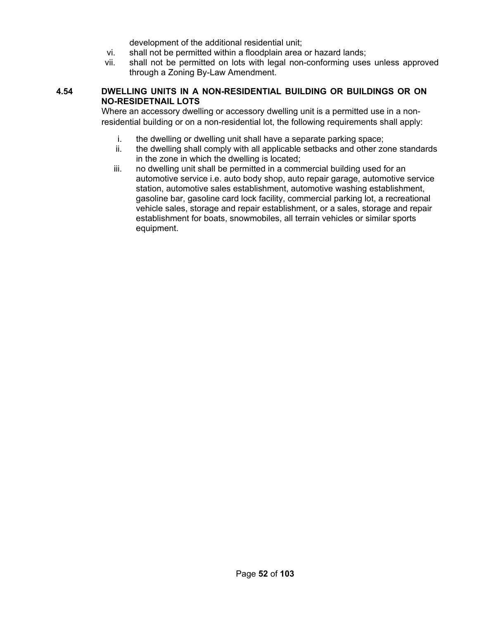development of the additional residential unit;

- vi. shall not be permitted within a floodplain area or hazard lands;
- vii. shall not be permitted on lots with legal non-conforming uses unless approved through a Zoning By-Law Amendment.

### **4.54 DWELLING UNITS IN A NON-RESIDENTIAL BUILDING OR BUILDINGS OR ON NO-RESIDETNAIL LOTS**

Where an accessory dwelling or accessory dwelling unit is a permitted use in a nonresidential building or on a non-residential lot, the following requirements shall apply:

- i. the dwelling or dwelling unit shall have a separate parking space;
- ii. the dwelling shall comply with all applicable setbacks and other zone standards in the zone in which the dwelling is located;
- iii. no dwelling unit shall be permitted in a commercial building used for an automotive service i.e. auto body shop, auto repair garage, automotive service station, automotive sales establishment, automotive washing establishment, gasoline bar, gasoline card lock facility, commercial parking lot, a recreational vehicle sales, storage and repair establishment, or a sales, storage and repair establishment for boats, snowmobiles, all terrain vehicles or similar sports equipment.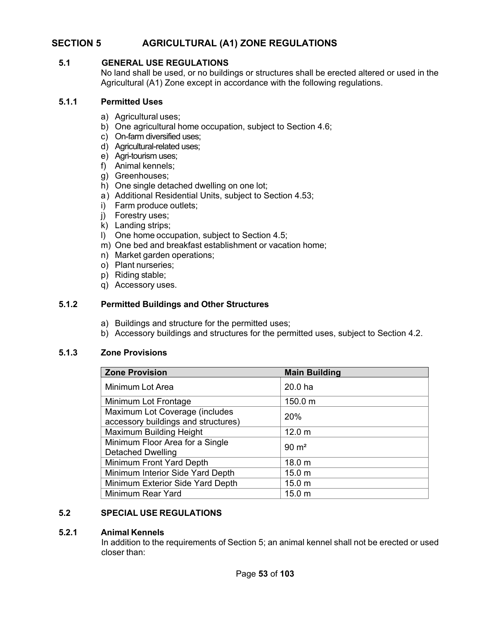# **SECTION 5 AGRICULTURAL (A1) ZONE REGULATIONS**

### **5.1 GENERAL USE REGULATIONS**

No land shall be used, or no buildings or structures shall be erected altered or used in the Agricultural (A1) Zone except in accordance with the following regulations.

### **5.1.1 Permitted Uses**

- a) Agricultural uses;
- b) One agricultural home occupation, subject to Section 4.6;
- c) On-farm diversified uses;
- d) Agricultural-related uses;
- e) Agri-tourism uses;
- f) Animal kennels;
- g) Greenhouses;
- h) One single detached dwelling on one lot;
- a) Additional Residential Units, subject to Section 4.53;
- i) Farm produce outlets;
- j) Forestry uses;
- k) Landing strips;
- l) One home occupation, subject to Section 4.5;
- m) One bed and breakfast establishment or vacation home;
- n) Market garden operations;
- o) Plant nurseries;
- p) Riding stable;
- q) Accessory uses.

#### **5.1.2 Permitted Buildings and Other Structures**

- a) Buildings and structure for the permitted uses;
- b) Accessory buildings and structures for the permitted uses, subject to Section 4.2.

#### **5.1.3 Zone Provisions**

| <b>Zone Provision</b>               | <b>Main Building</b> |
|-------------------------------------|----------------------|
| Minimum Lot Area                    | 20.0 ha              |
| Minimum Lot Frontage                | 150.0 m              |
| Maximum Lot Coverage (includes      | 20%                  |
| accessory buildings and structures) |                      |
| <b>Maximum Building Height</b>      | 12.0 <sub>m</sub>    |
| Minimum Floor Area for a Single     | $90 \text{ m}^2$     |
| <b>Detached Dwelling</b>            |                      |
| Minimum Front Yard Depth            | 18.0 m               |
| Minimum Interior Side Yard Depth    | 15.0 <sub>m</sub>    |
| Minimum Exterior Side Yard Depth    | 15.0 <sub>m</sub>    |
| Minimum Rear Yard                   | 15.0 <sub>m</sub>    |

### **5.2 SPECIAL USE REGULATIONS**

#### **5.2.1 Animal Kennels**

In addition to the requirements of Section 5; an animal kennel shall not be erected or used closer than: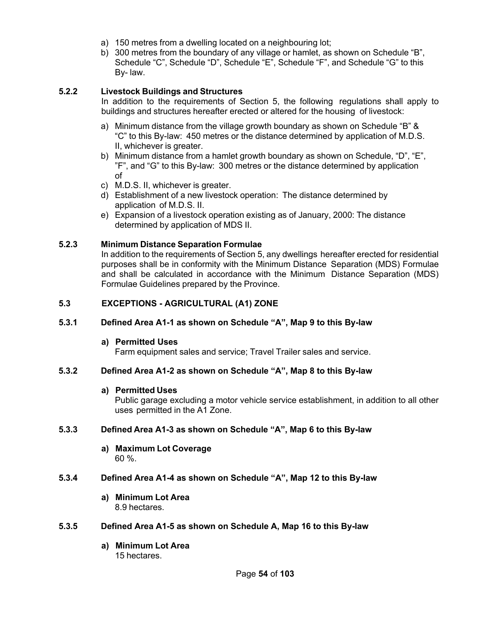- a) 150 metres from a dwelling located on a neighbouring lot;
- b) 300 metres from the boundary of any village or hamlet, as shown on Schedule "B", Schedule "C", Schedule "D", Schedule "E", Schedule "F", and Schedule "G" to this By- law.

### **5.2.2 Livestock Buildings and Structures**

In addition to the requirements of Section 5, the following regulations shall apply to buildings and structures hereafter erected or altered for the housing of livestock:

- a) Minimum distance from the village growth boundary as shown on Schedule "B" & "C" to this By-law: 450 metres or the distance determined by application of M.D.S. II, whichever is greater.
- b) Minimum distance from a hamlet growth boundary as shown on Schedule, "D", "E", "F", and "G" to this By-law: 300 metres or the distance determined by application of
- c) M.D.S. II, whichever is greater.
- d) Establishment of a new livestock operation: The distance determined by application of M.D.S. II.
- e) Expansion of a livestock operation existing as of January, 2000: The distance determined by application of MDS II.

### **5.2.3 Minimum Distance Separation Formulae**

In addition to the requirements of Section 5, any dwellings hereafter erected for residential purposes shall be in conformity with the Minimum Distance Separation (MDS) Formulae and shall be calculated in accordance with the Minimum Distance Separation (MDS) Formulae Guidelines prepared by the Province.

### **5.3 EXCEPTIONS - AGRICULTURAL (A1) ZONE**

### **5.3.1 Defined Area A1-1 as shown on Schedule "A", Map 9 to this By-law**

#### **a) Permitted Uses**

Farm equipment sales and service; Travel Trailer sales and service.

### **5.3.2 Defined Area A1-2 as shown on Schedule "A", Map 8 to this By-law**

#### **a) Permitted Uses**

Public garage excluding a motor vehicle service establishment, in addition to all other uses permitted in the A1 Zone.

### **5.3.3 Defined Area A1-3 as shown on Schedule "A", Map 6 to this By-law**

**a) Maximum Lot Coverage** 60 %.

### **5.3.4 Defined Area A1-4 as shown on Schedule "A", Map 12 to this By-law**

**a) Minimum Lot Area** 8.9 hectares.

#### **5.3.5 Defined Area A1-5 as shown on Schedule A, Map 16 to this By-law**

**a) Minimum Lot Area** 15 hectares.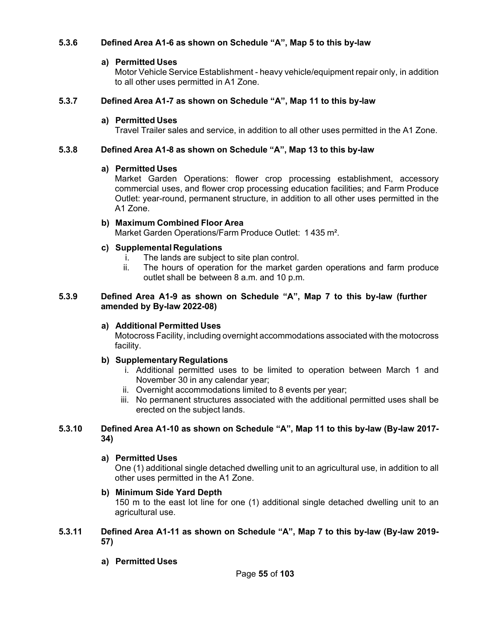### **5.3.6 Defined Area A1-6 as shown on Schedule "A", Map 5 to this by-law**

#### **a) Permitted Uses**

Motor Vehicle Service Establishment - heavy vehicle/equipment repair only, in addition to all other uses permitted in A1 Zone.

### **5.3.7 Defined Area A1-7 as shown on Schedule "A", Map 11 to this by-law**

#### **a) Permitted Uses**

Travel Trailer sales and service, in addition to all other uses permitted in the A1 Zone.

### **5.3.8 Defined Area A1-8 as shown on Schedule "A", Map 13 to this by-law**

#### **a) Permitted Uses**

Market Garden Operations: flower crop processing establishment, accessory commercial uses, and flower crop processing education facilities; and Farm Produce Outlet: year-round, permanent structure, in addition to all other uses permitted in the A1 Zone.

#### **b) Maximum Combined Floor Area**

Market Garden Operations/Farm Produce Outlet: 1 435 m².

### **c) Supplemental Regulations**

- i. The lands are subject to site plan control.<br>ii. The hours of operation for the market of
- The hours of operation for the market garden operations and farm produce outlet shall be between 8 a.m. and 10 p.m.

#### **5.3.9 Defined Area A1-9 as shown on Schedule "A", Map 7 to this by-law (further amended by By-law 2022-08)**

### **a) Additional Permitted Uses**

Motocross Facility, including overnight accommodations associated with the motocross facility.

### **b) Supplementary Regulations**

- i. Additional permitted uses to be limited to operation between March 1 and November 30 in any calendar year;
- ii. Overnight accommodations limited to 8 events per year;
- iii. No permanent structures associated with the additional permitted uses shall be erected on the subject lands.

### **5.3.10 Defined Area A1-10 as shown on Schedule "A", Map 11 to this by-law (By-law 2017- 34)**

### **a) Permitted Uses**

One (1) additional single detached dwelling unit to an agricultural use, in addition to all other uses permitted in the A1 Zone.

### **b) Minimum Side Yard Depth**

150 m to the east lot line for one (1) additional single detached dwelling unit to an agricultural use.

### **5.3.11 Defined Area A1-11 as shown on Schedule "A", Map 7 to this by-law (By-law 2019- 57)**

**a) Permitted Uses**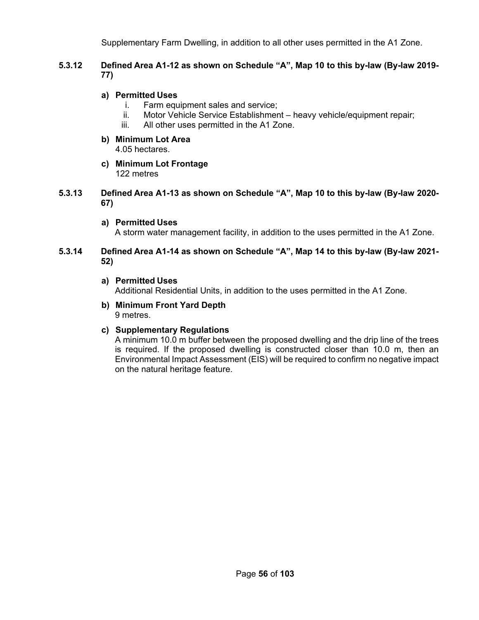Supplementary Farm Dwelling, in addition to all other uses permitted in the A1 Zone.

### **5.3.12 Defined Area A1-12 as shown on Schedule "A", Map 10 to this by-law (By-law 2019- 77)**

### **a) Permitted Uses**

- i. Farm equipment sales and service;
- ii. Motor Vehicle Service Establishment heavy vehicle/equipment repair;
- iii. All other uses permitted in the A1 Zone.
- **b) Minimum Lot Area** 4.05 hectares.
- **c) Minimum Lot Frontage** 122 metres
- **5.3.13 Defined Area A1-13 as shown on Schedule "A", Map 10 to this by-law (By-law 2020- 67)**
	- **a) Permitted Uses**

A storm water management facility, in addition to the uses permitted in the A1 Zone.

### **5.3.14 Defined Area A1-14 as shown on Schedule "A", Map 14 to this by-law (By-law 2021- 52)**

**a) Permitted Uses**

Additional Residential Units, in addition to the uses permitted in the A1 Zone.

**b) Minimum Front Yard Depth** 9 metres.

### **c) Supplementary Regulations**

A minimum 10.0 m buffer between the proposed dwelling and the drip line of the trees is required. If the proposed dwelling is constructed closer than 10.0 m, then an Environmental Impact Assessment (EIS) will be required to confirm no negative impact on the natural heritage feature.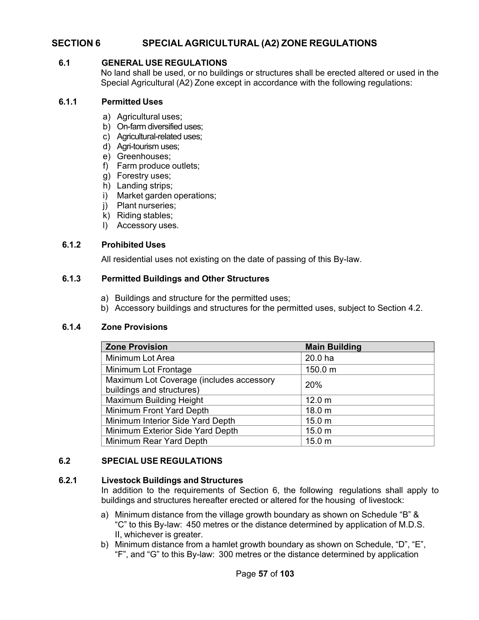# **SECTION 6 SPECIAL AGRICULTURAL (A2) ZONE REGULATIONS**

### **6.1 GENERAL USE REGULATIONS**

No land shall be used, or no buildings or structures shall be erected altered or used in the Special Agricultural (A2) Zone except in accordance with the following regulations:

#### **6.1.1 Permitted Uses**

- a) Agricultural uses;
- b) On-farm diversified uses;
- c) Agricultural-related uses;
- d) Agri-tourism uses;
- e) Greenhouses;
- f) Farm produce outlets;
- g) Forestry uses;
- h) Landing strips;
- i) Market garden operations;
- j) Plant nurseries;
- k) Riding stables;
- l) Accessory uses.

#### **6.1.2 Prohibited Uses**

All residential uses not existing on the date of passing of this By-law.

#### **6.1.3 Permitted Buildings and Other Structures**

- a) Buildings and structure for the permitted uses;
- b) Accessory buildings and structures for the permitted uses, subject to Section 4.2.

#### **6.1.4 Zone Provisions**

| <b>Zone Provision</b>                    | <b>Main Building</b> |
|------------------------------------------|----------------------|
| Minimum Lot Area                         | 20.0 ha              |
| Minimum Lot Frontage                     | 150.0 m              |
| Maximum Lot Coverage (includes accessory | 20%                  |
| buildings and structures)                |                      |
| <b>Maximum Building Height</b>           | 12.0 <sub>m</sub>    |
| Minimum Front Yard Depth                 | 18.0 <sub>m</sub>    |
| Minimum Interior Side Yard Depth         | 15.0 <sub>m</sub>    |
| Minimum Exterior Side Yard Depth         | 15.0 <sub>m</sub>    |
| Minimum Rear Yard Depth                  | 15.0 <sub>m</sub>    |

### **6.2 SPECIAL USE REGULATIONS**

#### **6.2.1 Livestock Buildings and Structures**

In addition to the requirements of Section 6, the following regulations shall apply to buildings and structures hereafter erected or altered for the housing of livestock:

- a) Minimum distance from the village growth boundary as shown on Schedule "B" & "C" to this By-law: 450 metres or the distance determined by application of M.D.S. II, whichever is greater.
- b) Minimum distance from a hamlet growth boundary as shown on Schedule, "D", "E", "F", and "G" to this By-law: 300 metres or the distance determined by application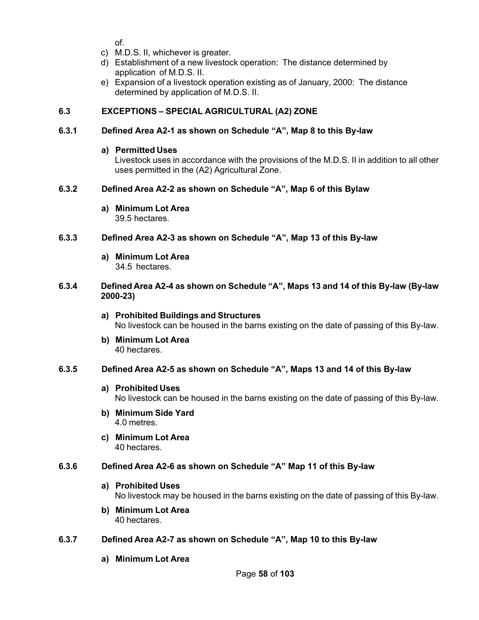of.

- c) M.D.S. II, whichever is greater.
- d) Establishment of a new livestock operation: The distance determined by application of M.D.S. II.
- e) Expansion of a livestock operation existing as of January, 2000: The distance determined by application of M.D.S. II.

# **6.3 EXCEPTIONS – SPECIAL AGRICULTURAL (A2) ZONE**

### **6.3.1 Defined Area A2-1 as shown on Schedule "A", Map 8 to this By-law**

### **a) Permitted Uses**

Livestock uses in accordance with the provisions of the M.D.S. II in addition to all other uses permitted in the (A2) Agricultural Zone.

### **6.3.2 Defined Area A2-2 as shown on Schedule "A", Map 6 of this Bylaw**

**a) Minimum Lot Area**

39.5 hectares.

### **6.3.3 Defined Area A2-3 as shown on Schedule "A", Map 13 of this By-law**

**a) Minimum Lot Area** 34.5 hectares.

### **6.3.4 Defined Area A2-4 as shown on Schedule "A", Maps 13 and 14 of this By-law (By-law 2000-23)**

- **a) Prohibited Buildings and Structures** No livestock can be housed in the barns existing on the date of passing of this By-law.
- **b) Minimum Lot Area** 40 hectares.

### **6.3.5 Defined Area A2-5 as shown on Schedule "A", Maps 13 and 14 of this By-law**

- **a) Prohibited Uses** No livestock can be housed in the barns existing on the date of passing of this By-law.
- **b) Minimum Side Yard** 4.0 metres.
- **c) Minimum Lot Area** 40 hectares.

### **6.3.6 Defined Area A2-6 as shown on Schedule "A" Map 11 of this By-law**

**a) Prohibited Uses**

No livestock may be housed in the barns existing on the date of passing of this By-law.

**b) Minimum Lot Area** 40 hectares.

### **6.3.7 Defined Area A2-7 as shown on Schedule "A", Map 10 to this By-law**

**a) Minimum Lot Area**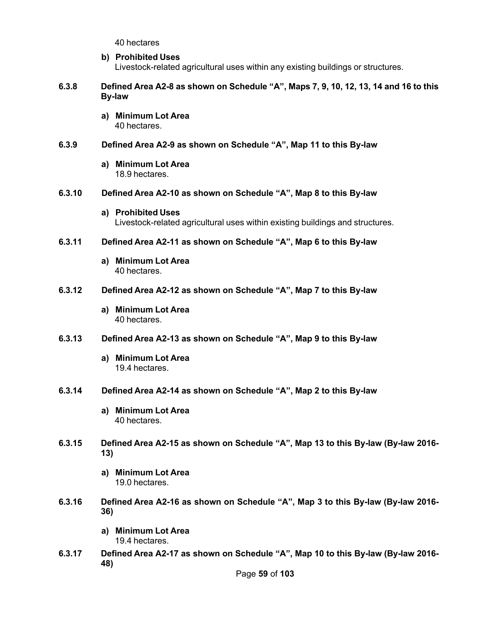40 hectares

#### **b) Prohibited Uses**

Livestock-related agricultural uses within any existing buildings or structures.

### **6.3.8 Defined Area A2-8 as shown on Schedule "A", Maps 7, 9, 10, 12, 13, 14 and 16 to this By-law**

**a) Minimum Lot Area** 40 hectares.

### **6.3.9 Defined Area A2-9 as shown on Schedule "A", Map 11 to this By-law**

**a) Minimum Lot Area** 18.9 hectares.

#### **6.3.10 Defined Area A2-10 as shown on Schedule "A", Map 8 to this By-law**

#### **a) Prohibited Uses** Livestock-related agricultural uses within existing buildings and structures.

#### **6.3.11 Defined Area A2-11 as shown on Schedule "A", Map 6 to this By-law**

**a) Minimum Lot Area** 40 hectares.

#### **6.3.12 Defined Area A2-12 as shown on Schedule "A", Map 7 to this By-law**

**a) Minimum Lot Area** 40 hectares.

#### **6.3.13 Defined Area A2-13 as shown on Schedule "A", Map 9 to this By-law**

- **a) Minimum Lot Area** 19.4 hectares.
- **6.3.14 Defined Area A2-14 as shown on Schedule "A", Map 2 to this By-law**
	- **a) Minimum Lot Area** 40 hectares.
- **6.3.15 Defined Area A2-15 as shown on Schedule "A", Map 13 to this By-law (By-law 2016- 13)**
	- **a) Minimum Lot Area** 19.0 hectares.
- **6.3.16 Defined Area A2-16 as shown on Schedule "A", Map 3 to this By-law (By-law 2016- 36)**
	- **a) Minimum Lot Area** 19.4 hectares.
- **6.3.17 Defined Area A2-17 as shown on Schedule "A", Map 10 to this By-law (By-law 2016- 48)**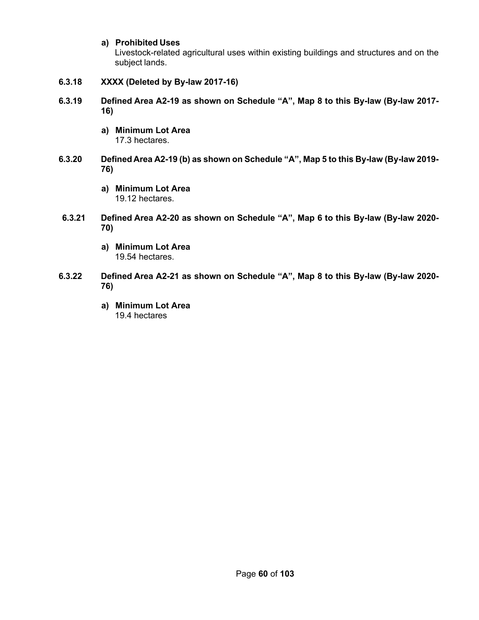### **a) Prohibited Uses**

Livestock-related agricultural uses within existing buildings and structures and on the subject lands.

- **6.3.18 XXXX (Deleted by By-law 2017-16)**
- **6.3.19 Defined Area A2-19 as shown on Schedule "A", Map 8 to this By-law (By-law 2017- 16)**
	- **a) Minimum Lot Area** 17.3 hectares.
- **6.3.20 Defined Area A2-19 (b) as shown on Schedule "A", Map 5 to this By-law (By-law 2019- 76)**
	- **a) Minimum Lot Area** 19.12 hectares.
- **6.3.21 Defined Area A2-20 as shown on Schedule "A", Map 6 to this By-law (By-law 2020- 70)**
	- **a) Minimum Lot Area** 19.54 hectares.
- **6.3.22 Defined Area A2-21 as shown on Schedule "A", Map 8 to this By-law (By-law 2020- 76)**
	- **a) Minimum Lot Area** 19.4 hectares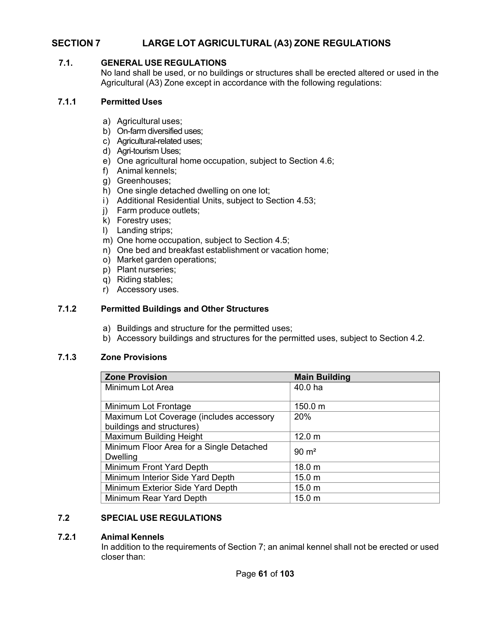# **SECTION 7 LARGE LOT AGRICULTURAL (A3) ZONE REGULATIONS**

### **7.1. GENERAL USE REGULATIONS**

No land shall be used, or no buildings or structures shall be erected altered or used in the Agricultural (A3) Zone except in accordance with the following regulations:

#### **7.1.1 Permitted Uses**

- a) Agricultural uses;
- b) On-farm diversified uses;
- c) Agricultural-related uses;
- d) Agri-tourism Uses;
- e) One agricultural home occupation, subject to Section 4.6;
- f) Animal kennels;
- g) Greenhouses;
- h) One single detached dwelling on one lot;
- i) Additional Residential Units, subject to Section 4.53;
- j) Farm produce outlets;
- k) Forestry uses;
- l) Landing strips;
- m) One home occupation, subject to Section 4.5;
- n) One bed and breakfast establishment or vacation home;
- o) Market garden operations;
- p) Plant nurseries;
- q) Riding stables;
- r) Accessory uses.

#### **7.1.2 Permitted Buildings and Other Structures**

- a) Buildings and structure for the permitted uses;
- b) Accessory buildings and structures for the permitted uses, subject to Section 4.2.

### **7.1.3 Zone Provisions**

| <b>Zone Provision</b>                    | <b>Main Building</b> |
|------------------------------------------|----------------------|
| Minimum Lot Area                         | 40.0 ha              |
|                                          |                      |
| Minimum Lot Frontage                     | 150.0 m              |
| Maximum Lot Coverage (includes accessory | 20%                  |
| buildings and structures)                |                      |
| Maximum Building Height                  | 12.0 <sub>m</sub>    |
| Minimum Floor Area for a Single Detached | $90 \text{ m}^2$     |
| <b>Dwelling</b>                          |                      |
| Minimum Front Yard Depth                 | 18.0 <sub>m</sub>    |
| Minimum Interior Side Yard Depth         | 15.0 <sub>m</sub>    |
| Minimum Exterior Side Yard Depth         | 15.0 <sub>m</sub>    |
| Minimum Rear Yard Depth                  | 15.0 <sub>m</sub>    |

### **7.2 SPECIAL USE REGULATIONS**

### **7.2.1 Animal Kennels**

In addition to the requirements of Section 7; an animal kennel shall not be erected or used closer than: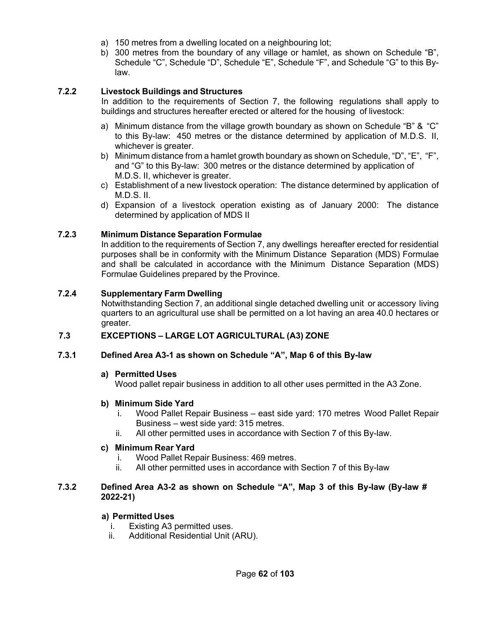- a) 150 metres from a dwelling located on a neighbouring lot;
- b) 300 metres from the boundary of any village or hamlet, as shown on Schedule "B", Schedule "C", Schedule "D", Schedule "E", Schedule "F", and Schedule "G" to this Bylaw.

### **7.2.2 Livestock Buildings and Structures**

In addition to the requirements of Section 7, the following regulations shall apply to buildings and structures hereafter erected or altered for the housing of livestock:

- a) Minimum distance from the village growth boundary as shown on Schedule "B" & "C" to this By-law: 450 metres or the distance determined by application of M.D.S. II, whichever is greater.
- b) Minimum distance from a hamlet growth boundary as shown on Schedule, "D", "E", "F", and "G" to this By-law: 300 metres or the distance determined by application of M.D.S. II, whichever is greater.
- c) Establishment of a new livestock operation: The distance determined by application of M.D.S. II.
- d) Expansion of a livestock operation existing as of January 2000: The distance determined by application of MDS II

### **7.2.3 Minimum Distance Separation Formulae**

In addition to the requirements of Section 7, any dwellings hereafter erected for residential purposes shall be in conformity with the Minimum Distance Separation (MDS) Formulae and shall be calculated in accordance with the Minimum Distance Separation (MDS) Formulae Guidelines prepared by the Province.

### **7.2.4 Supplementary Farm Dwelling**

Notwithstanding Section 7, an additional single detached dwelling unit or accessory living quarters to an agricultural use shall be permitted on a lot having an area 40.0 hectares or greater.

### **7.3 EXCEPTIONS – LARGE LOT AGRICULTURAL (A3) ZONE**

### **7.3.1 Defined Area A3-1 as shown on Schedule "A", Map 6 of this By-law**

### **a) Permitted Uses**

Wood pallet repair business in addition to all other uses permitted in the A3 Zone.

### **b) Minimum Side Yard**

- i. Wood Pallet Repair Business east side yard: 170 metres Wood Pallet Repair Business – west side yard: 315 metres.
- ii. All other permitted uses in accordance with Section 7 of this By-law.

### **c) Minimum Rear Yard**

- i. Wood Pallet Repair Business: 469 metres.
- ii. All other permitted uses in accordance with Section 7 of this By-law

### **7.3.2 Defined Area A3-2 as shown on Schedule "A", Map 3 of this By-law (By-law # 2022-21)**

### **a) Permitted Uses**

- i. Existing A3 permitted uses.
- ii. Additional Residential Unit (ARU).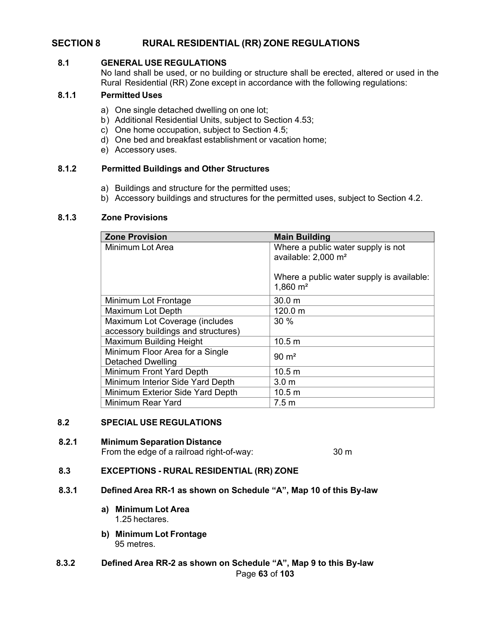# **SECTION 8 RURAL RESIDENTIAL (RR) ZONE REGULATIONS**

#### **8.1 GENERAL USE REGULATIONS**

No land shall be used, or no building or structure shall be erected, altered or used in the Rural Residential (RR) Zone except in accordance with the following regulations:

### **8.1.1 Permitted Uses**

- a) One single detached dwelling on one lot;
- b) Additional Residential Units, subject to Section 4.53;
- c) One home occupation, subject to Section 4.5;
- d) One bed and breakfast establishment or vacation home;
- e) Accessory uses.

### **8.1.2 Permitted Buildings and Other Structures**

- a) Buildings and structure for the permitted uses;
- b) Accessory buildings and structures for the permitted uses, subject to Section 4.2.

#### **8.1.3 Zone Provisions**

| <b>Zone Provision</b>                                       | <b>Main Building</b>                                                  |
|-------------------------------------------------------------|-----------------------------------------------------------------------|
| Minimum Lot Area                                            | Where a public water supply is not<br>available: 2,000 m <sup>2</sup> |
|                                                             | Where a public water supply is available:<br>$1,860 \; \text{m}^2$    |
| Minimum Lot Frontage                                        | 30.0 <sub>m</sub>                                                     |
| <b>Maximum Lot Depth</b>                                    | 120.0 m                                                               |
| Maximum Lot Coverage (includes                              | 30 %                                                                  |
| accessory buildings and structures)                         |                                                                       |
| Maximum Building Height                                     | 10.5 <sub>m</sub>                                                     |
| Minimum Floor Area for a Single<br><b>Detached Dwelling</b> | $90 \; \mathrm{m}^2$                                                  |
| Minimum Front Yard Depth                                    | 10.5 <sub>m</sub>                                                     |
| Minimum Interior Side Yard Depth                            | 3.0 <sub>m</sub>                                                      |
| Minimum Exterior Side Yard Depth                            | 10.5 m                                                                |
| <b>Minimum Rear Yard</b>                                    | 7.5 <sub>m</sub>                                                      |

#### **8.2 SPECIAL USE REGULATIONS**

#### **8.2.1 Minimum Separation Distance**

From the edge of a railroad right-of-way: 30 m

### **8.3 EXCEPTIONS - RURAL RESIDENTIAL (RR) ZONE**

- **8.3.1 Defined Area RR-1 as shown on Schedule "A", Map 10 of this By-law**
	- **a) Minimum Lot Area** 1.25 hectares.
	- **b) Minimum Lot Frontage** 95 metres.
- Page **63** of **103 8.3.2 Defined Area RR-2 as shown on Schedule "A", Map 9 to this By-law**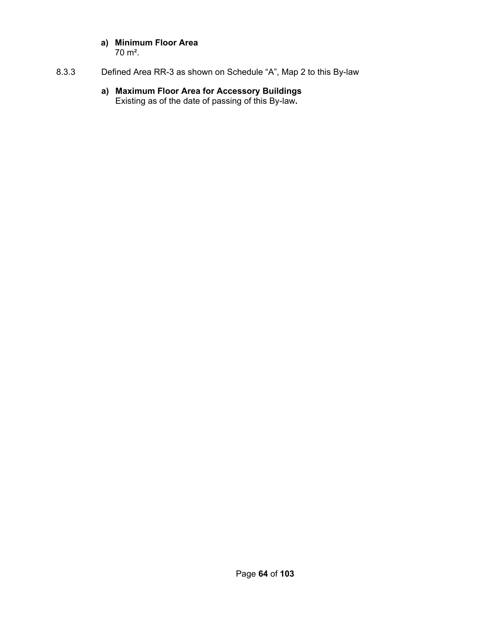### **a) Minimum Floor Area** 70 m².

8.3.3 Defined Area RR-3 as shown on Schedule "A", Map 2 to this By-law

### **a) Maximum Floor Area for Accessory Buildings** Existing as of the date of passing of this By-law**.**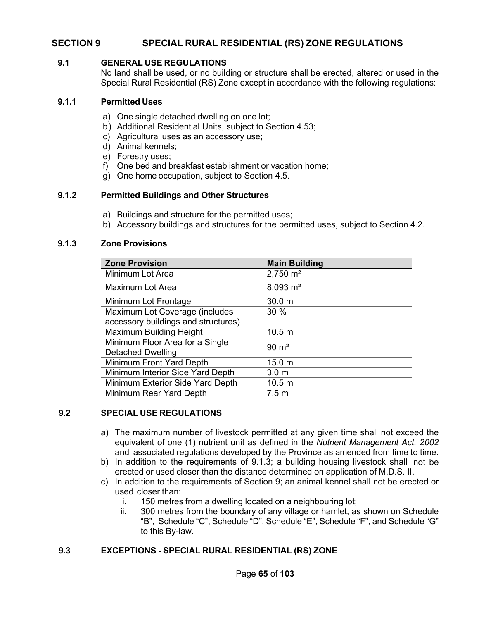# **SECTION 9 SPECIAL RURAL RESIDENTIAL (RS) ZONE REGULATIONS**

#### **9.1 GENERAL USE REGULATIONS**

No land shall be used, or no building or structure shall be erected, altered or used in the Special Rural Residential (RS) Zone except in accordance with the following regulations:

#### **9.1.1 Permitted Uses**

- a) One single detached dwelling on one lot;
- b) Additional Residential Units, subject to Section 4.53;
- c) Agricultural uses as an accessory use;
- d) Animal kennels;
- e) Forestry uses;
- f) One bed and breakfast establishment or vacation home;
- g) One home occupation, subject to Section 4.5.

### **9.1.2 Permitted Buildings and Other Structures**

- a) Buildings and structure for the permitted uses;
- b) Accessory buildings and structures for the permitted uses, subject to Section 4.2.

### **9.1.3 Zone Provisions**

| <b>Zone Provision</b>               | <b>Main Building</b> |
|-------------------------------------|----------------------|
| Minimum Lot Area                    | $2,750 \text{ m}^2$  |
| Maximum Lot Area                    | $8,093 \text{ m}^2$  |
| Minimum Lot Frontage                | 30.0 m               |
| Maximum Lot Coverage (includes      | 30 %                 |
| accessory buildings and structures) |                      |
| Maximum Building Height             | 10.5 m               |
| Minimum Floor Area for a Single     | $90 \text{ m}^2$     |
| <b>Detached Dwelling</b>            |                      |
| Minimum Front Yard Depth            | 15.0 m               |
| Minimum Interior Side Yard Depth    | 3.0 <sub>m</sub>     |
| Minimum Exterior Side Yard Depth    | 10.5 <sub>m</sub>    |
| Minimum Rear Yard Depth             | 7.5 <sub>m</sub>     |

### **9.2 SPECIAL USE REGULATIONS**

- a) The maximum number of livestock permitted at any given time shall not exceed the equivalent of one (1) nutrient unit as defined in the *Nutrient Management Act, 2002* and associated regulations developed by the Province as amended from time to time.
- b) In addition to the requirements of 9.1.3; a building housing livestock shall not be erected or used closer than the distance determined on application of M.D.S. II.
- c) In addition to the requirements of Section 9; an animal kennel shall not be erected or used closer than:
	- i. 150 metres from a dwelling located on a neighbouring lot;
	- ii. 300 metres from the boundary of any village or hamlet, as shown on Schedule "B", Schedule "C", Schedule "D", Schedule "E", Schedule "F", and Schedule "G" to this By-law.

### **9.3 EXCEPTIONS - SPECIAL RURAL RESIDENTIAL (RS) ZONE**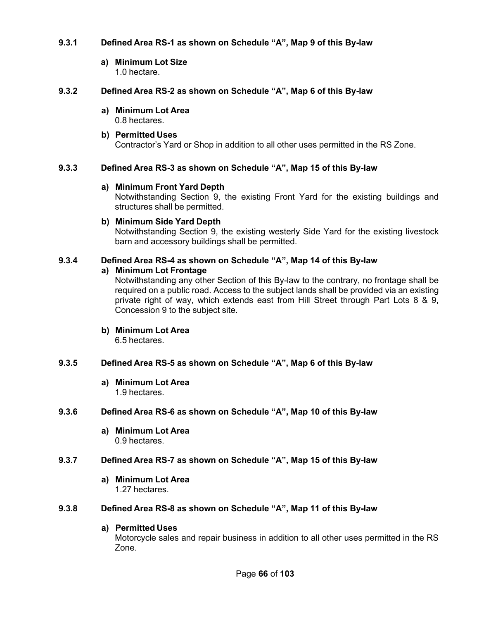### **9.3.1 Defined Area RS-1 as shown on Schedule "A", Map 9 of this By-law**

**a) Minimum Lot Size** 1.0 hectare.

### **9.3.2 Defined Area RS-2 as shown on Schedule "A", Map 6 of this By-law**

**a) Minimum Lot Area** 0.8 hectares.

### **b) Permitted Uses** Contractor's Yard or Shop in addition to all other uses permitted in the RS Zone.

### **9.3.3 Defined Area RS-3 as shown on Schedule "A", Map 15 of this By-law**

### **a) Minimum Front Yard Depth**

Notwithstanding Section 9, the existing Front Yard for the existing buildings and structures shall be permitted.

### **b) Minimum Side Yard Depth**

Notwithstanding Section 9, the existing westerly Side Yard for the existing livestock barn and accessory buildings shall be permitted.

### **9.3.4 Defined Area RS-4 as shown on Schedule "A", Map 14 of this By-law**

**a) Minimum Lot Frontage**

Notwithstanding any other Section of this By-law to the contrary, no frontage shall be required on a public road. Access to the subject lands shall be provided via an existing private right of way, which extends east from Hill Street through Part Lots 8 & 9, Concession 9 to the subject site.

**b) Minimum Lot Area** 6.5 hectares.

### **9.3.5 Defined Area RS-5 as shown on Schedule "A", Map 6 of this By-law**

**a) Minimum Lot Area** 1.9 hectares.

### **9.3.6 Defined Area RS-6 as shown on Schedule "A", Map 10 of this By-law**

**a) Minimum Lot Area** 0.9 hectares.

### **9.3.7 Defined Area RS-7 as shown on Schedule "A", Map 15 of this By-law**

**a) Minimum Lot Area** 1.27 hectares.

### **9.3.8 Defined Area RS-8 as shown on Schedule "A", Map 11 of this By-law**

### **a) Permitted Uses**

Motorcycle sales and repair business in addition to all other uses permitted in the RS Zone.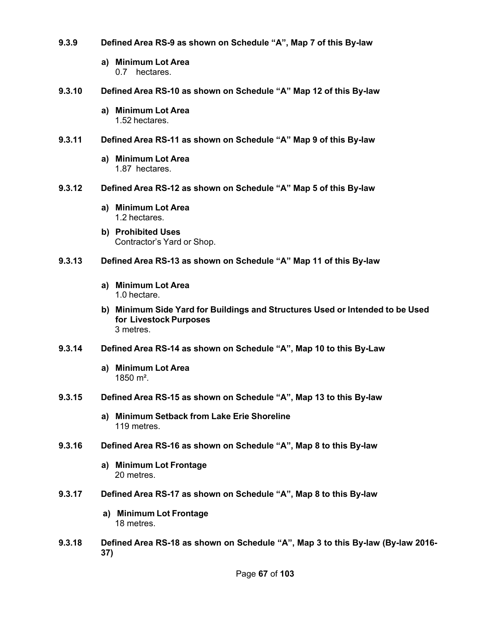- **9.3.9 Defined Area RS-9 as shown on Schedule "A", Map 7 of this By-law**
	- **a) Minimum Lot Area** 0.7 hectares.
- **9.3.10 Defined Area RS-10 as shown on Schedule "A" Map 12 of this By-law**
	- **a) Minimum Lot Area** 1.52 hectares.
- **9.3.11 Defined Area RS-11 as shown on Schedule "A" Map 9 of this By-law**
	- **a) Minimum Lot Area** 1.87 hectares.
- **9.3.12 Defined Area RS-12 as shown on Schedule "A" Map 5 of this By-law**
	- **a) Minimum Lot Area** 1.2 hectares.
	- **b) Prohibited Uses** Contractor's Yard or Shop.
- **9.3.13 Defined Area RS-13 as shown on Schedule "A" Map 11 of this By-law**
	- **a) Minimum Lot Area** 1.0 hectare.
	- **b) Minimum Side Yard for Buildings and Structures Used or Intended to be Used for Livestock Purposes** 3 metres.
- **9.3.14 Defined Area RS-14 as shown on Schedule "A", Map 10 to this By-Law**
	- **a) Minimum Lot Area** 1850 m².
- **9.3.15 Defined Area RS-15 as shown on Schedule "A", Map 13 to this By-law**
	- **a) Minimum Setback from Lake Erie Shoreline** 119 metres.
- **9.3.16 Defined Area RS-16 as shown on Schedule "A", Map 8 to this By-law**
	- **a) Minimum Lot Frontage** 20 metres.
- **9.3.17 Defined Area RS-17 as shown on Schedule "A", Map 8 to this By-law**
	- **a) Minimum Lot Frontage** 18 metres.
- **9.3.18 Defined Area RS-18 as shown on Schedule "A", Map 3 to this By-law (By-law 2016- 37)**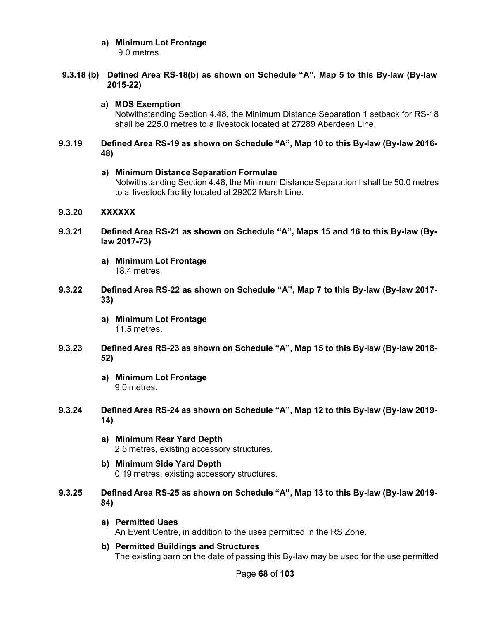# **a) Minimum Lot Frontage**

9.0 metres.

### **9.3.18 (b) Defined Area RS-18(b) as shown on Schedule "A", Map 5 to this By-law (By-law 2015-22)**

### **a) MDS Exemption**

Notwithstanding Section 4.48, the Minimum Distance Separation 1 setback for RS-18 shall be 225.0 metres to a livestock located at 27289 Aberdeen Line.

### **9.3.19 Defined Area RS-19 as shown on Schedule "A", Map 10 to this By-law (By-law 2016- 48)**

### **a) Minimum Distance Separation Formulae**

Notwithstanding Section 4.48, the Minimum Distance Separation I shall be 50.0 metres to a livestock facility located at 29202 Marsh Line.

### **9.3.20 XXXXXX**

- **9.3.21 Defined Area RS-21 as shown on Schedule "A", Maps 15 and 16 to this By-law (Bylaw 2017-73)**
	- **a) Minimum Lot Frontage** 18.4 metres.
- **9.3.22 Defined Area RS-22 as shown on Schedule "A", Map 7 to this By-law (By-law 2017- 33)**
	- **a) Minimum Lot Frontage** 11.5 metres.
- **9.3.23 Defined Area RS-23 as shown on Schedule "A", Map 15 to this By-law (By-law 2018- 52)**
	- **a) Minimum Lot Frontage** 9.0 metres.
- **9.3.24 Defined Area RS-24 as shown on Schedule "A", Map 12 to this By-law (By-law 2019- 14)**
	- **a) Minimum Rear Yard Depth** 2.5 metres, existing accessory structures.
	- **b) Minimum Side Yard Depth** 0.19 metres, existing accessory structures.
- **9.3.25 Defined Area RS-25 as shown on Schedule "A", Map 13 to this By-law (By-law 2019- 84)**
	- **a) Permitted Uses** An Event Centre, in addition to the uses permitted in the RS Zone.
	- **b) Permitted Buildings and Structures** The existing barn on the date of passing this By-law may be used for the use permitted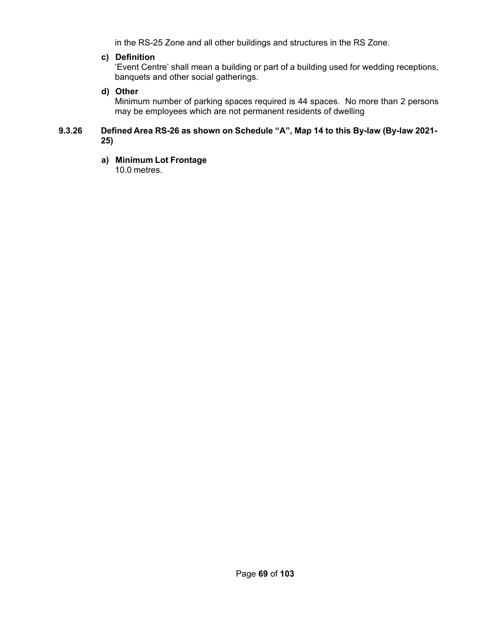in the RS-25 Zone and all other buildings and structures in the RS Zone.

### **c) Definition**

'Event Centre' shall mean a building or part of a building used for wedding receptions, banquets and other social gatherings.

### **d) Other**

Minimum number of parking spaces required is 44 spaces. No more than 2 persons may be employees which are not permanent residents of dwelling

### **9.3.26 Defined Area RS-26 as shown on Schedule "A", Map 14 to this By-law (By-law 2021- 25)**

### **a) Minimum Lot Frontage**

10.0 metres.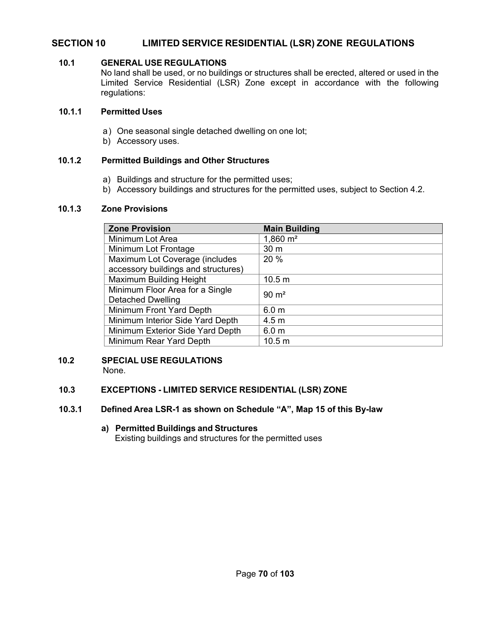# **SECTION 10 LIMITED SERVICE RESIDENTIAL (LSR) ZONE REGULATIONS**

### **10.1 GENERAL USE REGULATIONS**

No land shall be used, or no buildings or structures shall be erected, altered or used in the Limited Service Residential (LSR) Zone except in accordance with the following regulations:

### **10.1.1 Permitted Uses**

- a) One seasonal single detached dwelling on one lot;
- b) Accessory uses.

### **10.1.2 Permitted Buildings and Other Structures**

- a) Buildings and structure for the permitted uses;
- b) Accessory buildings and structures for the permitted uses, subject to Section 4.2.

#### **10.1.3 Zone Provisions**

| <b>Zone Provision</b>                                       | <b>Main Building</b>  |
|-------------------------------------------------------------|-----------------------|
| Minimum Lot Area                                            | $1,860 \; \text{m}^2$ |
| Minimum Lot Frontage                                        | 30 m                  |
| Maximum Lot Coverage (includes                              | 20 %                  |
| accessory buildings and structures)                         |                       |
| Maximum Building Height                                     | 10.5 <sub>m</sub>     |
| Minimum Floor Area for a Single<br><b>Detached Dwelling</b> | $90 \text{ m}^2$      |
| Minimum Front Yard Depth                                    | 6.0 <sub>m</sub>      |
| Minimum Interior Side Yard Depth                            | 4.5 <sub>m</sub>      |
|                                                             |                       |
| Minimum Exterior Side Yard Depth                            | 6.0 <sub>m</sub>      |
| Minimum Rear Yard Depth                                     | 10.5 m                |

# **10.2 SPECIAL USE REGULATIONS**

None.

### **10.3 EXCEPTIONS - LIMITED SERVICE RESIDENTIAL (LSR) ZONE**

### **10.3.1 Defined Area LSR-1 as shown on Schedule "A", Map 15 of this By-law**

**a) Permitted Buildings and Structures**  Existing buildings and structures for the permitted uses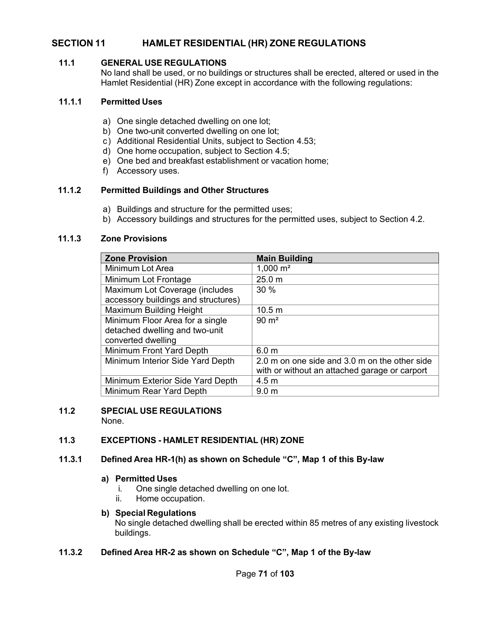# **SECTION 11 HAMLET RESIDENTIAL (HR) ZONE REGULATIONS**

### **11.1 GENERAL USE REGULATIONS**

No land shall be used, or no buildings or structures shall be erected, altered or used in the Hamlet Residential (HR) Zone except in accordance with the following regulations:

#### **11.1.1 Permitted Uses**

- a) One single detached dwelling on one lot;
- b) One two-unit converted dwelling on one lot;
- c) Additional Residential Units, subject to Section 4.53;
- d) One home occupation, subject to Section 4.5;
- e) One bed and breakfast establishment or vacation home;
- f) Accessory uses.

### **11.1.2 Permitted Buildings and Other Structures**

- a) Buildings and structure for the permitted uses;
- b) Accessory buildings and structures for the permitted uses, subject to Section 4.2.

### **11.1.3 Zone Provisions**

| <b>Zone Provision</b>               | <b>Main Building</b>                          |
|-------------------------------------|-----------------------------------------------|
| Minimum Lot Area                    | 1,000 $m2$                                    |
| Minimum Lot Frontage                | 25.0 m                                        |
| Maximum Lot Coverage (includes      | 30%                                           |
| accessory buildings and structures) |                                               |
| Maximum Building Height             | 10.5 m                                        |
| Minimum Floor Area for a single     | $90 \text{ m}^2$                              |
| detached dwelling and two-unit      |                                               |
| converted dwelling                  |                                               |
| Minimum Front Yard Depth            | 6.0 <sub>m</sub>                              |
| Minimum Interior Side Yard Depth    | 2.0 m on one side and 3.0 m on the other side |
|                                     | with or without an attached garage or carport |
| Minimum Exterior Side Yard Depth    | 4.5 <sub>m</sub>                              |
| Minimum Rear Yard Depth             | 9.0 <sub>m</sub>                              |

# **11.2 SPECIAL USE REGULATIONS**

None.

### **11.3 EXCEPTIONS - HAMLET RESIDENTIAL (HR) ZONE**

#### **11.3.1 Defined Area HR-1(h) as shown on Schedule "C", Map 1 of this By-law**

#### **a) Permitted Uses**

- i. One single detached dwelling on one lot.
- ii. Home occupation.

### **b) Special Regulations**

No single detached dwelling shall be erected within 85 metres of any existing livestock buildings.

### **11.3.2 Defined Area HR-2 as shown on Schedule "C", Map 1 of the By-law**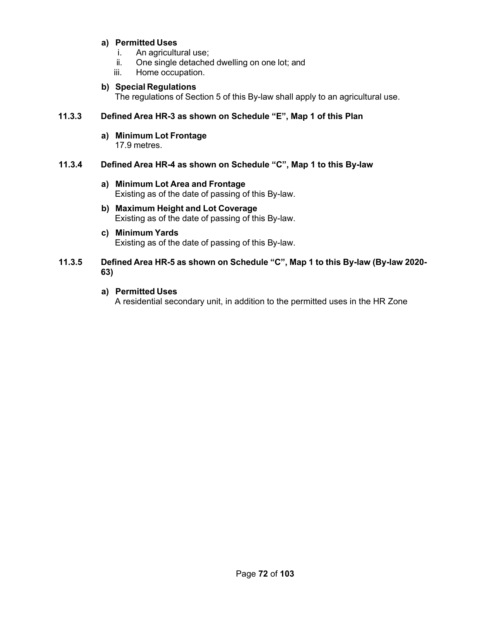### **a) Permitted Uses**

- i. An agricultural use;
- ii. One single detached dwelling on one lot; and
- iii. Home occupation.

### **b) Special Regulations**

The regulations of Section 5 of this By-law shall apply to an agricultural use.

### **11.3.3 Defined Area HR-3 as shown on Schedule "E", Map 1 of this Plan**

**a) Minimum Lot Frontage** 17.9 metres.

### **11.3.4 Defined Area HR-4 as shown on Schedule "C", Map 1 to this By-law**

- **a) Minimum Lot Area and Frontage** Existing as of the date of passing of this By-law.
- **b) Maximum Height and Lot Coverage** Existing as of the date of passing of this By-law.
- **c) Minimum Yards** Existing as of the date of passing of this By-law.

### **11.3.5 Defined Area HR-5 as shown on Schedule "C", Map 1 to this By-law (By-law 2020- 63)**

### **a) Permitted Uses**

A residential secondary unit, in addition to the permitted uses in the HR Zone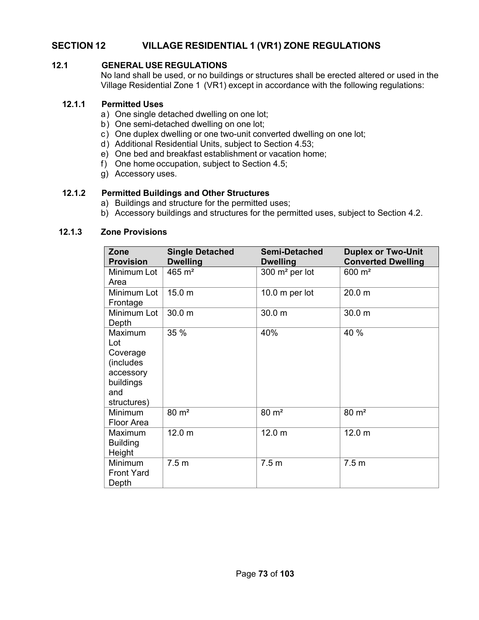# **SECTION 12 VILLAGE RESIDENTIAL 1 (VR1) ZONE REGULATIONS**

# **12.1 GENERAL USE REGULATIONS**

No land shall be used, or no buildings or structures shall be erected altered or used in the Village Residential Zone 1 (VR1) except in accordance with the following regulations:

### **12.1.1 Permitted Uses**

- a) One single detached dwelling on one lot;
- b) One semi-detached dwelling on one lot;
- c) One duplex dwelling or one two-unit converted dwelling on one lot;
- d) Additional Residential Units, subject to Section 4.53;
- e) One bed and breakfast establishment or vacation home;
- f) One home occupation, subject to Section 4.5;
- g) Accessory uses.

# **12.1.2 Permitted Buildings and Other Structures**

- a) Buildings and structure for the permitted uses;
- b) Accessory buildings and structures for the permitted uses, subject to Section 4.2.

#### **12.1.3 Zone Provisions**

| Zone<br><b>Provision</b>                                                                | <b>Single Detached</b><br><b>Dwelling</b> | <b>Semi-Detached</b><br><b>Dwelling</b> | <b>Duplex or Two-Unit</b><br><b>Converted Dwelling</b> |
|-----------------------------------------------------------------------------------------|-------------------------------------------|-----------------------------------------|--------------------------------------------------------|
| Minimum Lot<br>Area                                                                     | $465 \text{ m}^2$                         | $300 \text{ m}^2$ per lot               | $600 \; \text{m}^2$                                    |
| Minimum Lot<br>Frontage                                                                 | 15.0 <sub>m</sub>                         | 10.0 $m$ per lot                        | 20.0 <sub>m</sub>                                      |
| Minimum Lot<br>Depth                                                                    | 30.0 m                                    | 30.0 m                                  | 30.0 m                                                 |
| Maximum<br>Lot<br>Coverage<br>(includes<br>accessory<br>buildings<br>and<br>structures) | 35 %                                      | 40%                                     | 40 %                                                   |
| Minimum<br>Floor Area                                                                   | $80 \text{ m}^2$                          | $80 \text{ m}^2$                        | $80 \text{ m}^2$                                       |
| Maximum<br><b>Building</b><br>Height                                                    | 12.0 <sub>m</sub>                         | 12.0 <sub>m</sub>                       | 12.0 <sub>m</sub>                                      |
| Minimum<br><b>Front Yard</b><br>Depth                                                   | 7.5 <sub>m</sub>                          | 7.5 <sub>m</sub>                        | 7.5 <sub>m</sub>                                       |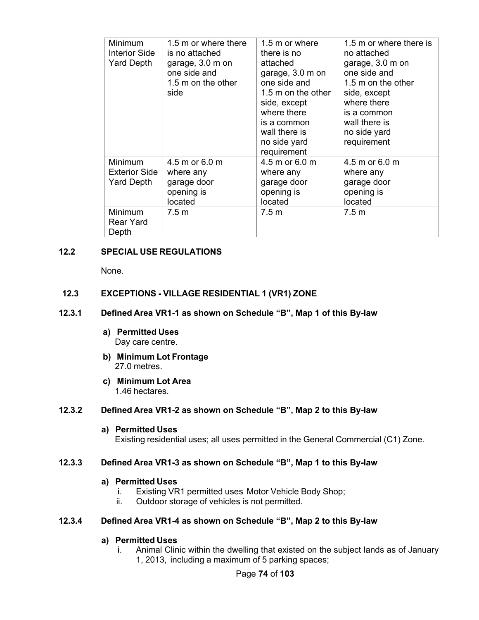| <b>Minimum</b><br><b>Interior Side</b><br><b>Yard Depth</b> | 1.5 m or where there<br>is no attached<br>garage, 3.0 m on<br>one side and<br>1.5 m on the other<br>side | 1.5 m or where<br>there is no<br>attached<br>garage, 3.0 m on<br>one side and<br>1.5 m on the other<br>side, except<br>where there<br>is a common<br>wall there is<br>no side yard<br>requirement | 1.5 m or where there is<br>no attached<br>garage, 3.0 m on<br>one side and<br>1.5 m on the other<br>side, except<br>where there<br>is a common<br>wall there is<br>no side yard<br>requirement |
|-------------------------------------------------------------|----------------------------------------------------------------------------------------------------------|---------------------------------------------------------------------------------------------------------------------------------------------------------------------------------------------------|------------------------------------------------------------------------------------------------------------------------------------------------------------------------------------------------|
| <b>Minimum</b><br>Exterior Side<br><b>Yard Depth</b>        | 4.5 m or 6.0 m<br>where any<br>garage door<br>opening is<br>located                                      | 4.5 m or 6.0 m<br>where any<br>garage door<br>opening is<br>located                                                                                                                               | 4.5 m or 6.0 m<br>where any<br>garage door<br>opening is<br>located                                                                                                                            |
| <b>Minimum</b><br>Rear Yard<br>Depth                        | 7.5 <sub>m</sub>                                                                                         | 7.5 <sub>m</sub>                                                                                                                                                                                  | 7.5 <sub>m</sub>                                                                                                                                                                               |

# **12.2 SPECIAL USE REGULATIONS**

None.

# **12.3 EXCEPTIONS - VILLAGE RESIDENTIAL 1 (VR1) ZONE**

#### **12.3.1 Defined Area VR1-1 as shown on Schedule "B", Map 1 of this By-law**

- **a) Permitted Uses** Day care centre.
- **b) Minimum Lot Frontage** 27.0 metres.
- **c) Minimum Lot Area** 1.46 hectares.

#### **12.3.2 Defined Area VR1-2 as shown on Schedule "B", Map 2 to this By-law**

#### **a) Permitted Uses**

Existing residential uses; all uses permitted in the General Commercial (C1) Zone.

### **12.3.3 Defined Area VR1-3 as shown on Schedule "B", Map 1 to this By-law**

#### **a) Permitted Uses**

- i. Existing VR1 permitted uses Motor Vehicle Body Shop;
- ii. Outdoor storage of vehicles is not permitted.

#### **12.3.4 Defined Area VR1-4 as shown on Schedule "B", Map 2 to this By-law**

#### **a) Permitted Uses**

i. Animal Clinic within the dwelling that existed on the subject lands as of January 1, 2013, including a maximum of 5 parking spaces;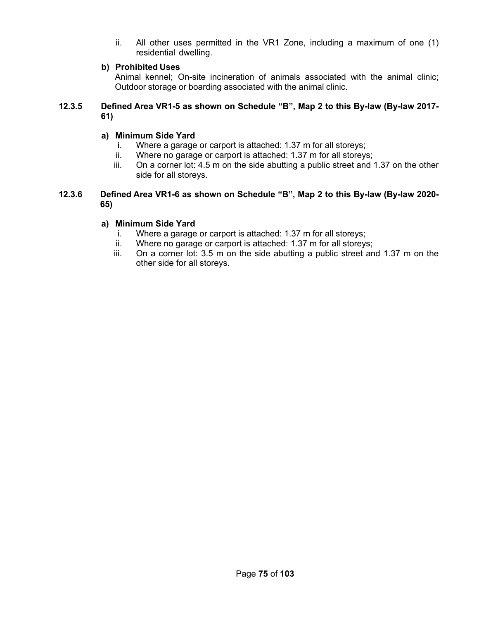ii. All other uses permitted in the VR1 Zone, including a maximum of one (1) residential dwelling.

# **b) Prohibited Uses**

Animal kennel; On-site incineration of animals associated with the animal clinic; Outdoor storage or boarding associated with the animal clinic.

# **12.3.5 Defined Area VR1-5 as shown on Schedule "B", Map 2 to this By-law (By-law 2017- 61)**

# **a) Minimum Side Yard**

- i. Where a garage or carport is attached: 1.37 m for all storeys;
- ii. Where no garage or carport is attached: 1.37 m for all storeys;
- iii. On a corner lot: 4.5 m on the side abutting a public street and 1.37 on the other side for all storeys.
- **12.3.6 Defined Area VR1-6 as shown on Schedule "B", Map 2 to this By-law (By-law 2020- 65)**

# **a) Minimum Side Yard**

- i. Where a garage or carport is attached: 1.37 m for all storeys;
- ii. Where no garage or carport is attached: 1.37 m for all storeys;
- iii. On a corner lot: 3.5 m on the side abutting a public street and 1.37 m on the other side for all storeys.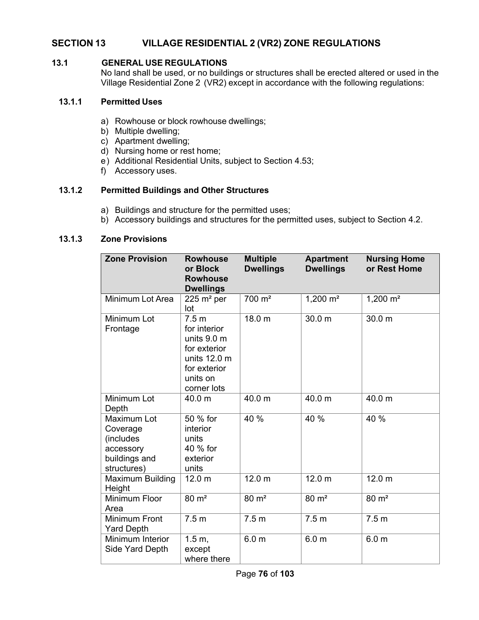# **SECTION 13 VILLAGE RESIDENTIAL 2 (VR2) ZONE REGULATIONS**

# **13.1 GENERAL USE REGULATIONS**

No land shall be used, or no buildings or structures shall be erected altered or used in the Village Residential Zone 2 (VR2) except in accordance with the following regulations:

### **13.1.1 Permitted Uses**

- a) Rowhouse or block rowhouse dwellings;
- b) Multiple dwelling;
- c) Apartment dwelling;
- d) Nursing home or rest home;
- e) Additional Residential Units, subject to Section 4.53;
- f) Accessory uses.

# **13.1.2 Permitted Buildings and Other Structures**

- a) Buildings and structure for the permitted uses;
- b) Accessory buildings and structures for the permitted uses, subject to Section 4.2.

# **13.1.3 Zone Provisions**

| <b>Zone Provision</b>                                                             | <b>Rowhouse</b><br>or Block<br><b>Rowhouse</b><br><b>Dwellings</b>                                                                             | <b>Multiple</b><br><b>Dwellings</b> | <b>Apartment</b><br><b>Dwellings</b> | <b>Nursing Home</b><br>or Rest Home |
|-----------------------------------------------------------------------------------|------------------------------------------------------------------------------------------------------------------------------------------------|-------------------------------------|--------------------------------------|-------------------------------------|
| Minimum Lot Area                                                                  | $225 \text{ m}^2 \text{ per}$<br>lot                                                                                                           | 700 m <sup>2</sup>                  | 1,200 $m^2$                          | 1,200 $m2$                          |
| Minimum Lot<br>Frontage                                                           | 7.5 <sub>m</sub><br>for interior<br>units $9.0 \text{ m}$<br>for exterior<br>units $12.0 \text{ m}$<br>for exterior<br>units on<br>corner lots | 18.0 m                              | 30.0 m                               | 30.0 m                              |
| Minimum Lot<br>Depth                                                              | 40.0 m                                                                                                                                         | 40.0 m                              | 40.0 m                               | 40.0 m                              |
| Maximum Lot<br>Coverage<br>(includes<br>accessory<br>buildings and<br>structures) | 50 % for<br><i>interior</i><br>units<br>40 % for<br>exterior<br>units                                                                          | 40 %                                | 40 %                                 | 40 %                                |
| Maximum Building<br>Height                                                        | 12.0 <sub>m</sub>                                                                                                                              | 12.0 <sub>m</sub>                   | 12.0 <sub>m</sub>                    | 12.0 <sub>m</sub>                   |
| <b>Minimum Floor</b><br>Area                                                      | $80 \text{ m}^2$                                                                                                                               | $80 \text{ m}^2$                    | $80 \text{ m}^2$                     | $80 \text{ m}^2$                    |
| <b>Minimum Front</b><br><b>Yard Depth</b>                                         | 7.5 <sub>m</sub>                                                                                                                               | 7.5 <sub>m</sub>                    | 7.5 <sub>m</sub>                     | 7.5 <sub>m</sub>                    |
| Minimum Interior<br>Side Yard Depth                                               | 1.5 m,<br>except<br>where there                                                                                                                | 6.0 <sub>m</sub>                    | 6.0 <sub>m</sub>                     | 6.0 <sub>m</sub>                    |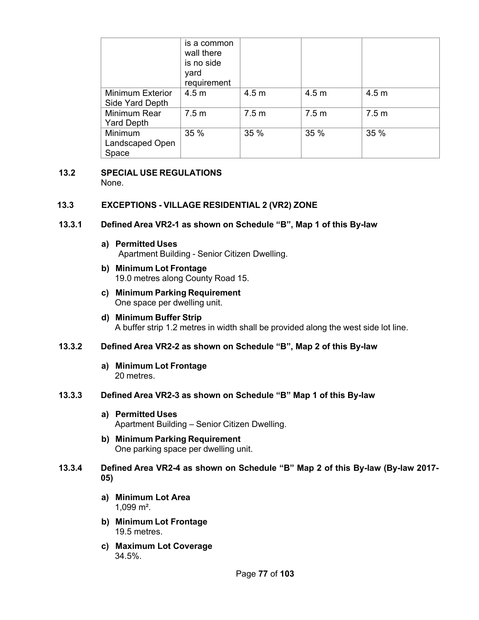|                                            | is a common<br>wall there<br>is no side<br>yard<br>requirement |                  |                  |                  |
|--------------------------------------------|----------------------------------------------------------------|------------------|------------------|------------------|
| <b>Minimum Exterior</b><br>Side Yard Depth | 4.5 <sub>m</sub>                                               | 4.5 <sub>m</sub> | 4.5 <sub>m</sub> | 4.5 <sub>m</sub> |
| Minimum Rear<br>Yard Depth                 | 7.5 <sub>m</sub>                                               | 7.5 <sub>m</sub> | 7.5 <sub>m</sub> | 7.5 <sub>m</sub> |
| Minimum<br>Landscaped Open<br>Space        | 35 %                                                           | 35 %             | 35 %             | 35 %             |

#### **13.2 SPECIAL USE REGULATIONS** None.

# **13.3 EXCEPTIONS - VILLAGE RESIDENTIAL 2 (VR2) ZONE**

# **13.3.1 Defined Area VR2-1 as shown on Schedule "B", Map 1 of this By-law**

- **a) Permitted Uses** Apartment Building - Senior Citizen Dwelling.
- **b) Minimum Lot Frontage** 19.0 metres along County Road 15.
- **c) Minimum Parking Requirement** One space per dwelling unit.
- **d) Minimum Buffer Strip** A buffer strip 1.2 metres in width shall be provided along the west side lot line.

# **13.3.2 Defined Area VR2-2 as shown on Schedule "B", Map 2 of this By-law**

**a) Minimum Lot Frontage** 20 metres.

# **13.3.3 Defined Area VR2-3 as shown on Schedule "B" Map 1 of this By-law**

- **a) Permitted Uses** Apartment Building – Senior Citizen Dwelling.
- **b) Minimum Parking Requirement** One parking space per dwelling unit.
- **13.3.4 Defined Area VR2-4 as shown on Schedule "B" Map 2 of this By-law (By-law 2017- 05)**
	- **a) Minimum Lot Area** 1,099 m².
	- **b) Minimum Lot Frontage** 19.5 metres.
	- **c) Maximum Lot Coverage** 34.5%.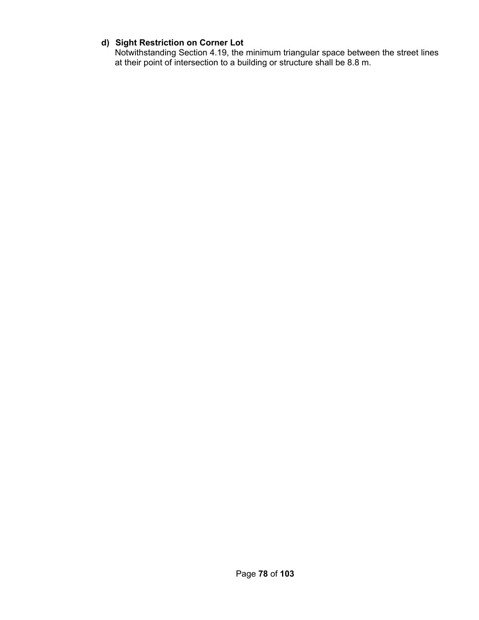# **d) Sight Restriction on Corner Lot**

Notwithstanding Section 4.19, the minimum triangular space between the street lines at their point of intersection to a building or structure shall be 8.8 m.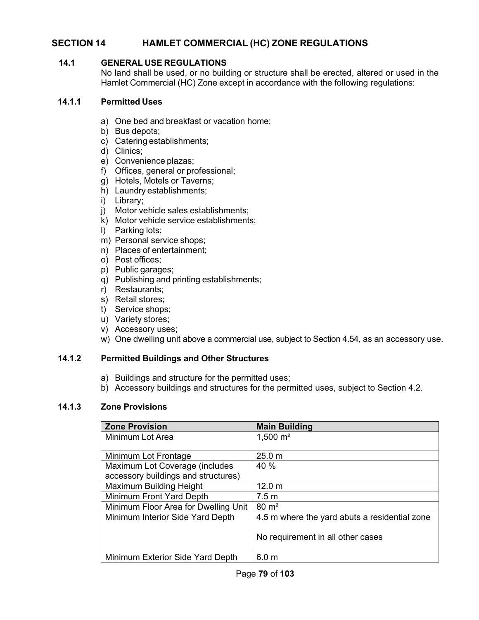# **SECTION 14 HAMLET COMMERCIAL (HC) ZONE REGULATIONS**

### **14.1 GENERAL USE REGULATIONS**

No land shall be used, or no building or structure shall be erected, altered or used in the Hamlet Commercial (HC) Zone except in accordance with the following regulations:

### **14.1.1 Permitted Uses**

- a) One bed and breakfast or vacation home;
- b) Bus depots;
- c) Catering establishments;
- d) Clinics;
- e) Convenience plazas;
- f) Offices, general or professional;
- g) Hotels, Motels or Taverns;
- h) Laundry establishments;
- i) Library;
- j) Motor vehicle sales establishments;
- k) Motor vehicle service establishments;
- l) Parking lots;
- m) Personal service shops;
- n) Places of entertainment;
- o) Post offices;
- p) Public garages;
- q) Publishing and printing establishments;
- r) Restaurants;
- s) Retail stores;
- t) Service shops;
- u) Variety stores;
- v) Accessory uses;
- w) One dwelling unit above a commercial use, subject to Section 4.54, as an accessory use.

# **14.1.2 Permitted Buildings and Other Structures**

- a) Buildings and structure for the permitted uses;
- b) Accessory buildings and structures for the permitted uses, subject to Section 4.2.

# **14.1.3 Zone Provisions**

| <b>Zone Provision</b>                | <b>Main Building</b>                          |
|--------------------------------------|-----------------------------------------------|
| Minimum Lot Area                     | $1,500 \text{ m}^2$                           |
|                                      |                                               |
| Minimum Lot Frontage                 | 25.0 m                                        |
| Maximum Lot Coverage (includes       | 40 %                                          |
| accessory buildings and structures)  |                                               |
| Maximum Building Height              | 12.0 <sub>m</sub>                             |
| Minimum Front Yard Depth             | 7.5 <sub>m</sub>                              |
| Minimum Floor Area for Dwelling Unit | $80 \text{ m}^2$                              |
| Minimum Interior Side Yard Depth     | 4.5 m where the yard abuts a residential zone |
|                                      | No requirement in all other cases             |
| Minimum Exterior Side Yard Depth     | 6.0 <sub>m</sub>                              |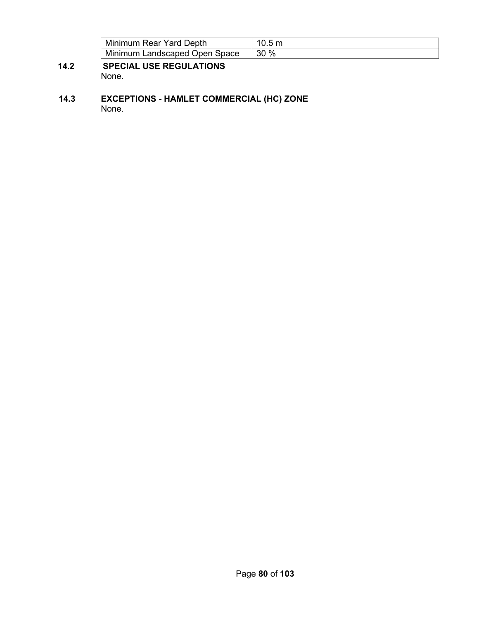| Minimum Rear Yard Depth       |     |
|-------------------------------|-----|
| Minimum Landscaped Open Space | 30% |

- **14.2 SPECIAL USE REGULATIONS** None.
- **14.3 EXCEPTIONS HAMLET COMMERCIAL (HC) ZONE** None.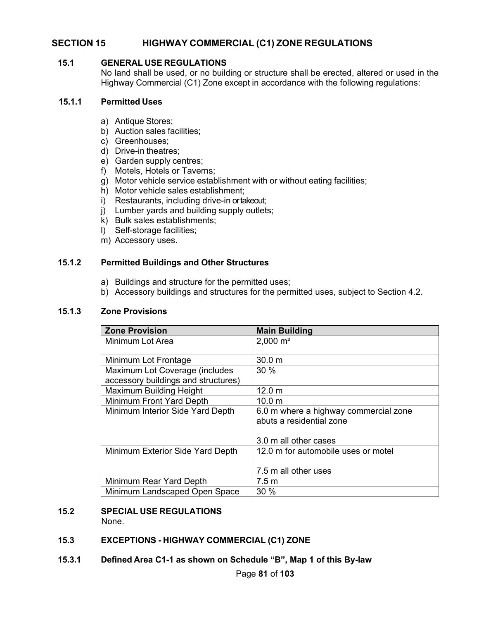# **SECTION 15 HIGHWAY COMMERCIAL (C1) ZONE REGULATIONS**

#### **15.1 GENERAL USE REGULATIONS**

No land shall be used, or no building or structure shall be erected, altered or used in the Highway Commercial (C1) Zone except in accordance with the following regulations:

#### **15.1.1 Permitted Uses**

- a) Antique Stores;
- b) Auction sales facilities;
- c) Greenhouses;
- d) Drive-in theatres;
- e) Garden supply centres;
- f) Motels, Hotels or Taverns;
- g) Motor vehicle service establishment with or without eating facilities;
- h) Motor vehicle sales establishment;
- i) Restaurants, including drive-in or takeout;
- j) Lumber yards and building supply outlets;
- k) Bulk sales establishments;
- l) Self-storage facilities;
- m) Accessory uses.

#### **15.1.2 Permitted Buildings and Other Structures**

- a) Buildings and structure for the permitted uses;
- b) Accessory buildings and structures for the permitted uses, subject to Section 4.2.

#### **15.1.3 Zone Provisions**

| <b>Zone Provision</b>               | <b>Main Building</b>                  |
|-------------------------------------|---------------------------------------|
| Minimum Lot Area                    | $2,000 \text{ m}^2$                   |
|                                     |                                       |
| Minimum Lot Frontage                | 30.0 <sub>m</sub>                     |
| Maximum Lot Coverage (includes      | 30%                                   |
| accessory buildings and structures) |                                       |
| Maximum Building Height             | 12.0 m                                |
| Minimum Front Yard Depth            | 10.0 <sub>m</sub>                     |
| Minimum Interior Side Yard Depth    | 6.0 m where a highway commercial zone |
|                                     | abuts a residential zone              |
|                                     |                                       |
|                                     | 3.0 m all other cases                 |
| Minimum Exterior Side Yard Depth    | 12.0 m for automobile uses or motel   |
|                                     |                                       |
|                                     | 7.5 m all other uses                  |
| Minimum Rear Yard Depth             | 7.5 m                                 |
| Minimum Landscaped Open Space       | 30 %                                  |

# **15.2 SPECIAL USE REGULATIONS**

None.

# **15.3 EXCEPTIONS - HIGHWAY COMMERCIAL (C1) ZONE**

**15.3.1 Defined Area C1-1 as shown on Schedule "B", Map 1 of this By-law**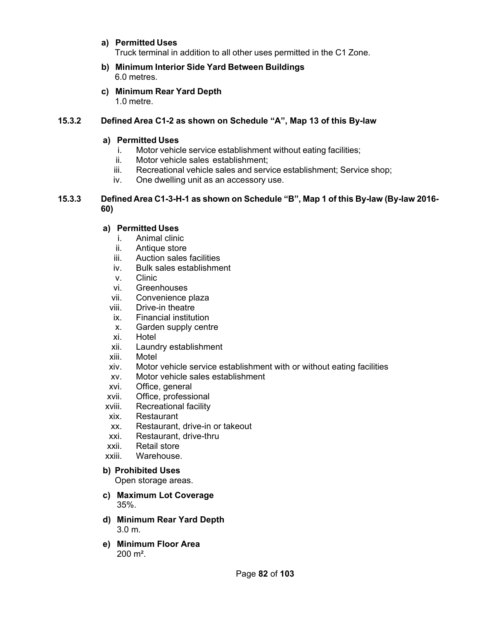# **a) Permitted Uses**

Truck terminal in addition to all other uses permitted in the C1 Zone.

- **b) Minimum Interior Side Yard Between Buildings** 6.0 metres.
- **c) Minimum Rear Yard Depth**

1.0 metre.

# **15.3.2 Defined Area C1-2 as shown on Schedule "A", Map 13 of this By-law**

# **a) Permitted Uses**

- i. Motor vehicle service establishment without eating facilities;
- ii. Motor vehicle sales establishment;
- iii. Recreational vehicle sales and service establishment; Service shop;
- iv. One dwelling unit as an accessory use.

# **15.3.3 Defined Area C1-3-H-1 as shown on Schedule "B", Map 1 of this By-law (By-law 2016- 60)**

# **a) Permitted Uses**

- i. Animal clinic
- ii. Antique store
- iii. Auction sales facilities
- iv. Bulk sales establishment
- v. Clinic
- vi. Greenhouses
- vii. Convenience plaza
- viii. Drive-in theatre
- ix. Financial institution
- x. Garden supply centre
- xi. Hotel
- xii. Laundry establishment
- xiii. Motel
- xiv. Motor vehicle service establishment with or without eating facilities
- xv. Motor vehicle sales establishment
- xvi. Office, general
- xvii. Office, professional
- xviii. Recreational facility
- xix. Restaurant
- xx. Restaurant, drive-in or takeout
- xxi. Restaurant, drive-thru
- xxii. Retail store
- xxiii. Warehouse.

# **b) Prohibited Uses**

Open storage areas.

- **c) Maximum Lot Coverage** 35%.
- **d) Minimum Rear Yard Depth** 3.0 m.
- **e) Minimum Floor Area**  $200 \; \text{m}^2$ .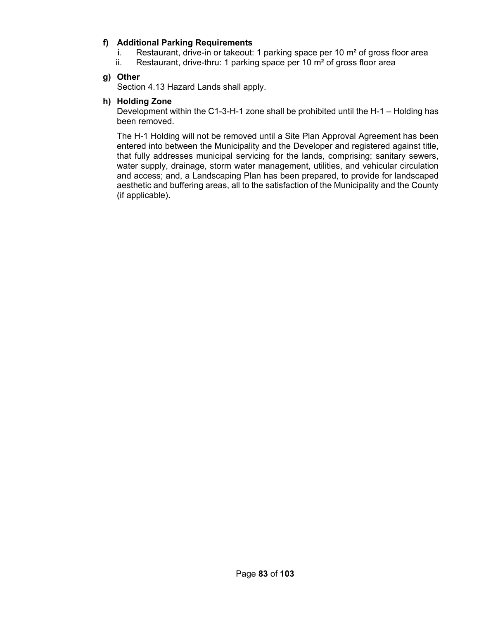# **f) Additional Parking Requirements**

- i. Restaurant, drive-in or takeout: 1 parking space per 10  $m<sup>2</sup>$  of gross floor area
- ii. Restaurant, drive-thru: 1 parking space per 10  $m<sup>2</sup>$  of gross floor area

# **g) Other**

Section 4.13 Hazard Lands shall apply.

# **h) Holding Zone**

Development within the C1-3-H-1 zone shall be prohibited until the H-1 – Holding has been removed.

The H-1 Holding will not be removed until a Site Plan Approval Agreement has been entered into between the Municipality and the Developer and registered against title, that fully addresses municipal servicing for the lands, comprising; sanitary sewers, water supply, drainage, storm water management, utilities, and vehicular circulation and access; and, a Landscaping Plan has been prepared, to provide for landscaped aesthetic and buffering areas, all to the satisfaction of the Municipality and the County (if applicable).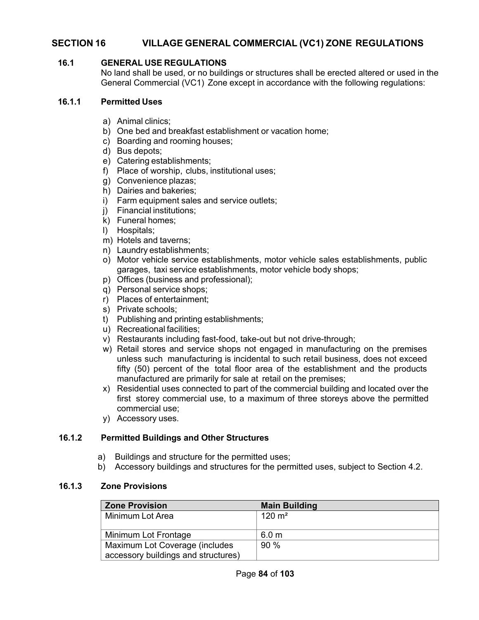# **SECTION 16 VILLAGE GENERAL COMMERCIAL (VC1) ZONE REGULATIONS**

# **16.1 GENERAL USE REGULATIONS**

No land shall be used, or no buildings or structures shall be erected altered or used in the General Commercial (VC1) Zone except in accordance with the following regulations:

### **16.1.1 Permitted Uses**

- a) Animal clinics;
- b) One bed and breakfast establishment or vacation home;
- c) Boarding and rooming houses;
- d) Bus depots;
- e) Catering establishments;
- f) Place of worship, clubs, institutional uses;
- g) Convenience plazas;
- h) Dairies and bakeries;
- i) Farm equipment sales and service outlets;
- j) Financial institutions;
- k) Funeral homes;
- l) Hospitals;
- m) Hotels and taverns;
- n) Laundry establishments;
- o) Motor vehicle service establishments, motor vehicle sales establishments, public garages, taxi service establishments, motor vehicle body shops;
- p) Offices (business and professional);
- q) Personal service shops;
- r) Places of entertainment;
- s) Private schools;
- t) Publishing and printing establishments;
- u) Recreational facilities;
- v) Restaurants including fast-food, take-out but not drive-through;
- w) Retail stores and service shops not engaged in manufacturing on the premises unless such manufacturing is incidental to such retail business, does not exceed fifty (50) percent of the total floor area of the establishment and the products manufactured are primarily for sale at retail on the premises;
- x) Residential uses connected to part of the commercial building and located over the first storey commercial use, to a maximum of three storeys above the permitted commercial use;
- y) Accessory uses.

# **16.1.2 Permitted Buildings and Other Structures**

- a) Buildings and structure for the permitted uses;
- b) Accessory buildings and structures for the permitted uses, subject to Section 4.2.

#### **16.1.3 Zone Provisions**

| <b>Zone Provision</b>               | <b>Main Building</b> |
|-------------------------------------|----------------------|
| Minimum Lot Area                    | $120 \text{ m}^2$    |
|                                     |                      |
| Minimum Lot Frontage                | 6.0 <sub>m</sub>     |
| Maximum Lot Coverage (includes      | 90%                  |
| accessory buildings and structures) |                      |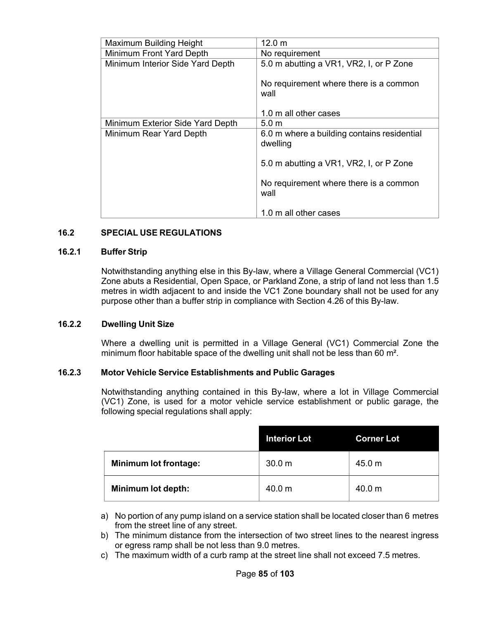| Maximum Building Height          | 12.0 <sub>m</sub>                                       |
|----------------------------------|---------------------------------------------------------|
| Minimum Front Yard Depth         | No requirement                                          |
| Minimum Interior Side Yard Depth | 5.0 m abutting a VR1, VR2, I, or P Zone                 |
|                                  | No requirement where there is a common<br>wall          |
|                                  | 1.0 m all other cases                                   |
| Minimum Exterior Side Yard Depth | 5.0 m                                                   |
| Minimum Rear Yard Depth          | 6.0 m where a building contains residential<br>dwelling |
|                                  | 5.0 m abutting a VR1, VR2, I, or P Zone                 |
|                                  | No requirement where there is a common<br>wall          |
|                                  | 1.0 m all other cases                                   |

# **16.2 SPECIAL USE REGULATIONS**

#### **16.2.1 Buffer Strip**

Notwithstanding anything else in this By-law, where a Village General Commercial (VC1) Zone abuts a Residential, Open Space, or Parkland Zone, a strip of land not less than 1.5 metres in width adjacent to and inside the VC1 Zone boundary shall not be used for any purpose other than a buffer strip in compliance with Section 4.26 of this By-law.

#### **16.2.2 Dwelling Unit Size**

Where a dwelling unit is permitted in a Village General (VC1) Commercial Zone the minimum floor habitable space of the dwelling unit shall not be less than 60 m².

# **16.2.3 Motor Vehicle Service Establishments and Public Garages**

Notwithstanding anything contained in this By-law, where a lot in Village Commercial (VC1) Zone, is used for a motor vehicle service establishment or public garage, the following special regulations shall apply:

|                              | <b>Interior Lot</b> | <b>Corner Lot</b> |
|------------------------------|---------------------|-------------------|
| <b>Minimum lot frontage:</b> | 30.0 m              | 45.0 m            |
| Minimum lot depth:           | 40.0 m              | 40.0 m            |

- a) No portion of any pump island on a service station shall be located closer than 6 metres from the street line of any street.
- b) The minimum distance from the intersection of two street lines to the nearest ingress or egress ramp shall be not less than 9.0 metres.
- c) The maximum width of a curb ramp at the street line shall not exceed 7.5 metres.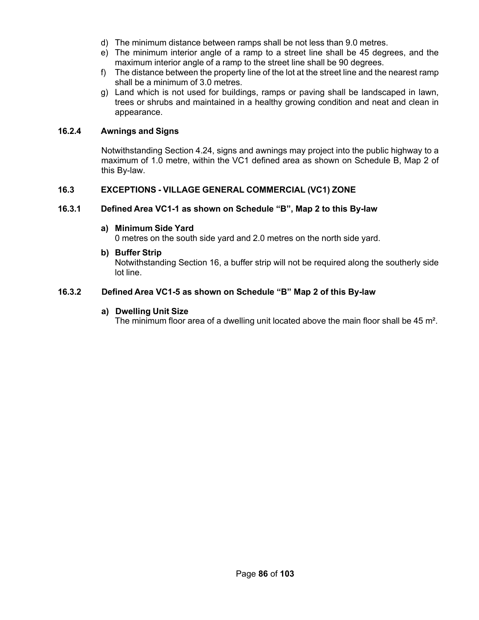- d) The minimum distance between ramps shall be not less than 9.0 metres.
- e) The minimum interior angle of a ramp to a street line shall be 45 degrees, and the maximum interior angle of a ramp to the street line shall be 90 degrees.
- f) The distance between the property line of the lot at the street line and the nearest ramp shall be a minimum of 3.0 metres.
- g) Land which is not used for buildings, ramps or paving shall be landscaped in lawn, trees or shrubs and maintained in a healthy growing condition and neat and clean in appearance.

# **16.2.4 Awnings and Signs**

Notwithstanding Section 4.24, signs and awnings may project into the public highway to a maximum of 1.0 metre, within the VC1 defined area as shown on Schedule B, Map 2 of this By-law.

# **16.3 EXCEPTIONS - VILLAGE GENERAL COMMERCIAL (VC1) ZONE**

# **16.3.1 Defined Area VC1-1 as shown on Schedule "B", Map 2 to this By-law**

### **a) Minimum Side Yard**

0 metres on the south side yard and 2.0 metres on the north side yard.

**b) Buffer Strip**

Notwithstanding Section 16, a buffer strip will not be required along the southerly side lot line.

# **16.3.2 Defined Area VC1-5 as shown on Schedule "B" Map 2 of this By-law**

# **a) Dwelling Unit Size**

The minimum floor area of a dwelling unit located above the main floor shall be 45 m<sup>2</sup>.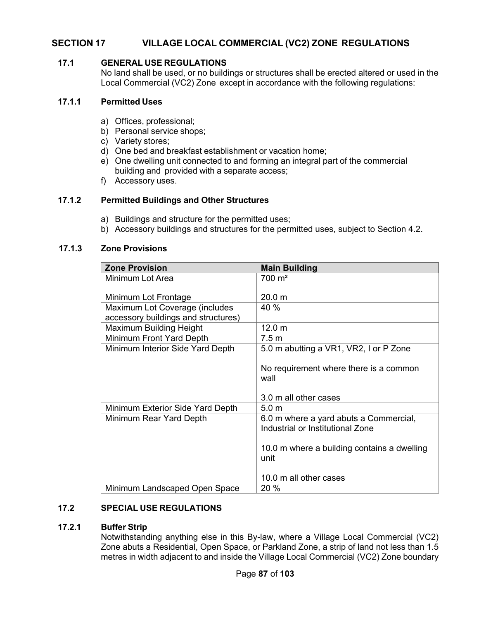# **SECTION 17 VILLAGE LOCAL COMMERCIAL (VC2) ZONE REGULATIONS**

# **17.1 GENERAL USE REGULATIONS**

No land shall be used, or no buildings or structures shall be erected altered or used in the Local Commercial (VC2) Zone except in accordance with the following regulations:

### **17.1.1 Permitted Uses**

- a) Offices, professional;
- b) Personal service shops;
- c) Variety stores;
- d) One bed and breakfast establishment or vacation home;
- e) One dwelling unit connected to and forming an integral part of the commercial building and provided with a separate access;
- f) Accessory uses.

# **17.1.2 Permitted Buildings and Other Structures**

- a) Buildings and structure for the permitted uses;
- b) Accessory buildings and structures for the permitted uses, subject to Section 4.2.

### **17.1.3 Zone Provisions**

| <b>Zone Provision</b>               | <b>Main Building</b>                                                       |
|-------------------------------------|----------------------------------------------------------------------------|
| Minimum Lot Area                    | $700 \; \text{m}^2$                                                        |
| Minimum Lot Frontage                | 20.0 m                                                                     |
| Maximum Lot Coverage (includes      | 40 %                                                                       |
| accessory buildings and structures) |                                                                            |
| Maximum Building Height             | 12.0 <sub>m</sub>                                                          |
| Minimum Front Yard Depth            | 7.5 m                                                                      |
| Minimum Interior Side Yard Depth    | 5.0 m abutting a VR1, VR2, I or P Zone                                     |
|                                     | No requirement where there is a common<br>wall                             |
|                                     | 3.0 m all other cases                                                      |
| Minimum Exterior Side Yard Depth    | 5.0 <sub>m</sub>                                                           |
| Minimum Rear Yard Depth             | 6.0 m where a yard abuts a Commercial,<br>Industrial or Institutional Zone |
|                                     | 10.0 m where a building contains a dwelling<br>unit                        |
|                                     | 10.0 m all other cases                                                     |
| Minimum Landscaped Open Space       | 20 %                                                                       |

# **17.2 SPECIAL USE REGULATIONS**

# **17.2.1 Buffer Strip**

Notwithstanding anything else in this By-law, where a Village Local Commercial (VC2) Zone abuts a Residential, Open Space, or Parkland Zone, a strip of land not less than 1.5 metres in width adjacent to and inside the Village Local Commercial (VC2) Zone boundary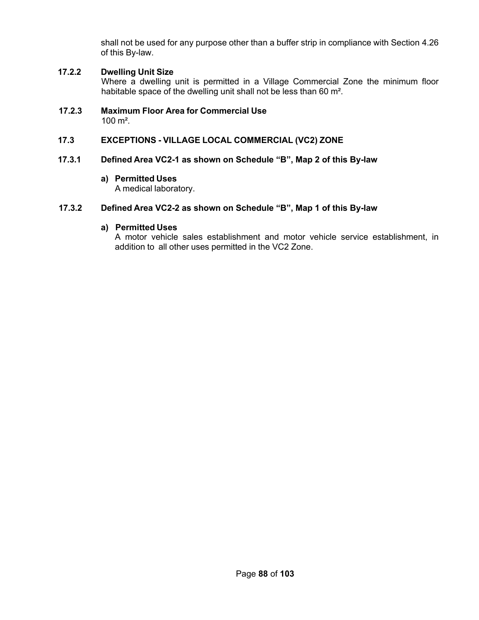shall not be used for any purpose other than a buffer strip in compliance with Section 4.26 of this By-law.

# **17.2.2 Dwelling Unit Size**

Where a dwelling unit is permitted in a Village Commercial Zone the minimum floor habitable space of the dwelling unit shall not be less than 60 m².

**17.2.3 Maximum Floor Area for Commercial Use**  $100 \text{ m}^2$ .

# **17.3 EXCEPTIONS - VILLAGE LOCAL COMMERCIAL (VC2) ZONE**

### **17.3.1 Defined Area VC2-1 as shown on Schedule "B", Map 2 of this By-law**

### **a) Permitted Uses**

A medical laboratory.

# **17.3.2 Defined Area VC2-2 as shown on Schedule "B", Map 1 of this By-law**

#### **a) Permitted Uses**

A motor vehicle sales establishment and motor vehicle service establishment, in addition to all other uses permitted in the VC2 Zone.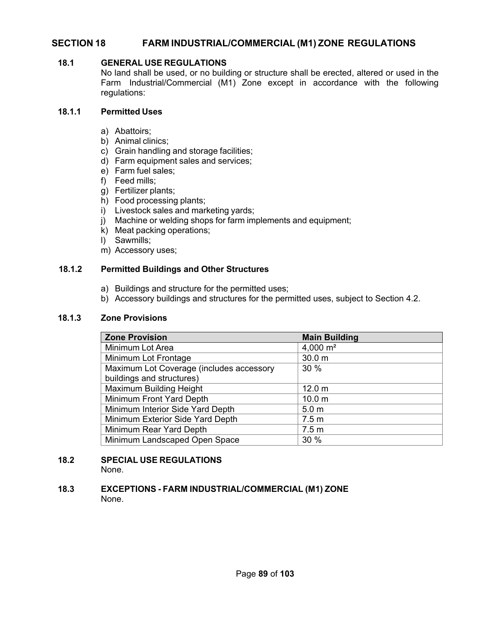# **SECTION 18 FARM INDUSTRIAL/COMMERCIAL (M1) ZONE REGULATIONS**

# **18.1 GENERAL USE REGULATIONS**

No land shall be used, or no building or structure shall be erected, altered or used in the Farm Industrial/Commercial (M1) Zone except in accordance with the following regulations:

# **18.1.1 Permitted Uses**

- a) Abattoirs;
- b) Animal clinics;
- c) Grain handling and storage facilities;
- d) Farm equipment sales and services;
- e) Farm fuel sales;
- f) Feed mills;
- g) Fertilizer plants;
- h) Food processing plants;
- i) Livestock sales and marketing yards;
- j) Machine or welding shops for farm implements and equipment;
- k) Meat packing operations;
- l) Sawmills;
- m) Accessory uses;

# **18.1.2 Permitted Buildings and Other Structures**

- a) Buildings and structure for the permitted uses;
- b) Accessory buildings and structures for the permitted uses, subject to Section 4.2.

# **18.1.3 Zone Provisions**

| <b>Zone Provision</b>                    | <b>Main Building</b> |
|------------------------------------------|----------------------|
| Minimum Lot Area                         | 4,000 $m2$           |
| Minimum Lot Frontage                     | 30.0 m               |
| Maximum Lot Coverage (includes accessory | 30 %                 |
| buildings and structures)                |                      |
| Maximum Building Height                  | 12.0 <sub>m</sub>    |
| Minimum Front Yard Depth                 | 10.0 <sub>m</sub>    |
| Minimum Interior Side Yard Depth         | 5.0 <sub>m</sub>     |
| Minimum Exterior Side Yard Depth         | 7.5 <sub>m</sub>     |
| Minimum Rear Yard Depth                  | 7.5 <sub>m</sub>     |
| Minimum Landscaped Open Space            | 30 %                 |

# **18.2 SPECIAL USE REGULATIONS**

None.

### **18.3 EXCEPTIONS - FARM INDUSTRIAL/COMMERCIAL (M1) ZONE** None.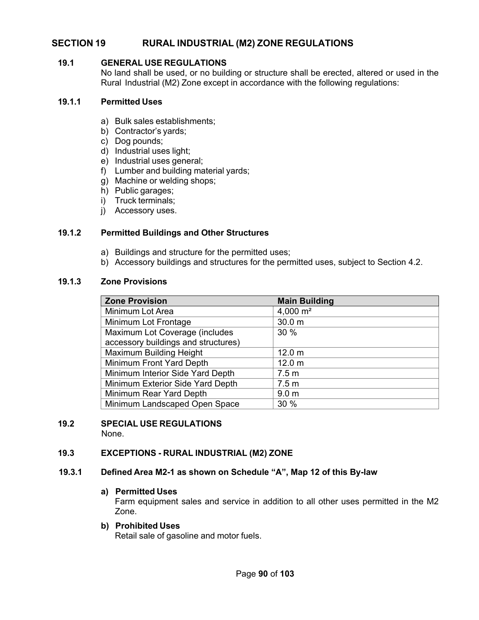# **SECTION 19 RURAL INDUSTRIAL (M2) ZONE REGULATIONS**

#### **19.1 GENERAL USE REGULATIONS**

No land shall be used, or no building or structure shall be erected, altered or used in the Rural Industrial (M2) Zone except in accordance with the following regulations:

#### **19.1.1 Permitted Uses**

- a) Bulk sales establishments;
- b) Contractor's yards;
- c) Dog pounds;
- d) Industrial uses light;
- e) Industrial uses general;
- f) Lumber and building material yards;
- g) Machine or welding shops;
- h) Public garages;
- i) Truck terminals;
- j) Accessory uses.

### **19.1.2 Permitted Buildings and Other Structures**

- a) Buildings and structure for the permitted uses;
- b) Accessory buildings and structures for the permitted uses, subject to Section 4.2.

### **19.1.3 Zone Provisions**

| <b>Zone Provision</b>               | <b>Main Building</b> |
|-------------------------------------|----------------------|
| Minimum Lot Area                    | 4,000 $m2$           |
| Minimum Lot Frontage                | 30.0 m               |
| Maximum Lot Coverage (includes      | 30 %                 |
| accessory buildings and structures) |                      |
| Maximum Building Height             | 12.0 <sub>m</sub>    |
| Minimum Front Yard Depth            | 12.0 <sub>m</sub>    |
| Minimum Interior Side Yard Depth    | 7.5 <sub>m</sub>     |
| Minimum Exterior Side Yard Depth    | 7.5 <sub>m</sub>     |
| Minimum Rear Yard Depth             | 9.0 <sub>m</sub>     |
| Minimum Landscaped Open Space       | 30 %                 |

# **19.2 SPECIAL USE REGULATIONS**

None.

# **19.3 EXCEPTIONS - RURAL INDUSTRIAL (M2) ZONE**

#### **19.3.1 Defined Area M2-1 as shown on Schedule "A", Map 12 of this By-law**

#### **a) Permitted Uses**

Farm equipment sales and service in addition to all other uses permitted in the M2 Zone.

#### **b) Prohibited Uses**

Retail sale of gasoline and motor fuels.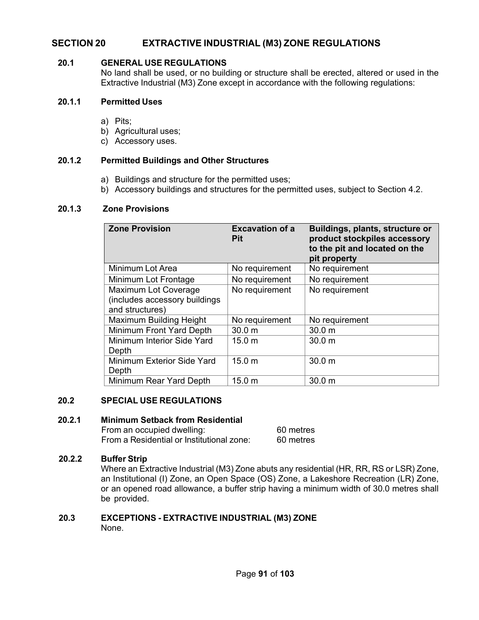# **SECTION 20 EXTRACTIVE INDUSTRIAL (M3) ZONE REGULATIONS**

#### **20.1 GENERAL USE REGULATIONS**

No land shall be used, or no building or structure shall be erected, altered or used in the Extractive Industrial (M3) Zone except in accordance with the following regulations:

#### **20.1.1 Permitted Uses**

- a) Pits;
- b) Agricultural uses;
- c) Accessory uses.

### **20.1.2 Permitted Buildings and Other Structures**

- a) Buildings and structure for the permitted uses;
- b) Accessory buildings and structures for the permitted uses, subject to Section 4.2.

#### **20.1.3 Zone Provisions**

| <b>Zone Provision</b>                                                    | <b>Excavation of a</b><br><b>Pit</b> | Buildings, plants, structure or<br>product stockpiles accessory<br>to the pit and located on the<br>pit property |
|--------------------------------------------------------------------------|--------------------------------------|------------------------------------------------------------------------------------------------------------------|
| Minimum Lot Area                                                         | No requirement                       | No requirement                                                                                                   |
| Minimum Lot Frontage                                                     | No requirement                       | No requirement                                                                                                   |
| Maximum Lot Coverage<br>(includes accessory buildings<br>and structures) | No requirement                       | No requirement                                                                                                   |
| Maximum Building Height                                                  | No requirement                       | No requirement                                                                                                   |
| Minimum Front Yard Depth                                                 | 30.0 <sub>m</sub>                    | 30.0 <sub>m</sub>                                                                                                |
| Minimum Interior Side Yard<br>Depth                                      | 15.0 <sub>m</sub>                    | 30.0 <sub>m</sub>                                                                                                |
| Minimum Exterior Side Yard<br>Depth                                      | 15.0 m                               | 30.0 <sub>m</sub>                                                                                                |
| Minimum Rear Yard Depth                                                  | 15.0 m                               | 30.0 m                                                                                                           |

# **20.2 SPECIAL USE REGULATIONS**

#### **20.2.1 Minimum Setback from Residential**

From an occupied dwelling: 60 metres<br>From a Residential or Institutional zone: 60 metres From a Residential or Institutional zone:

#### **20.2.2 Buffer Strip**

Where an Extractive Industrial (M3) Zone abuts any residential (HR, RR, RS or LSR) Zone, an Institutional (I) Zone, an Open Space (OS) Zone, a Lakeshore Recreation (LR) Zone, or an opened road allowance, a buffer strip having a minimum width of 30.0 metres shall be provided.

# **20.3 EXCEPTIONS - EXTRACTIVE INDUSTRIAL (M3) ZONE**

None.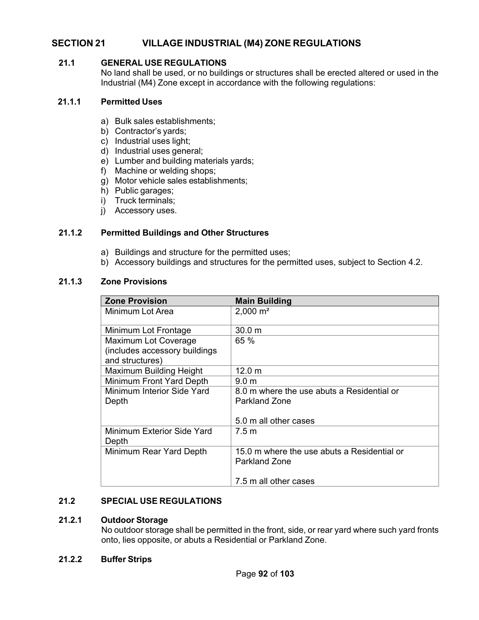# **SECTION 21 VILLAGE INDUSTRIAL (M4) ZONE REGULATIONS**

# **21.1 GENERAL USE REGULATIONS**

No land shall be used, or no buildings or structures shall be erected altered or used in the Industrial (M4) Zone except in accordance with the following regulations:

### **21.1.1 Permitted Uses**

- a) Bulk sales establishments;
- b) Contractor's yards;
- c) Industrial uses light;
- d) Industrial uses general;
- e) Lumber and building materials yards;
- f) Machine or welding shops;
- g) Motor vehicle sales establishments;
- h) Public garages;
- i) Truck terminals;
- j) Accessory uses.

# **21.1.2 Permitted Buildings and Other Structures**

- a) Buildings and structure for the permitted uses;
- b) Accessory buildings and structures for the permitted uses, subject to Section 4.2.

# **21.1.3 Zone Provisions**

| <b>Zone Provision</b>         | <b>Main Building</b>                        |
|-------------------------------|---------------------------------------------|
| Minimum Lot Area              | $2,000 \text{ m}^2$                         |
| Minimum Lot Frontage          | 30.0 m                                      |
| Maximum Lot Coverage          | 65 %                                        |
| (includes accessory buildings |                                             |
| and structures)               |                                             |
| Maximum Building Height       | 12.0 m                                      |
| Minimum Front Yard Depth      | 9.0 <sub>m</sub>                            |
| Minimum Interior Side Yard    | 8.0 m where the use abuts a Residential or  |
| Depth                         | <b>Parkland Zone</b>                        |
|                               |                                             |
|                               | 5.0 m all other cases                       |
| Minimum Exterior Side Yard    | 7.5 m                                       |
| Depth                         |                                             |
| Minimum Rear Yard Depth       | 15.0 m where the use abuts a Residential or |
|                               | Parkland Zone                               |
|                               |                                             |
|                               | 7.5 m all other cases                       |

# **21.2 SPECIAL USE REGULATIONS**

#### **21.2.1 Outdoor Storage**

No outdoor storage shall be permitted in the front, side, or rear yard where such yard fronts onto, lies opposite, or abuts a Residential or Parkland Zone.

#### **21.2.2 Buffer Strips**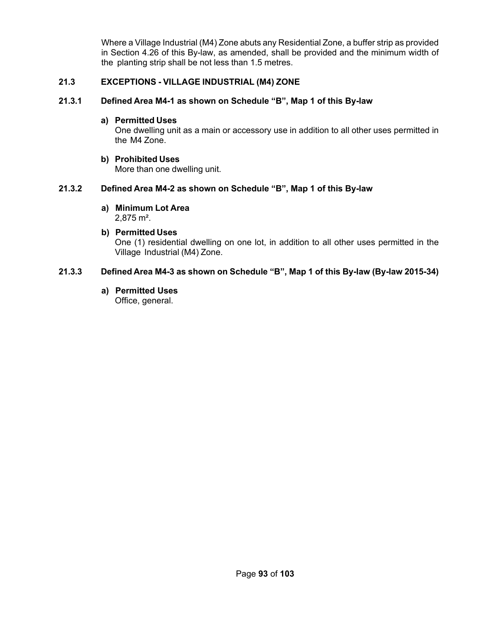Where a Village Industrial (M4) Zone abuts any Residential Zone, a buffer strip as provided in Section 4.26 of this By-law, as amended, shall be provided and the minimum width of the planting strip shall be not less than 1.5 metres.

### **21.3 EXCEPTIONS - VILLAGE INDUSTRIAL (M4) ZONE**

# **21.3.1 Defined Area M4-1 as shown on Schedule "B", Map 1 of this By-law**

#### **a) Permitted Uses**

One dwelling unit as a main or accessory use in addition to all other uses permitted in the M4 Zone.

### **b) Prohibited Uses**

More than one dwelling unit.

# **21.3.2 Defined Area M4-2 as shown on Schedule "B", Map 1 of this By-law**

**a) Minimum Lot Area** 2,875 m².

### **b) Permitted Uses** One (1) residential dwelling on one lot, in addition to all other uses permitted in the Village Industrial (M4) Zone.

# **21.3.3 Defined Area M4-3 as shown on Schedule "B", Map 1 of this By-law (By-law 2015-34)**

**a) Permitted Uses**

Office, general.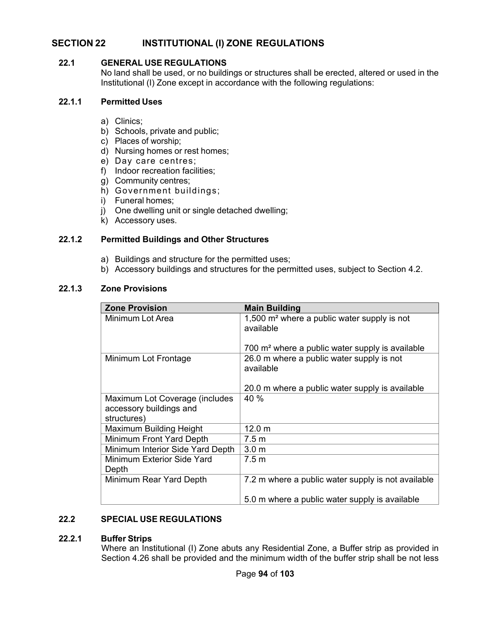# **SECTION 22 INSTITUTIONAL (I) ZONE REGULATIONS**

# **22.1 GENERAL USE REGULATIONS**

No land shall be used, or no buildings or structures shall be erected, altered or used in the Institutional (I) Zone except in accordance with the following regulations:

### **22.1.1 Permitted Uses**

- a) Clinics;
- b) Schools, private and public;
- c) Places of worship;
- d) Nursing homes or rest homes;
- e) Day care centres;
- f) Indoor recreation facilities;
- g) Community centres;
- h) Government buildings;
- i) Funeral homes;
- j) One dwelling unit or single detached dwelling;
- k) Accessory uses.

# **22.1.2 Permitted Buildings and Other Structures**

- a) Buildings and structure for the permitted uses;
- b) Accessory buildings and structures for the permitted uses, subject to Section 4.2.

# **22.1.3 Zone Provisions**

| <b>Zone Provision</b>                                                    | <b>Main Building</b>                                                 |
|--------------------------------------------------------------------------|----------------------------------------------------------------------|
| Minimum Lot Area                                                         | 1,500 m <sup>2</sup> where a public water supply is not<br>available |
|                                                                          | 700 m <sup>2</sup> where a public water supply is available          |
| Minimum Lot Frontage                                                     | 26.0 m where a public water supply is not<br>available               |
|                                                                          | 20.0 m where a public water supply is available                      |
| Maximum Lot Coverage (includes<br>accessory buildings and<br>structures) | 40 %                                                                 |
| Maximum Building Height                                                  | 12.0 m                                                               |
| Minimum Front Yard Depth                                                 | 7.5 m                                                                |
| Minimum Interior Side Yard Depth                                         | 3.0 <sub>m</sub>                                                     |
| Minimum Exterior Side Yard<br>Depth                                      | 7.5 m                                                                |
| Minimum Rear Yard Depth                                                  | 7.2 m where a public water supply is not available                   |
|                                                                          | 5.0 m where a public water supply is available                       |

# **22.2 SPECIAL USE REGULATIONS**

# **22.2.1 Buffer Strips**

Where an Institutional (I) Zone abuts any Residential Zone, a Buffer strip as provided in Section 4.26 shall be provided and the minimum width of the buffer strip shall be not less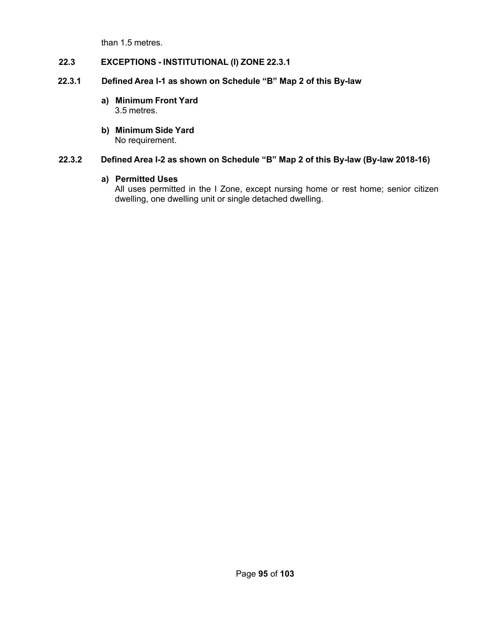than 1.5 metres.

# **22.3 EXCEPTIONS - INSTITUTIONAL (I) ZONE 22.3.1**

# **22.3.1 Defined Area I-1 as shown on Schedule "B" Map 2 of this By-law**

- **a) Minimum Front Yard** 3.5 metres.
- **b) Minimum Side Yard** No requirement.

# **22.3.2 Defined Area I-2 as shown on Schedule "B" Map 2 of this By-law (By-law 2018-16)**

# **a) Permitted Uses**

All uses permitted in the I Zone, except nursing home or rest home; senior citizen dwelling, one dwelling unit or single detached dwelling.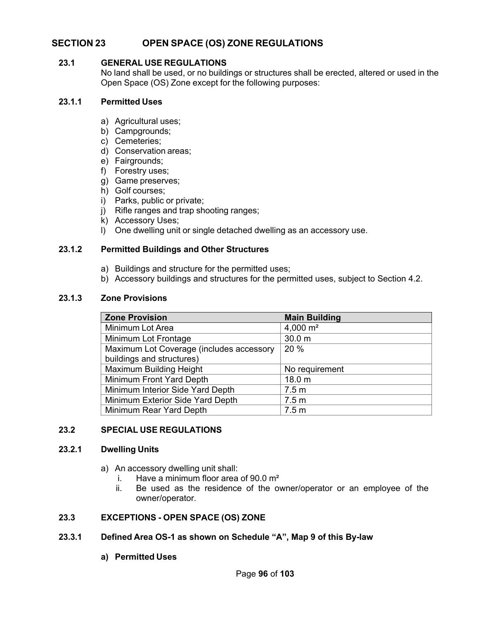# **SECTION 23 OPEN SPACE (OS) ZONE REGULATIONS**

# **23.1 GENERAL USE REGULATIONS**

No land shall be used, or no buildings or structures shall be erected, altered or used in the Open Space (OS) Zone except for the following purposes:

### **23.1.1 Permitted Uses**

- a) Agricultural uses;
- b) Campgrounds;
- c) Cemeteries;
- d) Conservation areas;
- e) Fairgrounds;
- f) Forestry uses;
- g) Game preserves;
- h) Golf courses;
- i) Parks, public or private;
- j) Rifle ranges and trap shooting ranges;
- k) Accessory Uses;
- l) One dwelling unit or single detached dwelling as an accessory use.

### **23.1.2 Permitted Buildings and Other Structures**

- a) Buildings and structure for the permitted uses;
- b) Accessory buildings and structures for the permitted uses, subject to Section 4.2.

### **23.1.3 Zone Provisions**

| <b>Zone Provision</b>                    | <b>Main Building</b> |
|------------------------------------------|----------------------|
| Minimum Lot Area                         | 4,000 $m2$           |
| Minimum Lot Frontage                     | 30.0 m               |
| Maximum Lot Coverage (includes accessory | 20%                  |
| buildings and structures)                |                      |
| Maximum Building Height                  | No requirement       |
| Minimum Front Yard Depth                 | 18.0 m               |
| Minimum Interior Side Yard Depth         | 7.5 <sub>m</sub>     |
| Minimum Exterior Side Yard Depth         | 7.5 <sub>m</sub>     |
| Minimum Rear Yard Depth                  | 7.5 <sub>m</sub>     |

#### **23.2 SPECIAL USE REGULATIONS**

#### **23.2.1 Dwelling Units**

- a) An accessory dwelling unit shall:
	- i. Have a minimum floor area of  $90.0 \text{ m}^2$
	- ii. Be used as the residence of the owner/operator or an employee of the owner/operator.

# **23.3 EXCEPTIONS - OPEN SPACE (OS) ZONE**

# **23.3.1 Defined Area OS-1 as shown on Schedule "A", Map 9 of this By-law**

**a) Permitted Uses**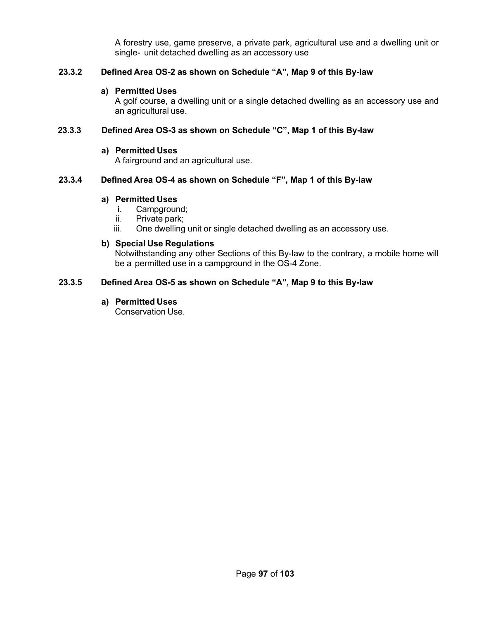A forestry use, game preserve, a private park, agricultural use and a dwelling unit or single- unit detached dwelling as an accessory use

# **23.3.2 Defined Area OS-2 as shown on Schedule "A", Map 9 of this By-law**

#### **a) Permitted Uses**

A golf course, a dwelling unit or a single detached dwelling as an accessory use and an agricultural use.

### **23.3.3 Defined Area OS-3 as shown on Schedule "C", Map 1 of this By-law**

#### **a) Permitted Uses**

A fairground and an agricultural use.

### **23.3.4 Defined Area OS-4 as shown on Schedule "F", Map 1 of this By-law**

### **a) Permitted Uses**

- i. Campground;
- ii. Private park;
- iii. One dwelling unit or single detached dwelling as an accessory use.

### **b) Special Use Regulations**

Notwithstanding any other Sections of this By-law to the contrary, a mobile home will be a permitted use in a campground in the OS-4 Zone.

### **23.3.5 Defined Area OS-5 as shown on Schedule "A", Map 9 to this By-law**

### **a) Permitted Uses**

Conservation Use.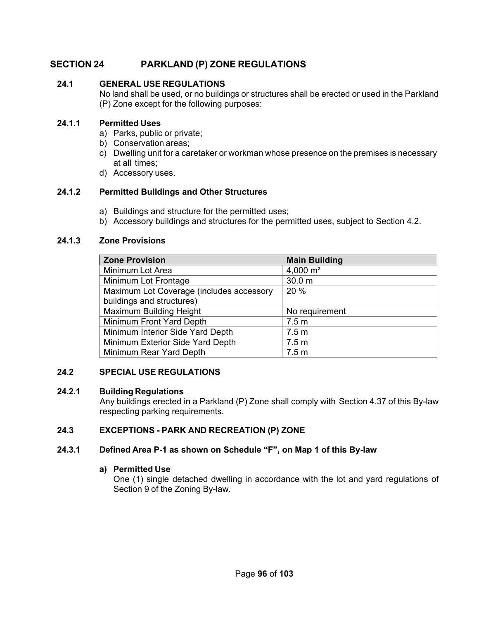# **SECTION 24 PARKLAND (P) ZONE REGULATIONS**

# **24.1 GENERAL USE REGULATIONS**

No land shall be used, or no buildings or structures shall be erected or used in the Parkland (P) Zone except for the following purposes:

# **24.1.1 Permitted Uses**

- a) Parks, public or private;
- b) Conservation areas;
- c) Dwelling unit for a caretaker or workman whose presence on the premises is necessary at all times;
- d) Accessory uses.

# **24.1.2 Permitted Buildings and Other Structures**

- a) Buildings and structure for the permitted uses;
- b) Accessory buildings and structures for the permitted uses, subject to Section 4.2.

# **24.1.3 Zone Provisions**

| <b>Zone Provision</b>                    | <b>Main Building</b> |
|------------------------------------------|----------------------|
| Minimum Lot Area                         | 4,000 $m2$           |
| Minimum Lot Frontage                     | 30.0 <sub>m</sub>    |
| Maximum Lot Coverage (includes accessory | 20%                  |
| buildings and structures)                |                      |
| Maximum Building Height                  | No requirement       |
| Minimum Front Yard Depth                 | 7.5 <sub>m</sub>     |
| Minimum Interior Side Yard Depth         | 7.5 <sub>m</sub>     |
| Minimum Exterior Side Yard Depth         | 7.5 <sub>m</sub>     |
| Minimum Rear Yard Depth                  | 7.5 <sub>m</sub>     |

# **24.2 SPECIAL USE REGULATIONS**

# **24.2.1 Building Regulations**

Any buildings erected in a Parkland (P) Zone shall comply with Section 4.37 of this By-law respecting parking requirements.

# **24.3 EXCEPTIONS - PARK AND RECREATION (P) ZONE**

# **24.3.1 Defined Area P-1 as shown on Schedule "F", on Map 1 of this By-law**

# **a) Permitted Use**

One (1) single detached dwelling in accordance with the lot and yard regulations of Section 9 of the Zoning By-law.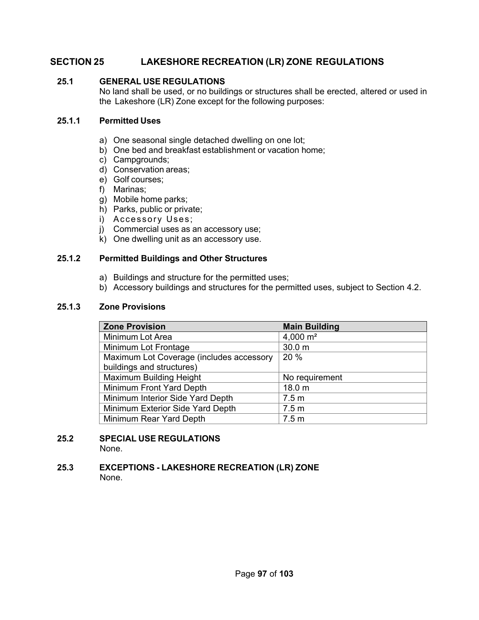# **SECTION 25 LAKESHORE RECREATION (LR) ZONE REGULATIONS**

# **25.1 GENERAL USE REGULATIONS**

No land shall be used, or no buildings or structures shall be erected, altered or used in the Lakeshore (LR) Zone except for the following purposes:

# **25.1.1 Permitted Uses**

- a) One seasonal single detached dwelling on one lot;
- b) One bed and breakfast establishment or vacation home;
- c) Campgrounds;
- d) Conservation areas;
- e) Golf courses;
- f) Marinas;
- g) Mobile home parks;
- h) Parks, public or private;
- i) Accessory Uses;
- j) Commercial uses as an accessory use;
- k) One dwelling unit as an accessory use.

# **25.1.2 Permitted Buildings and Other Structures**

- a) Buildings and structure for the permitted uses;
- b) Accessory buildings and structures for the permitted uses, subject to Section 4.2.

# **25.1.3 Zone Provisions**

| <b>Zone Provision</b>                    | <b>Main Building</b> |
|------------------------------------------|----------------------|
| Minimum Lot Area                         | 4,000 $m2$           |
| Minimum Lot Frontage                     | 30.0 <sub>m</sub>    |
| Maximum Lot Coverage (includes accessory | 20 %                 |
| buildings and structures)                |                      |
| <b>Maximum Building Height</b>           | No requirement       |
| Minimum Front Yard Depth                 | 18.0 m               |
| Minimum Interior Side Yard Depth         | 7.5 <sub>m</sub>     |
| Minimum Exterior Side Yard Depth         | 7.5 <sub>m</sub>     |
| Minimum Rear Yard Depth                  | 7.5 <sub>m</sub>     |

#### **25.2 SPECIAL USE REGULATIONS** None.

#### **25.3 EXCEPTIONS - LAKESHORE RECREATION (LR) ZONE** None.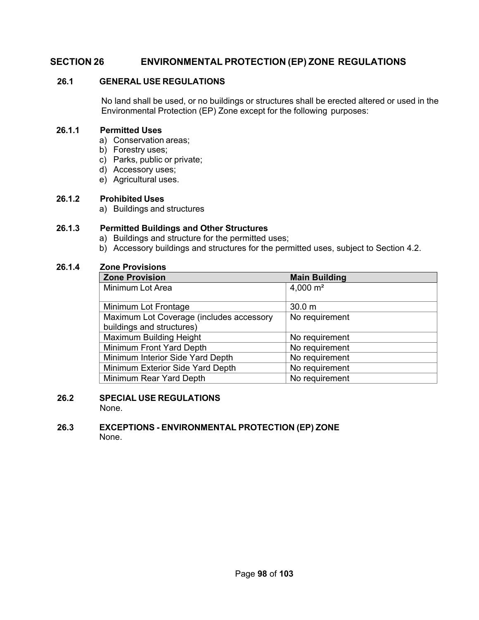# **SECTION 26 ENVIRONMENTAL PROTECTION (EP) ZONE REGULATIONS**

# **26.1 GENERAL USE REGULATIONS**

No land shall be used, or no buildings or structures shall be erected altered or used in the Environmental Protection (EP) Zone except for the following purposes:

# **26.1.1 Permitted Uses**

- a) Conservation areas;
- b) Forestry uses;
- c) Parks, public or private;
- d) Accessory uses;
- e) Agricultural uses.

### **26.1.2 Prohibited Uses**

a) Buildings and structures

# **26.1.3 Permitted Buildings and Other Structures**

- a) Buildings and structure for the permitted uses;
- b) Accessory buildings and structures for the permitted uses, subject to Section 4.2.

# **26.1.4 Zone Provisions**

| <b>Zone Provision</b>                    | <b>Main Building</b> |
|------------------------------------------|----------------------|
| Minimum Lot Area                         | 4,000 $m2$           |
|                                          |                      |
| Minimum Lot Frontage                     | 30.0 <sub>m</sub>    |
| Maximum Lot Coverage (includes accessory | No requirement       |
| buildings and structures)                |                      |
| <b>Maximum Building Height</b>           | No requirement       |
| Minimum Front Yard Depth                 | No requirement       |
| Minimum Interior Side Yard Depth         | No requirement       |
| Minimum Exterior Side Yard Depth         | No requirement       |
| Minimum Rear Yard Depth                  | No requirement       |

# **26.2 SPECIAL USE REGULATIONS**

None.

# **26.3 EXCEPTIONS - ENVIRONMENTAL PROTECTION (EP) ZONE** None.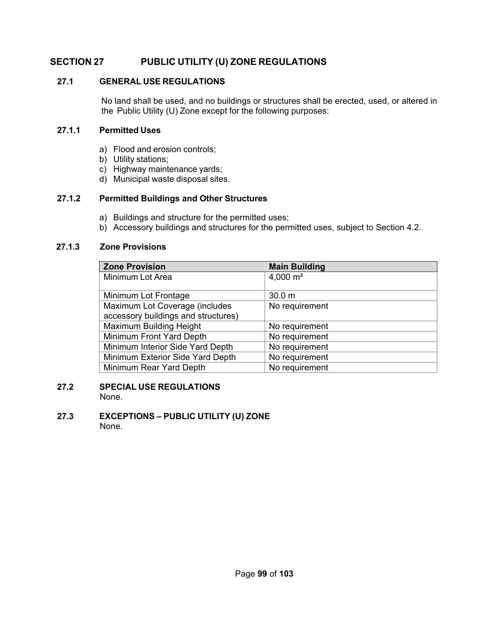# **SECTION 27 PUBLIC UTILITY (U) ZONE REGULATIONS**

# **27.1 GENERAL USE REGULATIONS**

No land shall be used, and no buildings or structures shall be erected, used, or altered in the Public Utility (U) Zone except for the following purposes:

# **27.1.1 Permitted Uses**

- a) Flood and erosion controls;
- b) Utility stations;
- c) Highway maintenance yards;
- d) Municipal waste disposal sites.

### **27.1.2 Permitted Buildings and Other Structures**

- a) Buildings and structure for the permitted uses;
- b) Accessory buildings and structures for the permitted uses, subject to Section 4.2.

#### **27.1.3 Zone Provisions**

| <b>Zone Provision</b>               | <b>Main Building</b> |
|-------------------------------------|----------------------|
| Minimum Lot Area                    | 4,000 $m2$           |
|                                     |                      |
| Minimum Lot Frontage                | 30.0 m               |
| Maximum Lot Coverage (includes      | No requirement       |
| accessory buildings and structures) |                      |
| Maximum Building Height             | No requirement       |
| Minimum Front Yard Depth            | No requirement       |
| Minimum Interior Side Yard Depth    | No requirement       |
| Minimum Exterior Side Yard Depth    | No requirement       |
| Minimum Rear Yard Depth             | No requirement       |

#### **27.2 SPECIAL USE REGULATIONS** None.

**27.3 EXCEPTIONS – PUBLIC UTILITY (U) ZONE** None.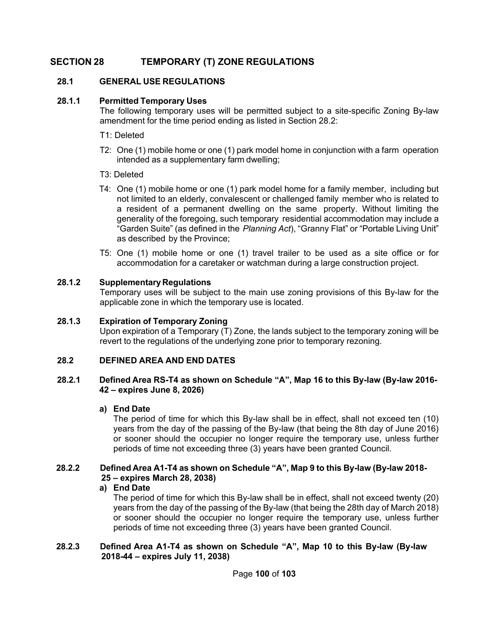# **SECTION 28 TEMPORARY (T) ZONE REGULATIONS**

# **28.1 GENERAL USE REGULATIONS**

# **28.1.1 Permitted Temporary Uses**

The following temporary uses will be permitted subject to a site-specific Zoning By-law amendment for the time period ending as listed in Section 28.2:

- T1: Deleted
- T2: One (1) mobile home or one (1) park model home in conjunction with a farm operation intended as a supplementary farm dwelling;
- T3: Deleted
- T4: One (1) mobile home or one (1) park model home for a family member, including but not limited to an elderly, convalescent or challenged family member who is related to a resident of a permanent dwelling on the same property. Without limiting the generality of the foregoing, such temporary residential accommodation may include a "Garden Suite" (as defined in the *Planning Act*), "Granny Flat" or "Portable Living Unit" as described by the Province;
- T5: One (1) mobile home or one (1) travel trailer to be used as a site office or for accommodation for a caretaker or watchman during a large construction project.

### **28.1.2 Supplementary Regulations**

Temporary uses will be subject to the main use zoning provisions of this By-law for the applicable zone in which the temporary use is located.

# **28.1.3 Expiration of Temporary Zoning**

Upon expiration of a Temporary (T) Zone, the lands subject to the temporary zoning will be revert to the regulations of the underlying zone prior to temporary rezoning.

# **28.2 DEFINED AREA AND END DATES**

### **28.2.1 Defined Area RS-T4 as shown on Schedule "A", Map 16 to this By-law (By-law 2016- 42 – expires June 8, 2026)**

# **a) End Date**

The period of time for which this By-law shall be in effect, shall not exceed ten (10) years from the day of the passing of the By-law (that being the 8th day of June 2016) or sooner should the occupier no longer require the temporary use, unless further periods of time not exceeding three (3) years have been granted Council.

### **28.2.2 Defined Area A1-T4 as shown on Schedule "A", Map 9 to this By-law (By-law 2018- 25 – expires March 28, 2038)**

#### **a) End Date**

The period of time for which this By-law shall be in effect, shall not exceed twenty (20) years from the day of the passing of the By-law (that being the 28th day of March 2018) or sooner should the occupier no longer require the temporary use, unless further periods of time not exceeding three (3) years have been granted Council.

### **28.2.3 Defined Area A1-T4 as shown on Schedule "A", Map 10 to this By-law (By-law 2018-44 – expires July 11, 2038)**